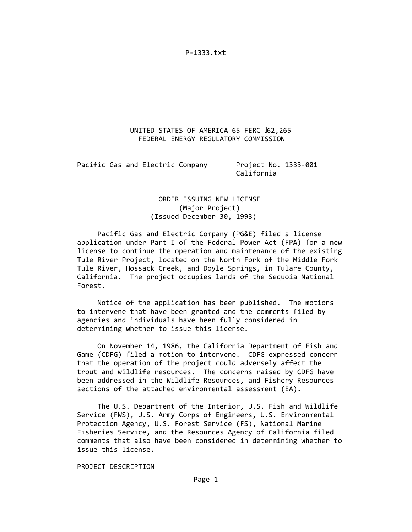UNITED STATES OF AMERICA 65 FERC 062,265 FEDERAL ENERGY REGULATORY COMMISSION

Pacific Gas and Electric Company Project No. 1333-001

California

# ORDER ISSUING NEW LICENSE (Major Project) (Issued December 30, 1993)

 Pacific Gas and Electric Company (PG&E) filed a license application under Part I of the Federal Power Act (FPA) for a new license to continue the operation and maintenance of the existing Tule River Project, located on the North Fork of the Middle Fork Tule River, Hossack Creek, and Doyle Springs, in Tulare County, California. The project occupies lands of the Sequoia National Forest.

 Notice of the application has been published. The motions to intervene that have been granted and the comments filed by agencies and individuals have been fully considered in determining whether to issue this license.

 On November 14, 1986, the California Department of Fish and Game (CDFG) filed a motion to intervene. CDFG expressed concern that the operation of the project could adversely affect the trout and wildlife resources. The concerns raised by CDFG have been addressed in the Wildlife Resources, and Fishery Resources sections of the attached environmental assessment (EA).

 The U.S. Department of the Interior, U.S. Fish and Wildlife Service (FWS), U.S. Army Corps of Engineers, U.S. Environmental Protection Agency, U.S. Forest Service (FS), National Marine Fisheries Service, and the Resources Agency of California filed comments that also have been considered in determining whether to issue this license.

PROJECT DESCRIPTION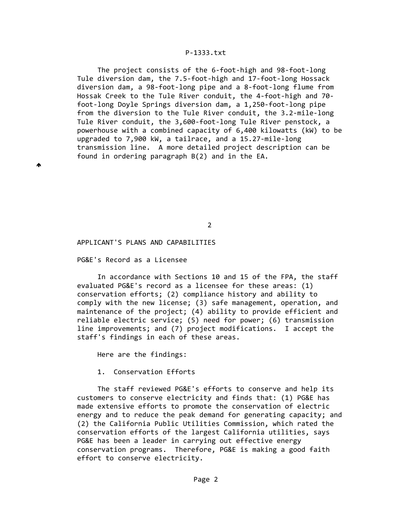The project consists of the 6‐foot‐high and 98‐foot‐long Tule diversion dam, the 7.5‐foot‐high and 17‐foot‐long Hossack diversion dam, a 98‐foot‐long pipe and a 8‐foot‐long flume from Hossak Creek to the Tule River conduit, the 4‐foot‐high and 70‐ foot‐long Doyle Springs diversion dam, a 1,250‐foot‐long pipe from the diversion to the Tule River conduit, the 3.2-mile-long Tule River conduit, the 3,600‐foot‐long Tule River penstock, a powerhouse with a combined capacity of 6,400 kilowatts (kW) to be upgraded to 7,900 kW, a tailrace, and a 15.27‐mile‐long transmission line. A more detailed project description can be found in ordering paragraph B(2) and in the EA.

2

#### APPLICANT'S PLANS AND CAPABILITIES

PG&E's Record as a Licensee

♠

 In accordance with Sections 10 and 15 of the FPA, the staff evaluated PG&E's record as a licensee for these areas: (1) conservation efforts; (2) compliance history and ability to comply with the new license; (3) safe management, operation, and maintenance of the project; (4) ability to provide efficient and reliable electric service; (5) need for power; (6) transmission line improvements; and (7) project modifications. I accept the staff's findings in each of these areas.

Here are the findings:

1. Conservation Efforts

 The staff reviewed PG&E's efforts to conserve and help its customers to conserve electricity and finds that: (1) PG&E has made extensive efforts to promote the conservation of electric energy and to reduce the peak demand for generating capacity; and (2) the California Public Utilities Commission, which rated the conservation efforts of the largest California utilities, says PG&E has been a leader in carrying out effective energy conservation programs. Therefore, PG&E is making a good faith effort to conserve electricity.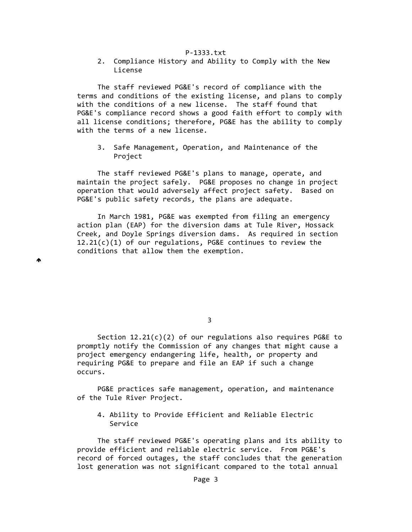2. Compliance History and Ability to Comply with the New License

 The staff reviewed PG&E's record of compliance with the terms and conditions of the existing license, and plans to comply with the conditions of a new license. The staff found that PG&E's compliance record shows a good faith effort to comply with all license conditions; therefore, PG&E has the ability to comply with the terms of a new license.

 3. Safe Management, Operation, and Maintenance of the Project

 The staff reviewed PG&E's plans to manage, operate, and maintain the project safely. PG&E proposes no change in project operation that would adversely affect project safety. Based on PG&E's public safety records, the plans are adequate.

 In March 1981, PG&E was exempted from filing an emergency action plan (EAP) for the diversion dams at Tule River, Hossack Creek, and Doyle Springs diversion dams. As required in section  $12.21(c)(1)$  of our regulations, PG&E continues to review the conditions that allow them the exemption.

♠

 $\sim$  3

 Section 12.21(c)(2) of our regulations also requires PG&E to promptly notify the Commission of any changes that might cause a project emergency endangering life, health, or property and requiring PG&E to prepare and file an EAP if such a change occurs.

 PG&E practices safe management, operation, and maintenance of the Tule River Project.

 4. Ability to Provide Efficient and Reliable Electric Service

 The staff reviewed PG&E's operating plans and its ability to provide efficient and reliable electric service. From PG&E's record of forced outages, the staff concludes that the generation lost generation was not significant compared to the total annual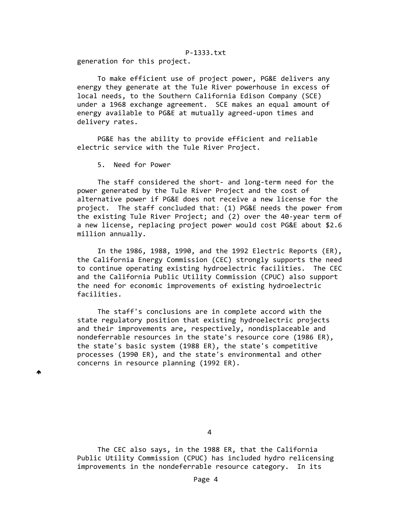generation for this project.

 To make efficient use of project power, PG&E delivers any energy they generate at the Tule River powerhouse in excess of local needs, to the Southern California Edison Company (SCE) under a 1968 exchange agreement. SCE makes an equal amount of energy available to PG&E at mutually agreed‐upon times and delivery rates.

 PG&E has the ability to provide efficient and reliable electric service with the Tule River Project.

5. Need for Power

 The staff considered the short‐ and long‐term need for the power generated by the Tule River Project and the cost of alternative power if PG&E does not receive a new license for the project. The staff concluded that: (1) PG&E needs the power from the existing Tule River Project; and (2) over the 40‐year term of a new license, replacing project power would cost PG&E about \$2.6 million annually.

 In the 1986, 1988, 1990, and the 1992 Electric Reports (ER), the California Energy Commission (CEC) strongly supports the need to continue operating existing hydroelectric facilities. The CEC and the California Public Utility Commission (CPUC) also support the need for economic improvements of existing hydroelectric facilities.

 The staff's conclusions are in complete accord with the state regulatory position that existing hydroelectric projects and their improvements are, respectively, nondisplaceable and nondeferrable resources in the state's resource core (1986 ER), the state's basic system (1988 ER), the state's competitive processes (1990 ER), and the state's environmental and other concerns in resource planning (1992 ER).

♠

 The CEC also says, in the 1988 ER, that the California Public Utility Commission (CPUC) has included hydro relicensing improvements in the nondeferrable resource category. In its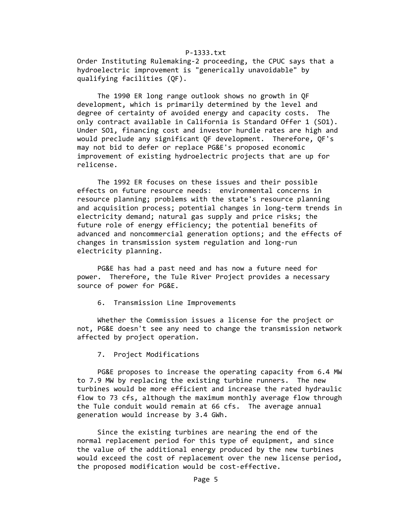Order Instituting Rulemaking‐2 proceeding, the CPUC says that a hydroelectric improvement is "generically unavoidable" by qualifying facilities (QF).

 The 1990 ER long range outlook shows no growth in QF development, which is primarily determined by the level and degree of certainty of avoided energy and capacity costs. The only contract available in California is Standard Offer 1 (SO1). Under SO1, financing cost and investor hurdle rates are high and would preclude any significant QF development. Therefore, QF's may not bid to defer or replace PG&E's proposed economic improvement of existing hydroelectric projects that are up for relicense.

 The 1992 ER focuses on these issues and their possible effects on future resource needs: environmental concerns in resource planning; problems with the state's resource planning and acquisition process; potential changes in long-term trends in electricity demand; natural gas supply and price risks; the future role of energy efficiency; the potential benefits of advanced and noncommercial generation options; and the effects of changes in transmission system regulation and long‐run electricity planning.

 PG&E has had a past need and has now a future need for power. Therefore, the Tule River Project provides a necessary source of power for PG&E.

6. Transmission Line Improvements

 Whether the Commission issues a license for the project or not, PG&E doesn't see any need to change the transmission network affected by project operation.

7. Project Modifications

 PG&E proposes to increase the operating capacity from 6.4 MW to 7.9 MW by replacing the existing turbine runners. The new turbines would be more efficient and increase the rated hydraulic flow to 73 cfs, although the maximum monthly average flow through the Tule conduit would remain at 66 cfs. The average annual generation would increase by 3.4 GWh.

 Since the existing turbines are nearing the end of the normal replacement period for this type of equipment, and since the value of the additional energy produced by the new turbines would exceed the cost of replacement over the new license period, the proposed modification would be cost‐effective.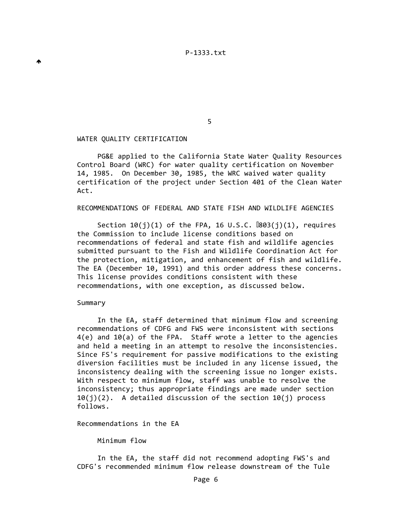the contract of the contract of the contract of the contract of the contract of the contract of the contract o

#### WATER QUALITY CERTIFICATION

 PG&E applied to the California State Water Quality Resources Control Board (WRC) for water quality certification on November 14, 1985. On December 30, 1985, the WRC waived water quality certification of the project under Section 401 of the Clean Water Act.

## RECOMMENDATIONS OF FEDERAL AND STATE FISH AND WILDLIFE AGENCIES

Section  $10(j)(1)$  of the FPA, 16 U.S.C.  $\sqrt{1803(j)(1)}$ , requires the Commission to include license conditions based on recommendations of federal and state fish and wildlife agencies submitted pursuant to the Fish and Wildlife Coordination Act for the protection, mitigation, and enhancement of fish and wildlife. The EA (December 10, 1991) and this order address these concerns. This license provides conditions consistent with these recommendations, with one exception, as discussed below.

## Summary

 In the EA, staff determined that minimum flow and screening recommendations of CDFG and FWS were inconsistent with sections 4(e) and 10(a) of the FPA. Staff wrote a letter to the agencies and held a meeting in an attempt to resolve the inconsistencies. Since FS's requirement for passive modifications to the existing diversion facilities must be included in any license issued, the inconsistency dealing with the screening issue no longer exists. With respect to minimum flow, staff was unable to resolve the inconsistency; thus appropriate findings are made under section  $10(j)(2)$ . A detailed discussion of the section  $10(j)$  process follows.

#### Recommendations in the EA

Minimum flow

 In the EA, the staff did not recommend adopting FWS's and CDFG's recommended minimum flow release downstream of the Tule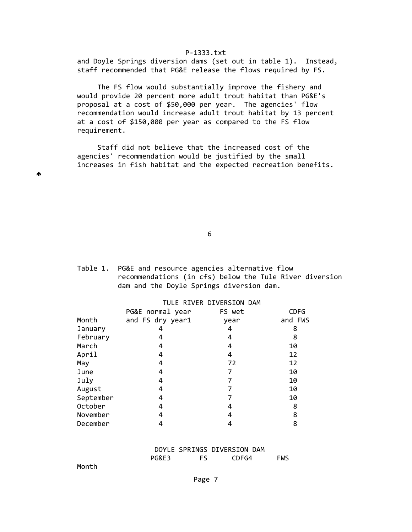and Doyle Springs diversion dams (set out in table 1). Instead, staff recommended that PG&E release the flows required by FS.

 The FS flow would substantially improve the fishery and would provide 20 percent more adult trout habitat than PG&E's proposal at a cost of \$50,000 per year. The agencies' flow recommendation would increase adult trout habitat by 13 percent at a cost of \$150,000 per year as compared to the FS flow requirement.

 Staff did not believe that the increased cost of the agencies' recommendation would be justified by the small increases in fish habitat and the expected recreation benefits.

 $\sim$  6

 Table 1. PG&E and resource agencies alternative flow recommendations (in cfs) below the Tule River diversion dam and the Doyle Springs diversion dam.

|           | TULE RIVER DIVERSION DAM |        |             |  |
|-----------|--------------------------|--------|-------------|--|
|           | PG&E normal year         | FS wet | <b>CDFG</b> |  |
| Month     | and FS dry year1         | year   | and FWS     |  |
| January   | 4                        | 4      | 8           |  |
| February  | 4                        | 4      | 8           |  |
| March     | 4                        | 4      | 10          |  |
| April     | 4                        | 4      | 12          |  |
| May       | 4                        | 72     | 12          |  |
| June      | 4                        |        | 10          |  |
| July      | 4                        |        | 10          |  |
| August    | 4                        |        | 10          |  |
| September | 4                        |        | 10          |  |
| October   | 4                        | 4      | 8           |  |
| November  | 4                        | 4      | 8           |  |
| December  |                          |        | 8           |  |

|                  | DOYLE SPRINGS DIVERSION DAM |            |
|------------------|-----------------------------|------------|
| <b>PG&amp;E3</b> | CDFG4                       | <b>FWS</b> |

Month **Month** and the second contract of the second contract of the second contract of the second contract of the second contract of the second contract of the second contract of the second contract of the second contract

₳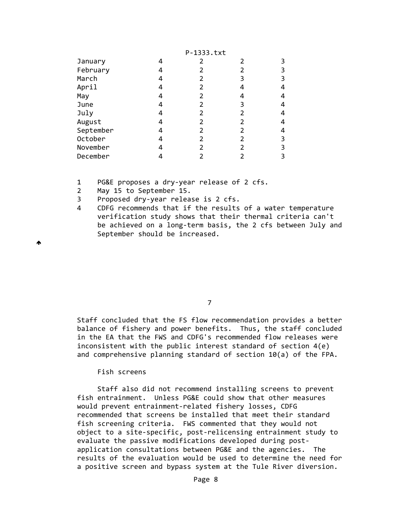|           | P-1333.txt |  |  |   |  |
|-----------|------------|--|--|---|--|
| January   |            |  |  |   |  |
| February  |            |  |  | 3 |  |
| March     |            |  |  |   |  |
| April     |            |  |  |   |  |
| May       |            |  |  | 4 |  |
| June      |            |  |  | 4 |  |
| July      |            |  |  | 4 |  |
| August    |            |  |  | 4 |  |
| September |            |  |  | 4 |  |
| October   |            |  |  |   |  |
| November  |            |  |  |   |  |
| December  |            |  |  |   |  |
|           |            |  |  |   |  |

1 PG&E proposes a dry-year release of 2 cfs.

2 May 15 to September 15.

♠

- 3 Proposed dry-year release is 2 cfs.
- 4 CDFG recommends that if the results of a water temperature verification study shows that their thermal criteria can't be achieved on a long‐term basis, the 2 cfs between July and September should be increased.

7

 Staff concluded that the FS flow recommendation provides a better balance of fishery and power benefits. Thus, the staff concluded in the EA that the FWS and CDFG's recommended flow releases were inconsistent with the public interest standard of section 4(e) and comprehensive planning standard of section 10(a) of the FPA.

Fish screens

 Staff also did not recommend installing screens to prevent fish entrainment. Unless PG&E could show that other measures would prevent entrainment‐related fishery losses, CDFG recommended that screens be installed that meet their standard fish screening criteria. FWS commented that they would not object to a site‐specific, post‐relicensing entrainment study to evaluate the passive modifications developed during post‐ application consultations between PG&E and the agencies. The results of the evaluation would be used to determine the need for a positive screen and bypass system at the Tule River diversion.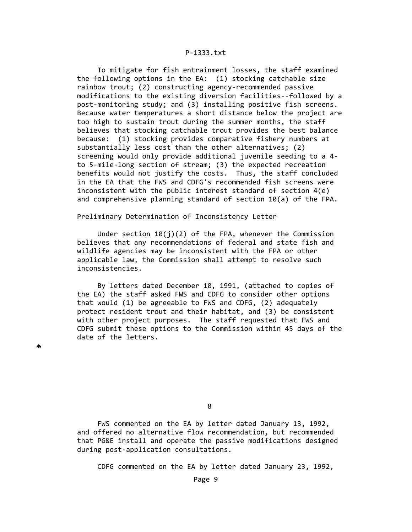To mitigate for fish entrainment losses, the staff examined the following options in the EA: (1) stocking catchable size rainbow trout; (2) constructing agency‐recommended passive modifications to the existing diversion facilities‐‐followed by a post‐monitoring study; and (3) installing positive fish screens. Because water temperatures a short distance below the project are too high to sustain trout during the summer months, the staff believes that stocking catchable trout provides the best balance because: (1) stocking provides comparative fishery numbers at substantially less cost than the other alternatives; (2) screening would only provide additional juvenile seeding to a 4‐ to 5‐mile‐long section of stream; (3) the expected recreation benefits would not justify the costs. Thus, the staff concluded in the EA that the FWS and CDFG's recommended fish screens were inconsistent with the public interest standard of section 4(e) and comprehensive planning standard of section 10(a) of the FPA.

Preliminary Determination of Inconsistency Letter

₳

Under section  $10(j)(2)$  of the FPA, whenever the Commission believes that any recommendations of federal and state fish and wildlife agencies may be inconsistent with the FPA or other applicable law, the Commission shall attempt to resolve such inconsistencies.

 By letters dated December 10, 1991, (attached to copies of the EA) the staff asked FWS and CDFG to consider other options that would (1) be agreeable to FWS and CDFG, (2) adequately protect resident trout and their habitat, and (3) be consistent with other project purposes. The staff requested that FWS and CDFG submit these options to the Commission within 45 days of the date of the letters.

<u>88 and 2008 and 2008 and 2008 and 2008 and 2008 and 2008 and 2008 and 2008 and 2008 and 2008 and 2008 and 200</u>

 FWS commented on the EA by letter dated January 13, 1992, and offered no alternative flow recommendation, but recommended that PG&E install and operate the passive modifications designed during post‐application consultations.

CDFG commented on the EA by letter dated January 23, 1992,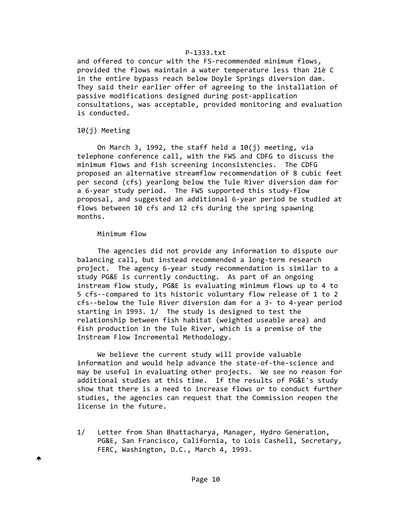and offered to concur with the FS‐recommended minimum flows, provided the flows maintain a water temperature less than 21è C in the entire bypass reach below Doyle Springs diversion dam. They said their earlier offer of agreeing to the installation of passive modifications designed during post‐application consultations, was acceptable, provided monitoring and evaluation is conducted.

#### 10(j) Meeting

On March 3, 1992, the staff held a  $10(j)$  meeting, via telephone conference call, with the FWS and CDFG to discuss the minimum flows and fish screening inconsistencies. The CDFG proposed an alternative streamflow recommendation of 8 cubic feet per second (cfs) yearlong below the Tule River diversion dam for a 6‐year study period. The FWS supported this study‐flow proposal, and suggested an additional 6‐year period be studied at flows between 10 cfs and 12 cfs during the spring spawning months.

#### Minimum flow

 The agencies did not provide any information to dispute our balancing call, but instead recommended a long‐term research project. The agency 6‐year study recommendation is similar to a study PG&E is currently conducting. As part of an ongoing instream flow study, PG&E is evaluating minimum flows up to 4 to 5 cfs‐‐compared to its historic voluntary flow release of 1 to 2 cfs‐‐below the Tule River diversion dam for a 3‐ to 4‐year period starting in 1993. 1/ The study is designed to test the relationship between fish habitat (weighted useable area) and fish production in the Tule River, which is a premise of the Instream Flow Incremental Methodology.

 We believe the current study will provide valuable information and would help advance the state‐of‐the‐science and may be useful in evaluating other projects. We see no reason for additional studies at this time. If the results of PG&E's study show that there is a need to increase flows or to conduct further studies, the agencies can request that the Commission reopen the license in the future.

 1/ Letter from Shan Bhattacharya, Manager, Hydro Generation, PG&E, San Francisco, California, to Lois Cashell, Secretary, FERC, Washington, D.C., March 4, 1993.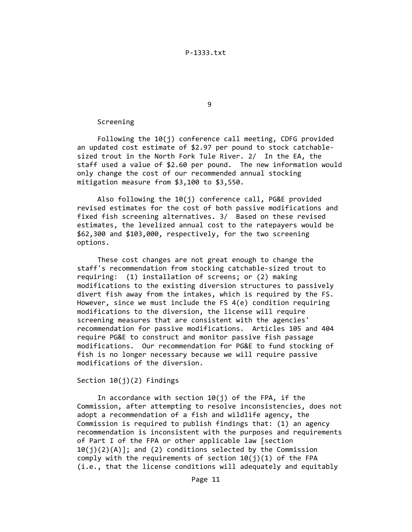en de la provincia de la provincia de la provincia de la provincia de la provincia de la provincia de la provi<br>1990 : la provincia de la provincia de la provincia de la provincia de la provincia de la provincia de la prov

# Screening

 Following the 10(j) conference call meeting, CDFG provided an updated cost estimate of \$2.97 per pound to stock catchable‐ sized trout in the North Fork Tule River. 2/ In the EA, the staff used a value of \$2.60 per pound. The new information would only change the cost of our recommended annual stocking mitigation measure from \$3,100 to \$3,550.

 Also following the 10(j) conference call, PG&E provided revised estimates for the cost of both passive modifications and fixed fish screening alternatives. 3/ Based on these revised estimates, the levelized annual cost to the ratepayers would be \$62,300 and \$103,000, respectively, for the two screening options.

 These cost changes are not great enough to change the staff's recommendation from stocking catchable‐sized trout to requiring: (1) installation of screens; or (2) making modifications to the existing diversion structures to passively divert fish away from the intakes, which is required by the FS. However, since we must include the FS 4(e) condition requiring modifications to the diversion, the license will require screening measures that are consistent with the agencies' recommendation for passive modifications. Articles 105 and 404 require PG&E to construct and monitor passive fish passage modifications. Our recommendation for PG&E to fund stocking of fish is no longer necessary because we will require passive modifications of the diversion.

# Section 10(j)(2) Findings

In accordance with section  $10(j)$  of the FPA, if the Commission, after attempting to resolve inconsistencies, does not adopt a recommendation of a fish and wildlife agency, the Commission is required to publish findings that: (1) an agency recommendation is inconsistent with the purposes and requirements of Part I of the FPA or other applicable law [section  $10(j)(2)(A)$ ; and (2) conditions selected by the Commission comply with the requirements of section  $10(j)(1)$  of the FPA (i.e., that the license conditions will adequately and equitably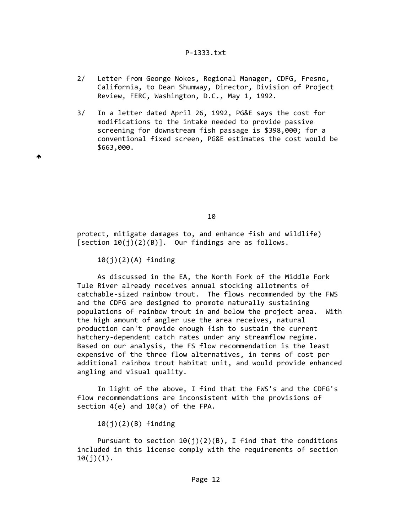- 2/ Letter from George Nokes, Regional Manager, CDFG, Fresno, California, to Dean Shumway, Director, Division of Project Review, FERC, Washington, D.C., May 1, 1992.
- 3/ In a letter dated April 26, 1992, PG&E says the cost for modifications to the intake needed to provide passive screening for downstream fish passage is \$398,000; for a conventional fixed screen, PG&E estimates the cost would be \$663,000.

10

 protect, mitigate damages to, and enhance fish and wildlife) [section  $10(j)(2)(B)$ ]. Our findings are as follows.

 $10(j)(2)(A)$  finding

Ѧ

 As discussed in the EA, the North Fork of the Middle Fork Tule River already receives annual stocking allotments of catchable‐sized rainbow trout. The flows recommended by the FWS and the CDFG are designed to promote naturally sustaining populations of rainbow trout in and below the project area. With the high amount of angler use the area receives, natural production can't provide enough fish to sustain the current hatchery-dependent catch rates under any streamflow regime. Based on our analysis, the FS flow recommendation is the least expensive of the three flow alternatives, in terms of cost per additional rainbow trout habitat unit, and would provide enhanced angling and visual quality.

 In light of the above, I find that the FWS's and the CDFG's flow recommendations are inconsistent with the provisions of section  $4(e)$  and  $10(a)$  of the FPA.

 $10(j)(2)(B)$  finding

Pursuant to section  $10(j)(2)(B)$ , I find that the conditions included in this license comply with the requirements of section  $10(j)(1)$ .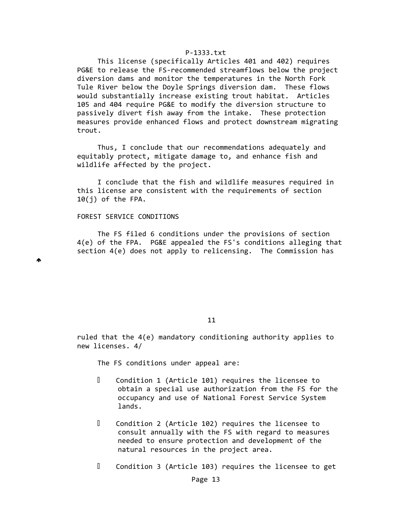This license (specifically Articles 401 and 402) requires PG&E to release the FS‐recommended streamflows below the project diversion dams and monitor the temperatures in the North Fork Tule River below the Doyle Springs diversion dam. These flows would substantially increase existing trout habitat. Articles 105 and 404 require PG&E to modify the diversion structure to passively divert fish away from the intake. These protection measures provide enhanced flows and protect downstream migrating trout.

 Thus, I conclude that our recommendations adequately and equitably protect, mitigate damage to, and enhance fish and wildlife affected by the project.

 I conclude that the fish and wildlife measures required in this license are consistent with the requirements of section 10(j) of the FPA.

## FOREST SERVICE CONDITIONS

₳

 The FS filed 6 conditions under the provisions of section 4(e) of the FPA. PG&E appealed the FS's conditions alleging that section 4(e) does not apply to relicensing. The Commission has

 $11$ 

 ruled that the 4(e) mandatory conditioning authority applies to new licenses. 4/

The FS conditions under appeal are:

- Condition 1 (Article 101) requires the licensee to obtain a special use authorization from the FS for the occupancy and use of National Forest Service System lands.
- Condition 2 (Article 102) requires the licensee to consult annually with the FS with regard to measures needed to ensure protection and development of the natural resources in the project area.
- Condition 3 (Article 103) requires the licensee to get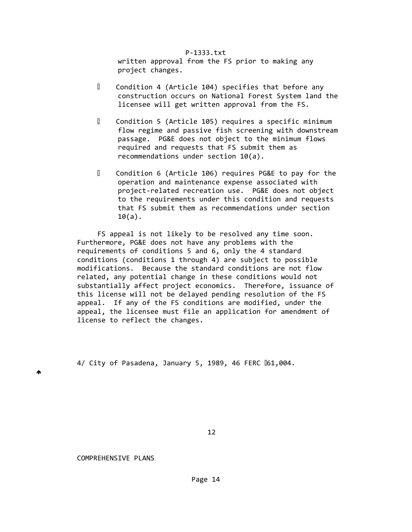written approval from the FS prior to making any project changes.

- Condition 4 (Article 104) specifies that before any construction occurs on National Forest System land the licensee will get written approval from the FS.
- Condition 5 (Article 105) requires a specific minimum flow regime and passive fish screening with downstream passage. PG&E does not object to the minimum flows required and requests that FS submit them as recommendations under section 10(a).
- Condition 6 (Article 106) requires PG&E to pay for the operation and maintenance expense associated with project‐related recreation use. PG&E does not object to the requirements under this condition and requests that FS submit them as recommendations under section  $10(a)$ .

 FS appeal is not likely to be resolved any time soon. Furthermore, PG&E does not have any problems with the requirements of conditions 5 and 6, only the 4 standard conditions (conditions 1 through 4) are subject to possible modifications. Because the standard conditions are not flow related, any potential change in these conditions would not substantially affect project economics. Therefore, issuance of this license will not be delayed pending resolution of the FS appeal. If any of the FS conditions are modified, under the appeal, the licensee must file an application for amendment of license to reflect the changes.

4/ City of Pasadena, January 5, 1989, 46 FERC 061,004.

♠

# COMPREHENSIVE PLANS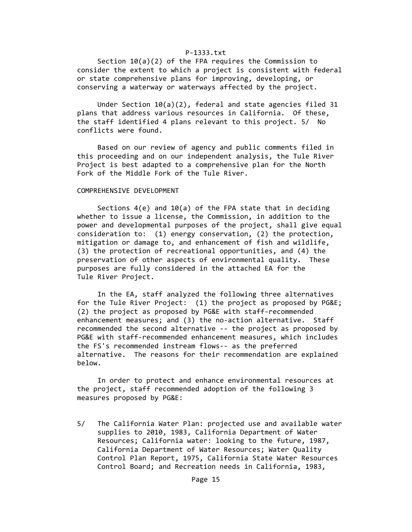Section 10(a)(2) of the FPA requires the Commission to consider the extent to which a project is consistent with federal or state comprehensive plans for improving, developing, or conserving a waterway or waterways affected by the project.

Under Section  $10(a)(2)$ , federal and state agencies filed 31 plans that address various resources in California. Of these, the staff identified 4 plans relevant to this project. 5/ No conflicts were found.

 Based on our review of agency and public comments filed in this proceeding and on our independent analysis, the Tule River Project is best adapted to a comprehensive plan for the North Fork of the Middle Fork of the Tule River.

#### COMPREHENSIVE DEVELOPMENT

Sections  $4(e)$  and  $10(a)$  of the FPA state that in deciding whether to issue a license, the Commission, in addition to the power and developmental purposes of the project, shall give equal consideration to: (1) energy conservation, (2) the protection, mitigation or damage to, and enhancement of fish and wildlife, (3) the protection of recreational opportunities, and (4) the preservation of other aspects of environmental quality. These purposes are fully considered in the attached EA for the Tule River Project.

 In the EA, staff analyzed the following three alternatives for the Tule River Project: (1) the project as proposed by PG&E; (2) the project as proposed by PG&E with staff‐recommended enhancement measures; and (3) the no-action alternative. Staff recommended the second alternative ‐‐ the project as proposed by PG&E with staff‐recommended enhancement measures, which includes the FS's recommended instream flows‐‐ as the preferred alternative. The reasons for their recommendation are explained below.

 In order to protect and enhance environmental resources at the project, staff recommended adoption of the following 3 measures proposed by PG&E:

 5/ The California Water Plan: projected use and available water supplies to 2010, 1983, California Department of Water Resources; California water: looking to the future, 1987, California Department of Water Resources; Water Quality Control Plan Report, 1975, California State Water Resources Control Board; and Recreation needs in California, 1983,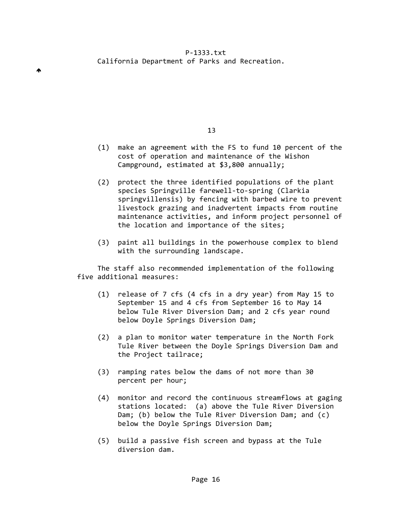13

- (1) make an agreement with the FS to fund 10 percent of the cost of operation and maintenance of the Wishon Campground, estimated at \$3,800 annually;
- (2) protect the three identified populations of the plant species Springville farewell-to-spring (Clarkia springvillensis) by fencing with barbed wire to prevent livestock grazing and inadvertent impacts from routine maintenance activities, and inform project personnel of the location and importance of the sites;
- (3) paint all buildings in the powerhouse complex to blend with the surrounding landscape.

 The staff also recommended implementation of the following five additional measures:

- (1) release of 7 cfs (4 cfs in a dry year) from May 15 to September 15 and 4 cfs from September 16 to May 14 below Tule River Diversion Dam; and 2 cfs year round below Doyle Springs Diversion Dam;
- (2) a plan to monitor water temperature in the North Fork Tule River between the Doyle Springs Diversion Dam and the Project tailrace;
- (3) ramping rates below the dams of not more than 30 percent per hour;
- (4) monitor and record the continuous streamflows at gaging stations located: (a) above the Tule River Diversion Dam; (b) below the Tule River Diversion Dam; and (c) below the Doyle Springs Diversion Dam;
- (5) build a passive fish screen and bypass at the Tule diversion dam.

₳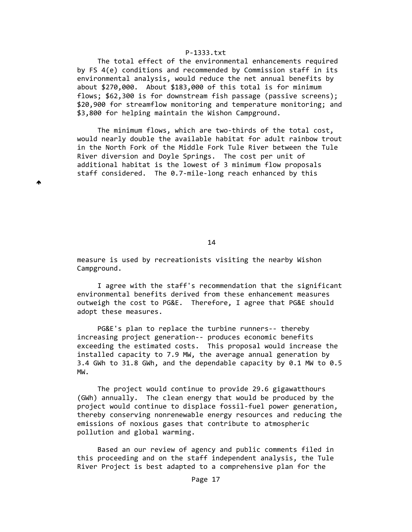The total effect of the environmental enhancements required by FS 4(e) conditions and recommended by Commission staff in its environmental analysis, would reduce the net annual benefits by about \$270,000. About \$183,000 of this total is for minimum flows; \$62,300 is for downstream fish passage (passive screens); \$20,900 for streamflow monitoring and temperature monitoring; and \$3,800 for helping maintain the Wishon Campground.

 The minimum flows, which are two‐thirds of the total cost, would nearly double the available habitat for adult rainbow trout in the North Fork of the Middle Fork Tule River between the Tule River diversion and Doyle Springs. The cost per unit of additional habitat is the lowest of 3 minimum flow proposals staff considered. The 0.7-mile-long reach enhanced by this

₳

#### 14

 measure is used by recreationists visiting the nearby Wishon Campground.

 I agree with the staff's recommendation that the significant environmental benefits derived from these enhancement measures outweigh the cost to PG&E. Therefore, I agree that PG&E should adopt these measures.

 PG&E's plan to replace the turbine runners‐‐ thereby increasing project generation‐‐ produces economic benefits exceeding the estimated costs. This proposal would increase the installed capacity to 7.9 MW, the average annual generation by 3.4 GWh to 31.8 GWh, and the dependable capacity by 0.1 MW to 0.5 MW.

 The project would continue to provide 29.6 gigawatthours (GWh) annually. The clean energy that would be produced by the project would continue to displace fossil‐fuel power generation, thereby conserving nonrenewable energy resources and reducing the emissions of noxious gases that contribute to atmospheric pollution and global warming.

 Based an our review of agency and public comments filed in this proceeding and on the staff independent analysis, the Tule River Project is best adapted to a comprehensive plan for the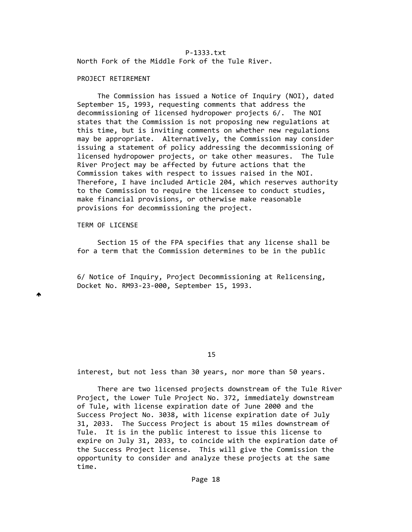P‐1333.txt North Fork of the Middle Fork of the Tule River.

## PROJECT RETIREMENT

 The Commission has issued a Notice of Inquiry (NOI), dated September 15, 1993, requesting comments that address the decommissioning of licensed hydropower projects 6/. The NOI states that the Commission is not proposing new regulations at this time, but is inviting comments on whether new regulations may be appropriate. Alternatively, the Commission may consider issuing a statement of policy addressing the decommissioning of licensed hydropower projects, or take other measures. The Tule River Project may be affected by future actions that the Commission takes with respect to issues raised in the NOI. Therefore, I have included Article 204, which reserves authority to the Commission to require the licensee to conduct studies, make financial provisions, or otherwise make reasonable provisions for decommissioning the project.

TERM OF LICENSE

 $\blacktriangle$ 

 Section 15 of the FPA specifies that any license shall be for a term that the Commission determines to be in the public

 6/ Notice of Inquiry, Project Decommissioning at Relicensing, Docket No. RM93‐23‐000, September 15, 1993.

15

interest, but not less than 30 years, nor more than 50 years.

 There are two licensed projects downstream of the Tule River Project, the Lower Tule Project No. 372, immediately downstream of Tule, with license expiration date of June 2000 and the Success Project No. 3038, with license expiration date of July 31, 2033. The Success Project is about 15 miles downstream of Tule. It is in the public interest to issue this license to expire on July 31, 2033, to coincide with the expiration date of the Success Project license. This will give the Commission the opportunity to consider and analyze these projects at the same time.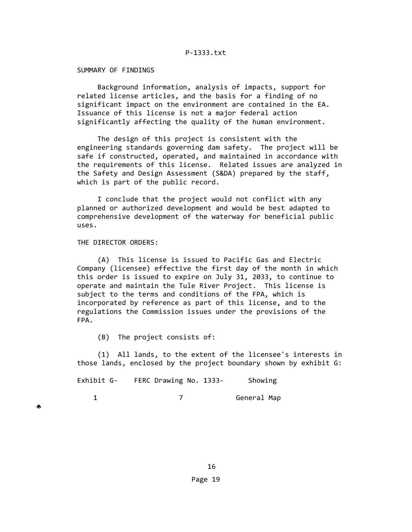SUMMARY OF FINDINGS

 Background information, analysis of impacts, support for related license articles, and the basis for a finding of no significant impact on the environment are contained in the EA. Issuance of this license is not a major federal action significantly affecting the quality of the human environment.

 The design of this project is consistent with the engineering standards governing dam safety. The project will be safe if constructed, operated, and maintained in accordance with the requirements of this license. Related issues are analyzed in the Safety and Design Assessment (S&DA) prepared by the staff, which is part of the public record.

 I conclude that the project would not conflict with any planned or authorized development and would be best adapted to comprehensive development of the waterway for beneficial public uses.

THE DIRECTOR ORDERS:

 (A) This license is issued to Pacific Gas and Electric Company (licensee) effective the first day of the month in which this order is issued to expire on July 31, 2033, to continue to operate and maintain the Tule River Project. This license is subject to the terms and conditions of the FPA, which is incorporated by reference as part of this license, and to the regulations the Commission issues under the provisions of the FPA.

(B) The project consists of:

 (1) All lands, to the extent of the licensee's interests in those lands, enclosed by the project boundary shown by exhibit G:

| Exhibit G- | FERC Drawing No. 1333- | Showing     |
|------------|------------------------|-------------|
|            |                        | General Map |

 $\blacktriangle$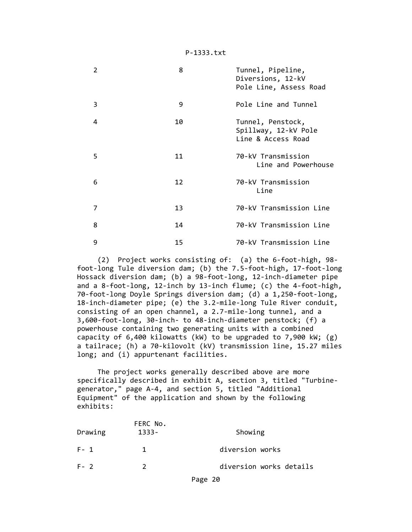| 2 | 8  | Tunnel, Pipeline,<br>Diversions, 12-kV<br>Pole Line, Assess Road |
|---|----|------------------------------------------------------------------|
| 3 | 9  | Pole Line and Tunnel                                             |
| 4 | 10 | Tunnel, Penstock,<br>Spillway, 12-kV Pole<br>Line & Access Road  |
| 5 | 11 | 70-kV Transmission<br>Line and Powerhouse                        |
| 6 | 12 | 70-kV Transmission<br>Line                                       |
| 7 | 13 | 70-kV Transmission Line                                          |
| 8 | 14 | 70-kV Transmission Line                                          |
| 9 | 15 | 70-kV Transmission Line                                          |

 (2) Project works consisting of: (a) the 6‐foot‐high, 98‐ foot‐long Tule diversion dam; (b) the 7.5‐foot‐high, 17‐foot‐long Hossack diversion dam; (b) a 98‐foot‐long, 12‐inch‐diameter pipe and a 8‐foot‐long, 12‐inch by 13‐inch flume; (c) the 4‐foot‐high, 70‐foot‐long Doyle Springs diversion dam; (d) a 1,250‐foot‐long, 18-inch-diameter pipe; (e) the 3.2-mile-long Tule River conduit, consisting of an open channel, a 2.7‐mile‐long tunnel, and a 3,600‐foot‐long, 30‐inch‐ to 48‐inch‐diameter penstock; (f) a powerhouse containing two generating units with a combined capacity of 6,400 kilowatts (kW) to be upgraded to 7,900 kW;  $(g)$  a tailrace; (h) a 70‐kilovolt (kV) transmission line, 15.27 miles long; and (i) appurtenant facilities.

 The project works generally described above are more specifically described in exhibit A, section 3, titled "Turbine‐ generator," page A‐4, and section 5, titled "Additional Equipment" of the application and shown by the following exhibits:

| Drawing | FERC No.<br>$1333 -$ | Showing                 |
|---------|----------------------|-------------------------|
| $F - 1$ | 1.                   | diversion works         |
| $F - 2$ | 2                    | diversion works details |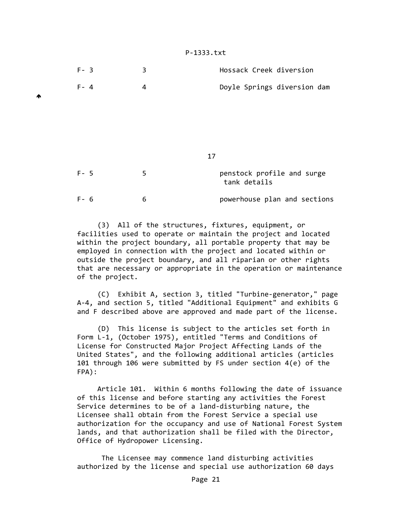|   | $F - 3$ | 3 | Hossack Creek diversion                    |
|---|---------|---|--------------------------------------------|
|   | $F - 4$ | 4 | Doyle Springs diversion dam                |
| ₳ |         |   |                                            |
|   |         |   |                                            |
|   |         |   |                                            |
|   |         |   |                                            |
|   |         |   | 17                                         |
|   |         |   |                                            |
|   | $F - 5$ | 5 | penstock profile and surge<br>tank details |
|   | $F - 6$ | 6 | powerhouse plan and sections               |

 $\blacktriangle$ 

 (3) All of the structures, fixtures, equipment, or facilities used to operate or maintain the project and located within the project boundary, all portable property that may be employed in connection with the project and located within or outside the project boundary, and all riparian or other rights that are necessary or appropriate in the operation or maintenance of the project.

 (C) Exhibit A, section 3, titled "Turbine‐generator," page A‐4, and section 5, titled "Additional Equipment" and exhibits G and F described above are approved and made part of the license.

 (D) This license is subject to the articles set forth in Form L‐1, (October 1975), entitled "Terms and Conditions of License for Constructed Major Project Affecting Lands of the United States", and the following additional articles (articles 101 through 106 were submitted by FS under section 4(e) of the FPA):

 Article 101. Within 6 months following the date of issuance of this license and before starting any activities the Forest Service determines to be of a land‐disturbing nature, the Licensee shall obtain from the Forest Service a special use authorization for the occupancy and use of National Forest System lands, and that authorization shall be filed with the Director, Office of Hydropower Licensing.

 The Licensee may commence land disturbing activities authorized by the license and special use authorization 60 days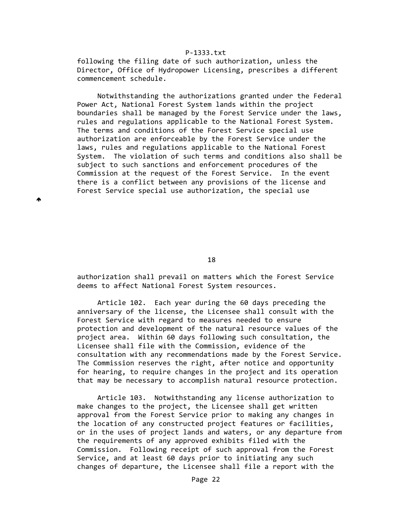following the filing date of such authorization, unless the Director, Office of Hydropower Licensing, prescribes a different commencement schedule.

 Notwithstanding the authorizations granted under the Federal Power Act, National Forest System lands within the project boundaries shall be managed by the Forest Service under the laws, rules and regulations applicable to the National Forest System. The terms and conditions of the Forest Service special use authorization are enforceable by the Forest Service under the laws, rules and regulations applicable to the National Forest System. The violation of such terms and conditions also shall be subject to such sanctions and enforcement procedures of the Commission at the request of the Forest Service. In the event there is a conflict between any provisions of the license and Forest Service special use authorization, the special use

♠

18

 authorization shall prevail on matters which the Forest Service deems to affect National Forest System resources.

 Article 102. Each year during the 60 days preceding the anniversary of the license, the Licensee shall consult with the Forest Service with regard to measures needed to ensure protection and development of the natural resource values of the project area. Within 60 days following such consultation, the Licensee shall file with the Commission, evidence of the consultation with any recommendations made by the Forest Service. The Commission reserves the right, after notice and opportunity for hearing, to require changes in the project and its operation that may be necessary to accomplish natural resource protection.

 Article 103. Notwithstanding any license authorization to make changes to the project, the Licensee shall get written approval from the Forest Service prior to making any changes in the location of any constructed project features or facilities, or in the uses of project lands and waters, or any departure from the requirements of any approved exhibits filed with the Commission. Following receipt of such approval from the Forest Service, and at least 60 days prior to initiating any such changes of departure, the Licensee shall file a report with the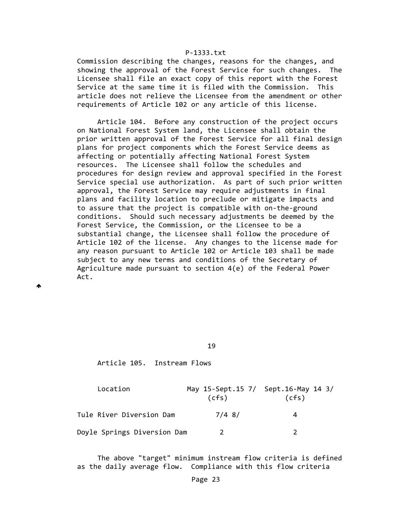Commission describing the changes, reasons for the changes, and showing the approval of the Forest Service for such changes. The Licensee shall file an exact copy of this report with the Forest Service at the same time it is filed with the Commission. This article does not relieve the Licensee from the amendment or other requirements of Article 102 or any article of this license.

 Article 104. Before any construction of the project occurs on National Forest System land, the Licensee shall obtain the prior written approval of the Forest Service for all final design plans for project components which the Forest Service deems as affecting or potentially affecting National Forest System resources. The Licensee shall follow the schedules and procedures for design review and approval specified in the Forest Service special use authorization. As part of such prior written approval, the Forest Service may require adjustments in final plans and facility location to preclude or mitigate impacts and to assure that the project is compatible with on‐the‐ground conditions. Should such necessary adjustments be deemed by the Forest Service, the Commission, or the Licensee to be a substantial change, the Licensee shall follow the procedure of Article 102 of the license. Any changes to the license made for any reason pursuant to Article 102 or Article 103 shall be made subject to any new terms and conditions of the Secretary of Agriculture made pursuant to section 4(e) of the Federal Power Act.

19

Article 105. Instream Flows

₳

| Location                    | May 15-Sept.15 7/ Sept.16-May 14 3/<br>(cfs) | (cfs) |  |
|-----------------------------|----------------------------------------------|-------|--|
| Tule River Diversion Dam    | 7/48/                                        |       |  |
| Doyle Springs Diversion Dam |                                              |       |  |

 The above "target" minimum instream flow criteria is defined as the daily average flow. Compliance with this flow criteria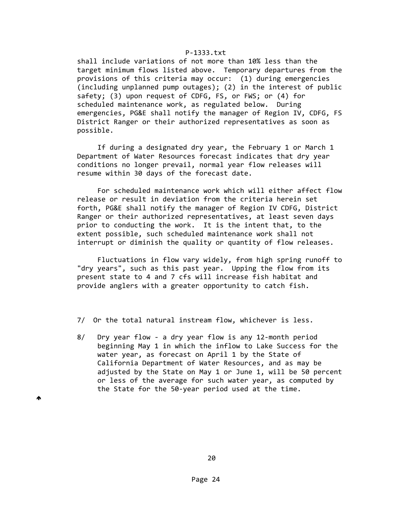shall include variations of not more than 10% less than the target minimum flows listed above. Temporary departures from the provisions of this criteria may occur: (1) during emergencies (including unplanned pump outages); (2) in the interest of public safety; (3) upon request of CDFG, FS, or FWS; or (4) for scheduled maintenance work, as regulated below. During emergencies, PG&E shall notify the manager of Region IV, CDFG, FS District Ranger or their authorized representatives as soon as possible.

 If during a designated dry year, the February 1 or March 1 Department of Water Resources forecast indicates that dry year conditions no longer prevail, normal year flow releases will resume within 30 days of the forecast date.

 For scheduled maintenance work which will either affect flow release or result in deviation from the criteria herein set forth, PG&E shall notify the manager of Region IV CDFG, District Ranger or their authorized representatives, at least seven days prior to conducting the work. It is the intent that, to the extent possible, such scheduled maintenance work shall not interrupt or diminish the quality or quantity of flow releases.

 Fluctuations in flow vary widely, from high spring runoff to "dry years", such as this past year. Upping the flow from its present state to 4 and 7 cfs will increase fish habitat and provide anglers with a greater opportunity to catch fish.

- 7/ Or the total natural instream flow, whichever is less.
- 8/ Dry year flow ‐ a dry year flow is any 12‐month period beginning May 1 in which the inflow to Lake Success for the water year, as forecast on April 1 by the State of California Department of Water Resources, and as may be adjusted by the State on May 1 or June 1, will be 50 percent or less of the average for such water year, as computed by the State for the 50‐year period used at the time.

A

 $20$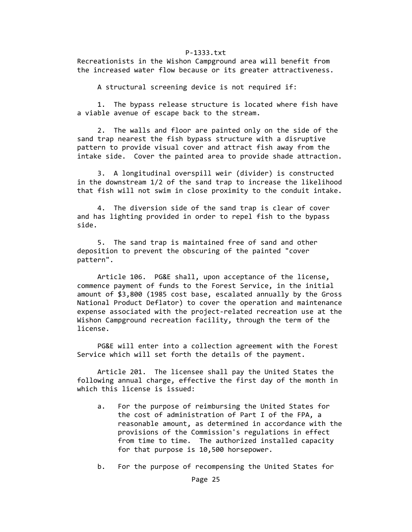Recreationists in the Wishon Campground area will benefit from the increased water flow because or its greater attractiveness.

A structural screening device is not required if:

 1. The bypass release structure is located where fish have a viable avenue of escape back to the stream.

 2. The walls and floor are painted only on the side of the sand trap nearest the fish bypass structure with a disruptive pattern to provide visual cover and attract fish away from the intake side. Cover the painted area to provide shade attraction.

 3. A longitudinal overspill weir (divider) is constructed in the downstream 1/2 of the sand trap to increase the likelihood that fish will not swim in close proximity to the conduit intake.

 4. The diversion side of the sand trap is clear of cover and has lighting provided in order to repel fish to the bypass side.

 5. The sand trap is maintained free of sand and other deposition to prevent the obscuring of the painted "cover pattern".

 Article 106. PG&E shall, upon acceptance of the license, commence payment of funds to the Forest Service, in the initial amount of \$3,800 (1985 cost base, escalated annually by the Gross National Product Deflator) to cover the operation and maintenance expense associated with the project‐related recreation use at the Wishon Campground recreation facility, through the term of the license.

 PG&E will enter into a collection agreement with the Forest Service which will set forth the details of the payment.

 Article 201. The licensee shall pay the United States the following annual charge, effective the first day of the month in which this license is issued:

- a. For the purpose of reimbursing the United States for the cost of administration of Part I of the FPA, a reasonable amount, as determined in accordance with the provisions of the Commission's regulations in effect from time to time. The authorized installed capacity for that purpose is 10,500 horsepower.
- b. For the purpose of recompensing the United States for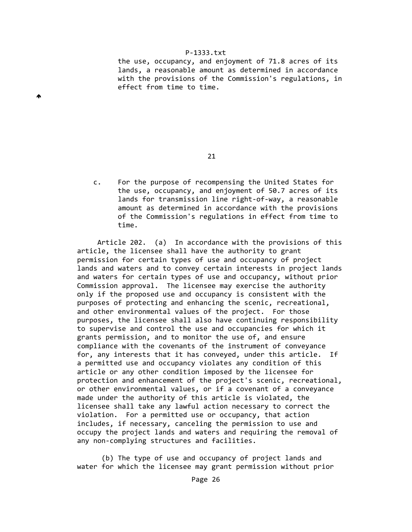$\blacktriangle$ 

 the use, occupancy, and enjoyment of 71.8 acres of its lands, a reasonable amount as determined in accordance with the provisions of the Commission's regulations, in effect from time to time.

 c. For the purpose of recompensing the United States for the use, occupancy, and enjoyment of 50.7 acres of its lands for transmission line right‐of‐way, a reasonable amount as determined in accordance with the provisions of the Commission's regulations in effect from time to time.

 Article 202. (a) In accordance with the provisions of this article, the licensee shall have the authority to grant permission for certain types of use and occupancy of project lands and waters and to convey certain interests in project lands and waters for certain types of use and occupancy, without prior Commission approval. The licensee may exercise the authority only if the proposed use and occupancy is consistent with the purposes of protecting and enhancing the scenic, recreational, and other environmental values of the project. For those purposes, the licensee shall also have continuing responsibility to supervise and control the use and occupancies for which it grants permission, and to monitor the use of, and ensure compliance with the covenants of the instrument of conveyance for, any interests that it has conveyed, under this article. If a permitted use and occupancy violates any condition of this article or any other condition imposed by the licensee for protection and enhancement of the project's scenic, recreational, or other environmental values, or if a covenant of a conveyance made under the authority of this article is violated, the licensee shall take any lawful action necessary to correct the violation. For a permitted use or occupancy, that action includes, if necessary, canceling the permission to use and occupy the project lands and waters and requiring the removal of any non‐complying structures and facilities.

 (b) The type of use and occupancy of project lands and water for which the licensee may grant permission without prior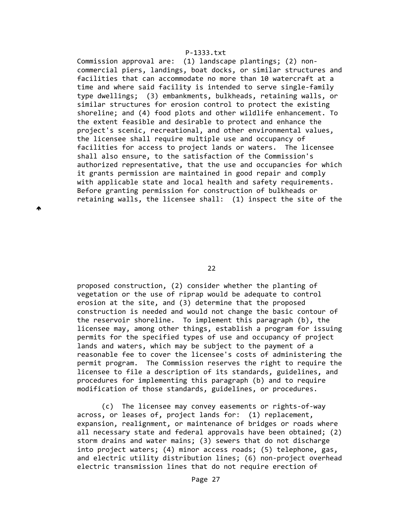Commission approval are: (1) landscape plantings; (2) non‐ commercial piers, landings, boat docks, or similar structures and facilities that can accommodate no more than 10 watercraft at a time and where said facility is intended to serve single‐family type dwellings; (3) embankments, bulkheads, retaining walls, or similar structures for erosion control to protect the existing shoreline; and (4) food plots and other wildlife enhancement. To the extent feasible and desirable to protect and enhance the project's scenic, recreational, and other environmental values, the licensee shall require multiple use and occupancy of facilities for access to project lands or waters. The licensee shall also ensure, to the satisfaction of the Commission's authorized representative, that the use and occupancies for which it grants permission are maintained in good repair and comply with applicable state and local health and safety requirements. Before granting permission for construction of bulkheads or retaining walls, the licensee shall: (1) inspect the site of the

<u>22</u>

♠

 proposed construction, (2) consider whether the planting of vegetation or the use of riprap would be adequate to control erosion at the site, and (3) determine that the proposed construction is needed and would not change the basic contour of the reservoir shoreline. To implement this paragraph (b), the licensee may, among other things, establish a program for issuing permits for the specified types of use and occupancy of project lands and waters, which may be subject to the payment of a reasonable fee to cover the licensee's costs of administering the permit program. The Commission reserves the right to require the licensee to file a description of its standards, guidelines, and procedures for implementing this paragraph (b) and to require modification of those standards, guidelines, or procedures.

 (c) The licensee may convey easements or rights‐of‐way across, or leases of, project lands for: (1) replacement, expansion, realignment, or maintenance of bridges or roads where all necessary state and federal approvals have been obtained; (2) storm drains and water mains; (3) sewers that do not discharge into project waters; (4) minor access roads; (5) telephone, gas, and electric utility distribution lines; (6) non‐project overhead electric transmission lines that do not require erection of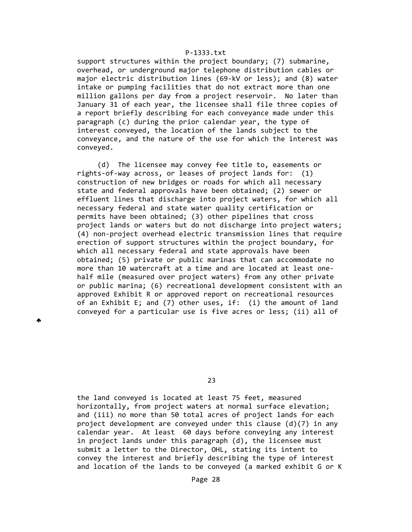support structures within the project boundary; (7) submarine, overhead, or underground major telephone distribution cables or major electric distribution lines (69‐kV or less); and (8) water intake or pumping facilities that do not extract more than one million gallons per day from a project reservoir. No later than January 31 of each year, the licensee shall file three copies of a report briefly describing for each conveyance made under this paragraph (c) during the prior calendar year, the type of interest conveyed, the location of the lands subject to the conveyance, and the nature of the use for which the interest was conveyed.

 (d) The licensee may convey fee title to, easements or rights‐of‐way across, or leases of project lands for: (1) construction of new bridges or roads for which all necessary state and federal approvals have been obtained; (2) sewer or effluent lines that discharge into project waters, for which all necessary federal and state water quality certification or permits have been obtained; (3) other pipelines that cross project lands or waters but do not discharge into project waters; (4) non‐project overhead electric transmission lines that require erection of support structures within the project boundary, for which all necessary federal and state approvals have been obtained; (5) private or public marinas that can accommodate no more than 10 watercraft at a time and are located at least one‐ half mile (measured over project waters) from any other private or public marina; (6) recreational development consistent with an approved Exhibit R or approved report on recreational resources of an Exhibit E; and (7) other uses, if: (i) the amount of land conveyed for a particular use is five acres or less; (ii) all of

♠

<u>23 and 23 and 23 and 23 and 23 and 23 and 23 and 23 and 23 and 23 and 23 and 23 and 23 and 23 and 23 and 23 and 23 and 23 and 23 and 23 and 23 and 23 and 23 and 23 and 23 and 23 and 23 and 23 and 23 and 23 and 23 and 23 a</u>

 the land conveyed is located at least 75 feet, measured horizontally, from project waters at normal surface elevation; and (iii) no more than 50 total acres of project lands for each project development are conveyed under this clause  $(d)(7)$  in any calendar year. At least 60 days before conveying any interest in project lands under this paragraph (d), the licensee must submit a letter to the Director, OHL, stating its intent to convey the interest and briefly describing the type of interest and location of the lands to be conveyed (a marked exhibit G or K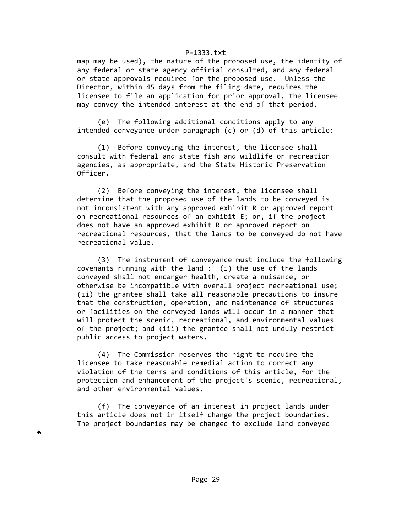map may be used), the nature of the proposed use, the identity of any federal or state agency official consulted, and any federal or state approvals required for the proposed use. Unless the Director, within 45 days from the filing date, requires the licensee to file an application for prior approval, the licensee may convey the intended interest at the end of that period.

 (e) The following additional conditions apply to any intended conveyance under paragraph (c) or (d) of this article:

 (1) Before conveying the interest, the licensee shall consult with federal and state fish and wildlife or recreation agencies, as appropriate, and the State Historic Preservation Officer.

 (2) Before conveying the interest, the licensee shall determine that the proposed use of the lands to be conveyed is not inconsistent with any approved exhibit R or approved report on recreational resources of an exhibit E; or, if the project does not have an approved exhibit R or approved report on recreational resources, that the lands to be conveyed do not have recreational value.

 (3) The instrument of conveyance must include the following covenants running with the land : (i) the use of the lands conveyed shall not endanger health, create a nuisance, or otherwise be incompatible with overall project recreational use; (ii) the grantee shall take all reasonable precautions to insure that the construction, operation, and maintenance of structures or facilities on the conveyed lands will occur in a manner that will protect the scenic, recreational, and environmental values of the project; and (iii) the grantee shall not unduly restrict public access to project waters.

 (4) The Commission reserves the right to require the licensee to take reasonable remedial action to correct any violation of the terms and conditions of this article, for the protection and enhancement of the project's scenic, recreational, and other environmental values.

 (f) The conveyance of an interest in project lands under this article does not in itself change the project boundaries. The project boundaries may be changed to exclude land conveyed

Ѧ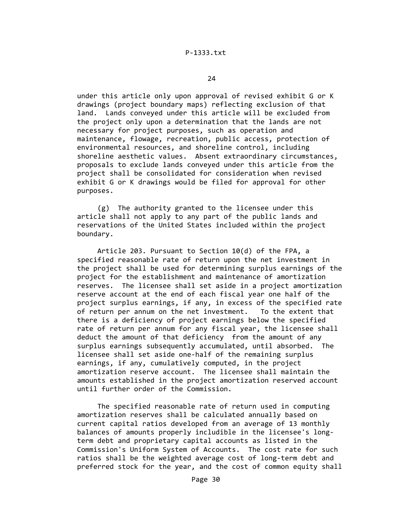under this article only upon approval of revised exhibit G or K drawings (project boundary maps) reflecting exclusion of that land. Lands conveyed under this article will be excluded from the project only upon a determination that the lands are not necessary for project purposes, such as operation and maintenance, flowage, recreation, public access, protection of environmental resources, and shoreline control, including shoreline aesthetic values. Absent extraordinary circumstances, proposals to exclude lands conveyed under this article from the project shall be consolidated for consideration when revised exhibit G or K drawings would be filed for approval for other purposes.

 (g) The authority granted to the licensee under this article shall not apply to any part of the public lands and reservations of the United States included within the project boundary.

 Article 203. Pursuant to Section 10(d) of the FPA, a specified reasonable rate of return upon the net investment in the project shall be used for determining surplus earnings of the project for the establishment and maintenance of amortization reserves. The licensee shall set aside in a project amortization reserve account at the end of each fiscal year one half of the project surplus earnings, if any, in excess of the specified rate of return per annum on the net investment. To the extent that there is a deficiency of project earnings below the specified rate of return per annum for any fiscal year, the licensee shall deduct the amount of that deficiency from the amount of any surplus earnings subsequently accumulated, until absorbed. The licensee shall set aside one‐half of the remaining surplus earnings, if any, cumulatively computed, in the project amortization reserve account. The licensee shall maintain the amounts established in the project amortization reserved account until further order of the Commission.

 The specified reasonable rate of return used in computing amortization reserves shall be calculated annually based on current capital ratios developed from an average of 13 monthly balances of amounts properly includible in the licensee's long‐ term debt and proprietary capital accounts as listed in the Commission's Uniform System of Accounts. The cost rate for such ratios shall be the weighted average cost of long‐term debt and preferred stock for the year, and the cost of common equity shall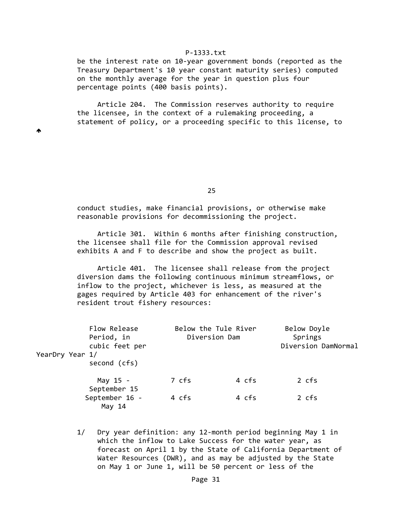be the interest rate on 10‐year government bonds (reported as the Treasury Department's 10 year constant maturity series) computed on the monthly average for the year in question plus four percentage points (400 basis points).

 Article 204. The Commission reserves authority to require the licensee, in the context of a rulemaking proceeding, a statement of policy, or a proceeding specific to this license, to

 conduct studies, make financial provisions, or otherwise make reasonable provisions for decommissioning the project.

 Article 301. Within 6 months after finishing construction, the licensee shall file for the Commission approval revised exhibits A and F to describe and show the project as built.

 Article 401. The licensee shall release from the project diversion dams the following continuous minimum streamflows, or inflow to the project, whichever is less, as measured at the gages required by Article 403 for enhancement of the river's resident trout fishery resources:

| YearDry Year 1/ | Flow Release<br>Period, in<br>cubic feet per<br>second (cfs) | Below the Tule River<br>Diversion Dam |       | Below Doyle<br>Springs<br>Diversion DamNormal |
|-----------------|--------------------------------------------------------------|---------------------------------------|-------|-----------------------------------------------|
|                 | May 15 -<br>September 15                                     | 7 cfs                                 | 4 cfs | 2 cfs                                         |
|                 | September 16 -<br>May 14                                     | 4 cfs                                 | 4 cfs | 2 cfs                                         |

1/ Dry year definition: any 12-month period beginning May 1 in which the inflow to Lake Success for the water year, as forecast on April 1 by the State of California Department of Water Resources (DWR), and as may be adjusted by the State on May 1 or June 1, will be 50 percent or less of the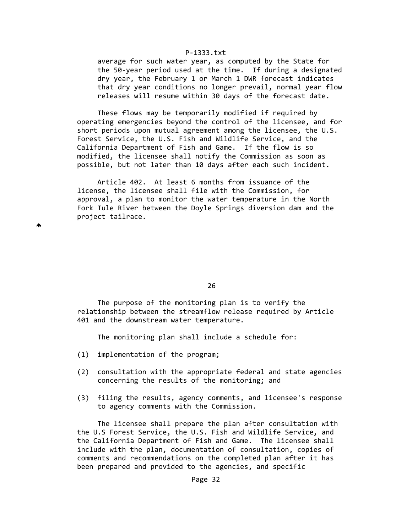average for such water year, as computed by the State for the 50‐year period used at the time. If during a designated dry year, the February 1 or March 1 DWR forecast indicates that dry year conditions no longer prevail, normal year flow releases will resume within 30 days of the forecast date.

 These flows may be temporarily modified if required by operating emergencies beyond the control of the licensee, and for short periods upon mutual agreement among the licensee, the U.S. Forest Service, the U.S. Fish and Wildlife Service, and the California Department of Fish and Game. If the flow is so modified, the licensee shall notify the Commission as soon as possible, but not later than 10 days after each such incident.

 Article 402. At least 6 months from issuance of the license, the licensee shall file with the Commission, for approval, a plan to monitor the water temperature in the North Fork Tule River between the Doyle Springs diversion dam and the project tailrace.

 $26$ 

 The purpose of the monitoring plan is to verify the relationship between the streamflow release required by Article 401 and the downstream water temperature.

The monitoring plan shall include a schedule for:

- (1) implementation of the program;
- (2) consultation with the appropriate federal and state agencies concerning the results of the monitoring; and
- (3) filing the results, agency comments, and licensee's response to agency comments with the Commission.

 The licensee shall prepare the plan after consultation with the U.S Forest Service, the U.S. Fish and Wildlife Service, and the California Department of Fish and Game. The licensee shall include with the plan, documentation of consultation, copies of comments and recommendations on the completed plan after it has been prepared and provided to the agencies, and specific

₳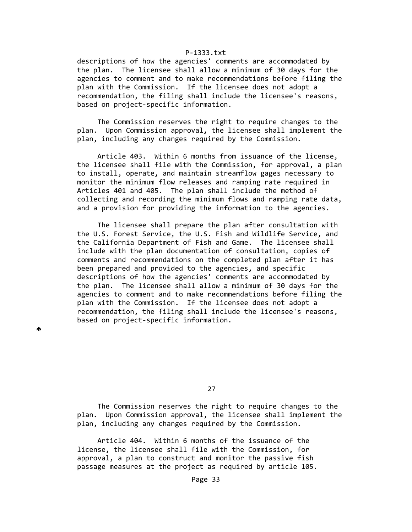descriptions of how the agencies' comments are accommodated by the plan. The licensee shall allow a minimum of 30 days for the agencies to comment and to make recommendations before filing the plan with the Commission. If the licensee does not adopt a recommendation, the filing shall include the licensee's reasons, based on project‐specific information.

 The Commission reserves the right to require changes to the plan. Upon Commission approval, the licensee shall implement the plan, including any changes required by the Commission.

 Article 403. Within 6 months from issuance of the license, the licensee shall file with the Commission, for approval, a plan to install, operate, and maintain streamflow gages necessary to monitor the minimum flow releases and ramping rate required in Articles 401 and 405. The plan shall include the method of collecting and recording the minimum flows and ramping rate data, and a provision for providing the information to the agencies.

 The licensee shall prepare the plan after consultation with the U.S. Forest Service, the U.S. Fish and Wildlife Service, and the California Department of Fish and Game. The licensee shall include with the plan documentation of consultation, copies of comments and recommendations on the completed plan after it has been prepared and provided to the agencies, and specific descriptions of how the agencies' comments are accommodated by the plan. The licensee shall allow a minimum of 30 days for the agencies to comment and to make recommendations before filing the plan with the Commission. If the licensee does not adopt a recommendation, the filing shall include the licensee's reasons, based on project‐specific information.

₳

<u>27 and 27</u>

 The Commission reserves the right to require changes to the plan. Upon Commission approval, the licensee shall implement the plan, including any changes required by the Commission.

 Article 404. Within 6 months of the issuance of the license, the licensee shall file with the Commission, for approval, a plan to construct and monitor the passive fish passage measures at the project as required by article 105.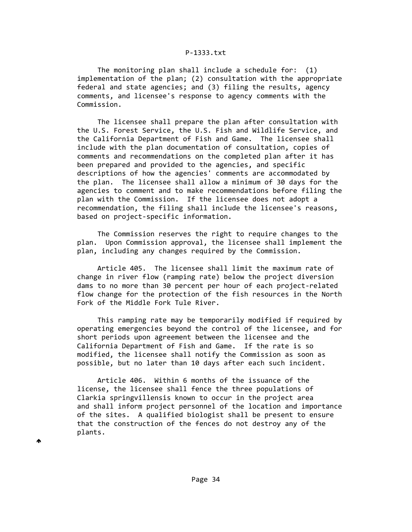The monitoring plan shall include a schedule for: (1) implementation of the plan; (2) consultation with the appropriate federal and state agencies; and (3) filing the results, agency comments, and licensee's response to agency comments with the Commission.

 The licensee shall prepare the plan after consultation with the U.S. Forest Service, the U.S. Fish and Wildlife Service, and the California Department of Fish and Game. The licensee shall include with the plan documentation of consultation, copies of comments and recommendations on the completed plan after it has been prepared and provided to the agencies, and specific descriptions of how the agencies' comments are accommodated by the plan. The licensee shall allow a minimum of 30 days for the agencies to comment and to make recommendations before filing the plan with the Commission. If the licensee does not adopt a recommendation, the filing shall include the licensee's reasons, based on project‐specific information.

 The Commission reserves the right to require changes to the plan. Upon Commission approval, the licensee shall implement the plan, including any changes required by the Commission.

 Article 405. The licensee shall limit the maximum rate of change in river flow (ramping rate) below the project diversion dams to no more than 30 percent per hour of each project‐related flow change for the protection of the fish resources in the North Fork of the Middle Fork Tule River.

 This ramping rate may be temporarily modified if required by operating emergencies beyond the control of the licensee, and for short periods upon agreement between the licensee and the California Department of Fish and Game. If the rate is so modified, the licensee shall notify the Commission as soon as possible, but no later than 10 days after each such incident.

 Article 406. Within 6 months of the issuance of the license, the licensee shall fence the three populations of Clarkia springvillensis known to occur in the project area and shall inform project personnel of the location and importance of the sites. A qualified biologist shall be present to ensure that the construction of the fences do not destroy any of the plants.

♠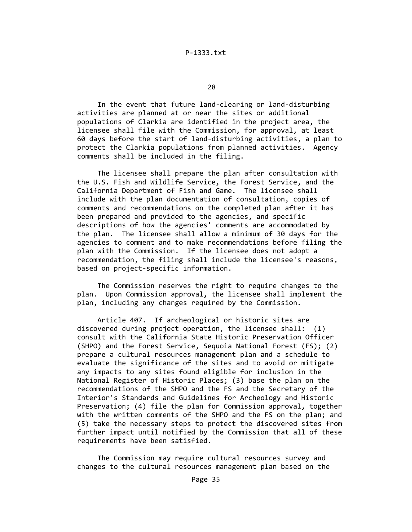In the event that future land‐clearing or land‐disturbing activities are planned at or near the sites or additional populations of Clarkia are identified in the project area, the licensee shall file with the Commission, for approval, at least 60 days before the start of land‐disturbing activities, a plan to protect the Clarkia populations from planned activities. Agency comments shall be included in the filing.

 The licensee shall prepare the plan after consultation with the U.S. Fish and Wildlife Service, the Forest Service, and the California Department of Fish and Game. The licensee shall include with the plan documentation of consultation, copies of comments and recommendations on the completed plan after it has been prepared and provided to the agencies, and specific descriptions of how the agencies' comments are accommodated by the plan. The licensee shall allow a minimum of 30 days for the agencies to comment and to make recommendations before filing the plan with the Commission. If the licensee does not adopt a recommendation, the filing shall include the licensee's reasons, based on project‐specific information.

 The Commission reserves the right to require changes to the plan. Upon Commission approval, the licensee shall implement the plan, including any changes required by the Commission.

 Article 407. If archeological or historic sites are discovered during project operation, the licensee shall: (1) consult with the California State Historic Preservation Officer (SHPO) and the Forest Service, Sequoia National Forest (FS); (2) prepare a cultural resources management plan and a schedule to evaluate the significance of the sites and to avoid or mitigate any impacts to any sites found eligible for inclusion in the National Register of Historic Places; (3) base the plan on the recommendations of the SHPO and the FS and the Secretary of the Interior's Standards and Guidelines for Archeology and Historic Preservation; (4) file the plan for Commission approval, together with the written comments of the SHPO and the FS on the plan; and (5) take the necessary steps to protect the discovered sites from further impact until notified by the Commission that all of these requirements have been satisfied.

 The Commission may require cultural resources survey and changes to the cultural resources management plan based on the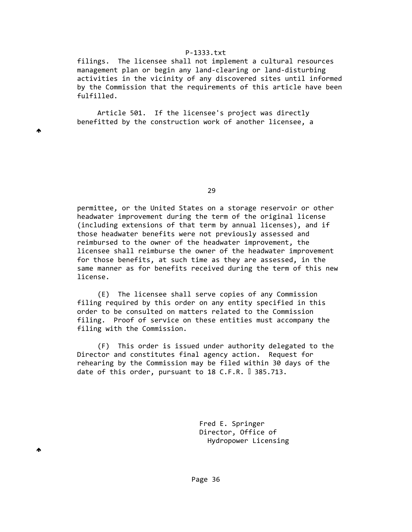filings. The licensee shall not implement a cultural resources management plan or begin any land‐clearing or land‐disturbing activities in the vicinity of any discovered sites until informed by the Commission that the requirements of this article have been fulfilled.

 Article 501. If the licensee's project was directly benefitted by the construction work of another licensee, a

♠

<u>29 and 20 and 20 and 20 and 20 and 20 and 20 and 20 and 20 and 20 and 20 and 20 and 20 and 20 and 20 and 20 and 20 and 20 and 20 and 20 and 20 and 20 and 20 and 20 and 20 and 20 and 20 and 20 and 20 and 20 and 20 and 20 a</u>

 permittee, or the United States on a storage reservoir or other headwater improvement during the term of the original license (including extensions of that term by annual licenses), and if those headwater benefits were not previously assessed and reimbursed to the owner of the headwater improvement, the licensee shall reimburse the owner of the headwater improvement for those benefits, at such time as they are assessed, in the same manner as for benefits received during the term of this new license.

 (E) The licensee shall serve copies of any Commission filing required by this order on any entity specified in this order to be consulted on matters related to the Commission filing. Proof of service on these entities must accompany the filing with the Commission.

 (F) This order is issued under authority delegated to the Director and constitutes final agency action. Request for rehearing by the Commission may be filed within 30 days of the date of this order, pursuant to 18 C.F.R.  $\mathbb I$  385.713.

> Fred E. Springer Director, Office of Hydropower Licensing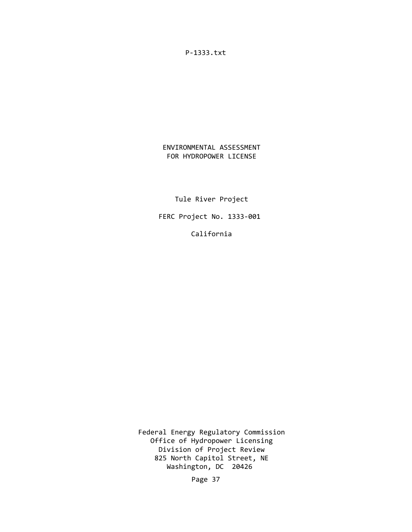ENVIRONMENTAL ASSESSMENT FOR HYDROPOWER LICENSE

Tule River Project

FERC Project No. 1333‐001

California

 Federal Energy Regulatory Commission Office of Hydropower Licensing Division of Project Review 825 North Capitol Street, NE Washington, DC 20426

Page 37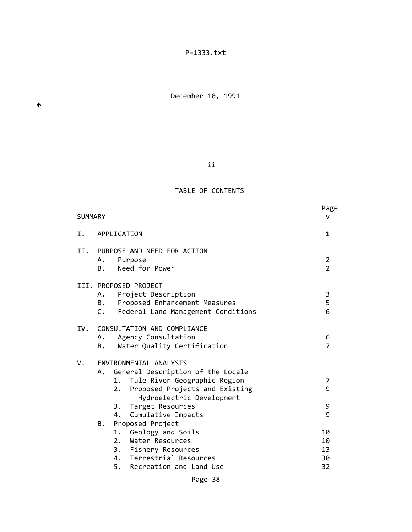ii

# TABLE OF CONTENTS

| <b>SUMMARY</b> |                                                                   | Page<br>v      |
|----------------|-------------------------------------------------------------------|----------------|
| Ι.             | APPLICATION                                                       | $\mathbf 1$    |
| II.            | PURPOSE AND NEED FOR ACTION<br>Purpose<br>А.                      | $\overline{2}$ |
|                | Need for Power<br><b>B</b> .                                      | $\overline{2}$ |
|                | III. PROPOSED PROJECT                                             |                |
|                | Project Description<br>А.                                         | 3              |
|                | Proposed Enhancement Measures<br>B.,                              | 5              |
|                | C.<br>Federal Land Management Conditions                          | 6              |
| IV.            | CONSULTATION AND COMPLIANCE                                       |                |
|                | Agency Consultation<br>А.                                         | 6              |
|                | Water Quality Certification<br>В.                                 | $\overline{7}$ |
| V.             | ENVIRONMENTAL ANALYSIS                                            |                |
|                | General Description of the Locale<br>А.                           |                |
|                | Tule River Geographic Region<br>1.                                | 7              |
|                | 2.<br>Proposed Projects and Existing<br>Hydroelectric Development | 9              |
|                | Target Resources<br>3.                                            | 9              |
|                | Cumulative Impacts<br>4.                                          | 9              |
|                | Proposed Project<br>В.                                            |                |
|                | Geology and Soils<br>1.                                           | 10             |
|                | 2.<br>Water Resources                                             | 10             |
|                | 3.<br>Fishery Resources                                           | 13             |
|                | Terrestrial Resources<br>4.                                       | 30             |
|                | 5.<br>Recreation and Land Use                                     | 32             |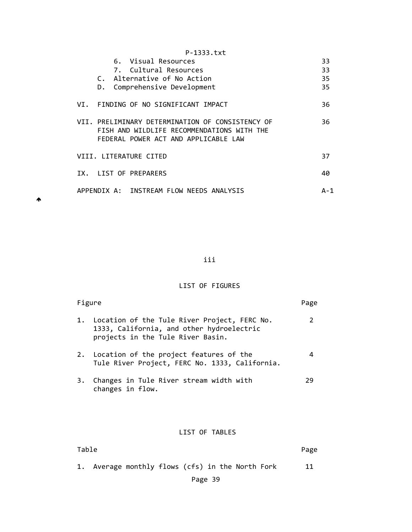|     | P-1333.txt                                                                                                                             |     |
|-----|----------------------------------------------------------------------------------------------------------------------------------------|-----|
|     | 6. Visual Resources                                                                                                                    | 33  |
|     | 7. Cultural Resources                                                                                                                  | 33  |
|     | Alternative of No Action<br>C.                                                                                                         | 35  |
|     | Comprehensive Development<br>D.                                                                                                        | 35  |
| VT. | FINDING OF NO SIGNIFICANT IMPACT                                                                                                       | 36  |
|     | VII. PRELIMINARY DETERMINATION OF CONSISTENCY OF<br>FISH AND WILDLIFE RECOMMENDATIONS WITH THE<br>FEDERAL POWER ACT AND APPLICABLE LAW | 36  |
|     | VIII. LITERATURE CITED                                                                                                                 | 37  |
| IX. | LIST OF PREPARERS                                                                                                                      | 40  |
|     | APPENDIX A: INSTREAM FLOW NEEDS ANALYSIS                                                                                               | A-1 |

 $\blacktriangle$ 

iii

# LIST OF FIGURES

| Figure |                                                                                                                                   | Page |
|--------|-----------------------------------------------------------------------------------------------------------------------------------|------|
|        | 1. Location of the Tule River Project, FERC No.<br>1333, California, and other hydroelectric<br>projects in the Tule River Basin. | 2    |
|        | 2. Location of the project features of the<br>Tule River Project, FERC No. 1333, California.                                      | 4    |
| 3.     | Changes in Tule River stream width with<br>changes in flow.                                                                       | 29   |
|        | LIST OF TABLES                                                                                                                    |      |

| 1. Average monthly flows (cfs) in the North Fork |  |  |  |  |
|--------------------------------------------------|--|--|--|--|

Table Page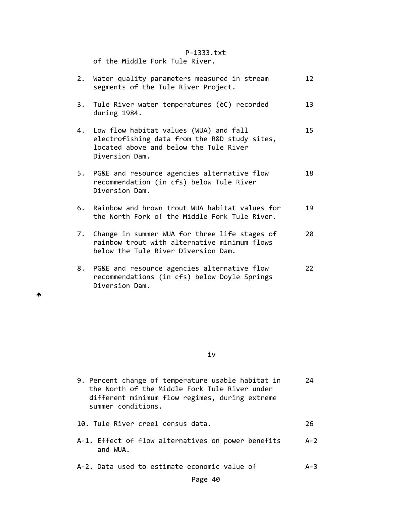of the Middle Fork Tule River.

 $\spadesuit$ 

|    | 2. Water quality parameters measured in stream<br>segments of the Tule River Project.                                                                  | 12 |
|----|--------------------------------------------------------------------------------------------------------------------------------------------------------|----|
|    | 3. Tule River water temperatures (èC) recorded<br>during 1984.                                                                                         | 13 |
|    | 4. Low flow habitat values (WUA) and fall<br>electrofishing data from the R&D study sites,<br>located above and below the Tule River<br>Diversion Dam. | 15 |
|    | 5. PG&E and resource agencies alternative flow<br>recommendation (in cfs) below Tule River<br>Diversion Dam.                                           | 18 |
| 6. | Rainbow and brown trout WUA habitat values for<br>the North Fork of the Middle Fork Tule River.                                                        | 19 |
|    | 7. Change in summer WUA for three life stages of<br>rainbow trout with alternative minimum flows<br>below the Tule River Diversion Dam.                | 20 |
| 8. | PG&E and resource agencies alternative flow<br>recommendations (in cfs) below Doyle Springs<br>Diversion Dam.                                          | 22 |

#### iv

| 9. Percent change of temperature usable habitat in<br>the North of the Middle Fork Tule River under<br>different minimum flow regimes, during extreme<br>summer conditions. | 24      |
|-----------------------------------------------------------------------------------------------------------------------------------------------------------------------------|---------|
| 10. Tule River creel census data.                                                                                                                                           | 26      |
| A-1. Effect of flow alternatives on power benefits<br>and WUA.                                                                                                              | $A - 2$ |
| A-2. Data used to estimate economic value of                                                                                                                                | $A - 3$ |
| Page 40                                                                                                                                                                     |         |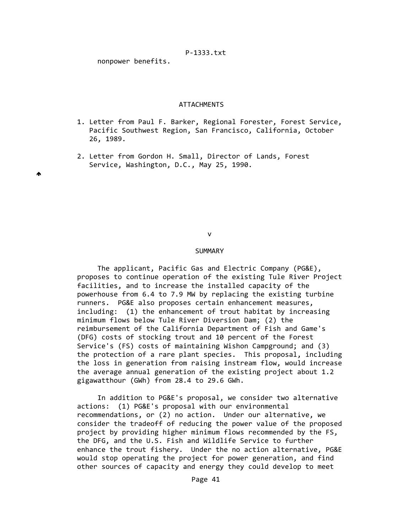nonpower benefits.

♠

## **ATTACHMENTS**

- 1. Letter from Paul F. Barker, Regional Forester, Forest Service, Pacific Southwest Region, San Francisco, California, October 26, 1989.
- 2. Letter from Gordon H. Small, Director of Lands, Forest Service, Washington, D.C., May 25, 1990.

version of the contract of the contract of the contract of the contract of the contract of the contract of the<br>The contract of the contract of the contract of the contract of the contract of the contract of the contract o

#### SUMMARY

 The applicant, Pacific Gas and Electric Company (PG&E), proposes to continue operation of the existing Tule River Project facilities, and to increase the installed capacity of the powerhouse from 6.4 to 7.9 MW by replacing the existing turbine runners. PG&E also proposes certain enhancement measures, including: (1) the enhancement of trout habitat by increasing minimum flows below Tule River Diversion Dam; (2) the reimbursement of the California Department of Fish and Game's (DFG) costs of stocking trout and 10 percent of the Forest Service's (FS) costs of maintaining Wishon Campground; and (3) the protection of a rare plant species. This proposal, including the loss in generation from raising instream flow, would increase the average annual generation of the existing project about 1.2 gigawatthour (GWh) from 28.4 to 29.6 GWh.

 In addition to PG&E's proposal, we consider two alternative actions: (1) PG&E's proposal with our environmental recommendations, or (2) no action. Under our alternative, we consider the tradeoff of reducing the power value of the proposed project by providing higher minimum flows recommended by the FS, the DFG, and the U.S. Fish and Wildlife Service to further enhance the trout fishery. Under the no action alternative, PG&E would stop operating the project for power generation, and find other sources of capacity and energy they could develop to meet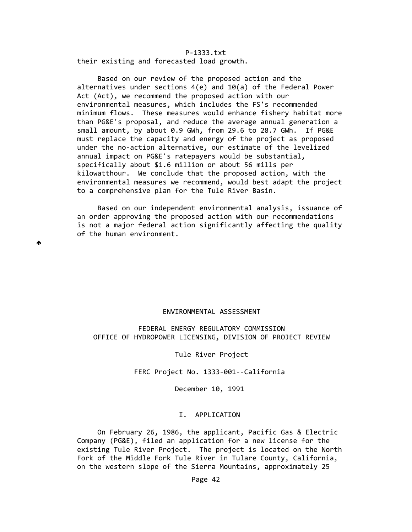P‐1333.txt their existing and forecasted load growth.

♠

 Based on our review of the proposed action and the alternatives under sections 4(e) and 10(a) of the Federal Power Act (Act), we recommend the proposed action with our environmental measures, which includes the FS's recommended minimum flows. These measures would enhance fishery habitat more than PG&E's proposal, and reduce the average annual generation a small amount, by about 0.9 GWh, from 29.6 to 28.7 GWh. If PG&E must replace the capacity and energy of the project as proposed under the no‐action alternative, our estimate of the levelized annual impact on PG&E's ratepayers would be substantial, specifically about \$1.6 million or about 56 mills per kilowatthour. We conclude that the proposed action, with the environmental measures we recommend, would best adapt the project to a comprehensive plan for the Tule River Basin.

 Based on our independent environmental analysis, issuance of an order approving the proposed action with our recommendations is not a major federal action significantly affecting the quality of the human environment.

#### ENVIRONMENTAL ASSESSMENT

 FEDERAL ENERGY REGULATORY COMMISSION OFFICE OF HYDROPOWER LICENSING, DIVISION OF PROJECT REVIEW

### Tule River Project

FERC Project No. 1333‐001‐‐California

December 10, 1991

## I. APPLICATION

 On February 26, 1986, the applicant, Pacific Gas & Electric Company (PG&E), filed an application for a new license for the existing Tule River Project. The project is located on the North Fork of the Middle Fork Tule River in Tulare County, California, on the western slope of the Sierra Mountains, approximately 25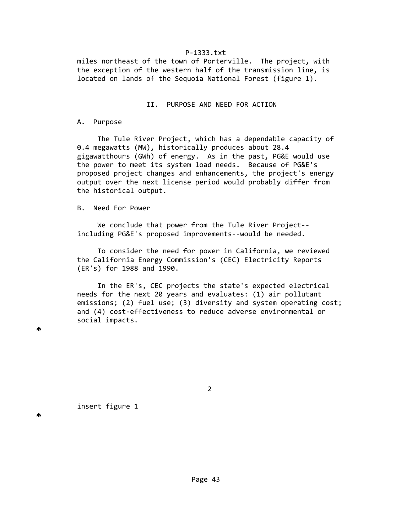miles northeast of the town of Porterville. The project, with the exception of the western half of the transmission line, is located on lands of the Sequoia National Forest (figure 1).

#### II. PURPOSE AND NEED FOR ACTION

#### A. Purpose

 The Tule River Project, which has a dependable capacity of 0.4 megawatts (MW), historically produces about 28.4 gigawatthours (GWh) of energy. As in the past, PG&E would use the power to meet its system load needs. Because of PG&E's proposed project changes and enhancements, the project's energy output over the next license period would probably differ from the historical output.

#### B. Need For Power

We conclude that power from the Tule River Project--including PG&E's proposed improvements‐‐would be needed.

 To consider the need for power in California, we reviewed the California Energy Commission's (CEC) Electricity Reports (ER's) for 1988 and 1990.

 In the ER's, CEC projects the state's expected electrical needs for the next 20 years and evaluates: (1) air pollutant emissions; (2) fuel use; (3) diversity and system operating cost; and (4) cost‐effectiveness to reduce adverse environmental or social impacts.

2

insert figure 1

₳

₳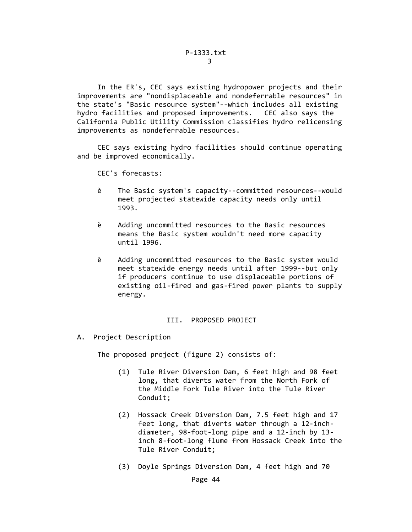In the ER's, CEC says existing hydropower projects and their improvements are "nondisplaceable and nondeferrable resources" in the state's "Basic resource system"‐‐which includes all existing hydro facilities and proposed improvements. CEC also says the California Public Utility Commission classifies hydro relicensing improvements as nondeferrable resources.

 CEC says existing hydro facilities should continue operating and be improved economically.

CEC's forecasts:

- è The Basic system's capacity‐‐committed resources‐‐would meet projected statewide capacity needs only until 1993.
- è Adding uncommitted resources to the Basic resources means the Basic system wouldn't need more capacity until 1996.
- è Adding uncommitted resources to the Basic system would meet statewide energy needs until after 1999‐‐but only if producers continue to use displaceable portions of existing oil‐fired and gas‐fired power plants to supply energy.

# III. PROPOSED PROJECT

A. Project Description

The proposed project (figure 2) consists of:

- (1) Tule River Diversion Dam, 6 feet high and 98 feet long, that diverts water from the North Fork of the Middle Fork Tule River into the Tule River Conduit;
- (2) Hossack Creek Diversion Dam, 7.5 feet high and 17 feet long, that diverts water through a 12‐inch‐ diameter, 98‐foot‐long pipe and a 12‐inch by 13‐ inch 8‐foot‐long flume from Hossack Creek into the Tule River Conduit;
- (3) Doyle Springs Diversion Dam, 4 feet high and 70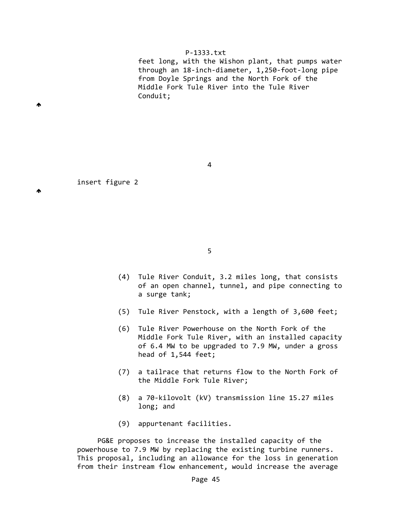feet long, with the Wishon plant, that pumps water through an 18‐inch‐diameter, 1,250‐foot‐long pipe from Doyle Springs and the North Fork of the Middle Fork Tule River into the Tule River Conduit;

4

insert figure 2

₳

the contract of the contract of the contract of the contract of the contract of the contract of the contract o

- (4) Tule River Conduit, 3.2 miles long, that consists of an open channel, tunnel, and pipe connecting to a surge tank;
- (5) Tule River Penstock, with a length of 3,600 feet;
- (6) Tule River Powerhouse on the North Fork of the Middle Fork Tule River, with an installed capacity of 6.4 MW to be upgraded to 7.9 MW, under a gross head of 1,544 feet;
- (7) a tailrace that returns flow to the North Fork of the Middle Fork Tule River;
- (8) a 70‐kilovolt (kV) transmission line 15.27 miles long; and
- (9) appurtenant facilities.

 PG&E proposes to increase the installed capacity of the powerhouse to 7.9 MW by replacing the existing turbine runners. This proposal, including an allowance for the loss in generation from their instream flow enhancement, would increase the average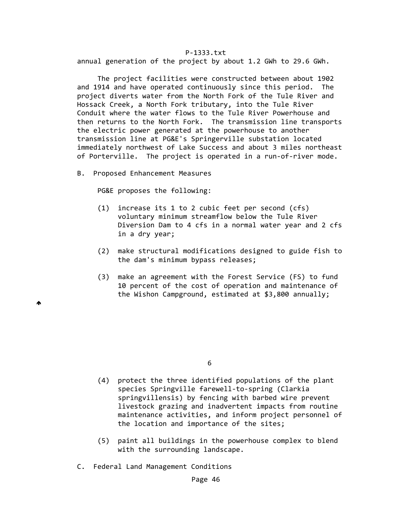annual generation of the project by about 1.2 GWh to 29.6 GWh.

 The project facilities were constructed between about 1902 and 1914 and have operated continuously since this period. The project diverts water from the North Fork of the Tule River and Hossack Creek, a North Fork tributary, into the Tule River Conduit where the water flows to the Tule River Powerhouse and then returns to the North Fork. The transmission line transports the electric power generated at the powerhouse to another transmission line at PG&E's Springerville substation located immediately northwest of Lake Success and about 3 miles northeast of Porterville. The project is operated in a run-of-river mode.

B. Proposed Enhancement Measures

Ѧ

PG&E proposes the following:

- (1) increase its 1 to 2 cubic feet per second (cfs) voluntary minimum streamflow below the Tule River Diversion Dam to 4 cfs in a normal water year and 2 cfs in a dry year;
- (2) make structural modifications designed to guide fish to the dam's minimum bypass releases;
- (3) make an agreement with the Forest Service (FS) to fund 10 percent of the cost of operation and maintenance of the Wishon Campground, estimated at \$3,800 annually;

- (4) protect the three identified populations of the plant species Springville farewell-to-spring (Clarkia springvillensis) by fencing with barbed wire prevent livestock grazing and inadvertent impacts from routine maintenance activities, and inform project personnel of the location and importance of the sites;
- (5) paint all buildings in the powerhouse complex to blend with the surrounding landscape.
- C. Federal Land Management Conditions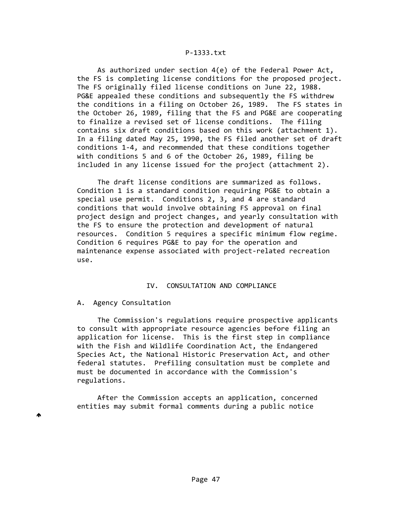As authorized under section 4(e) of the Federal Power Act, the FS is completing license conditions for the proposed project. The FS originally filed license conditions on June 22, 1988. PG&E appealed these conditions and subsequently the FS withdrew the conditions in a filing on October 26, 1989. The FS states in the October 26, 1989, filing that the FS and PG&E are cooperating to finalize a revised set of license conditions. The filing contains six draft conditions based on this work (attachment 1). In a filing dated May 25, 1990, the FS filed another set of draft conditions 1‐4, and recommended that these conditions together with conditions 5 and 6 of the October 26, 1989, filing be included in any license issued for the project (attachment 2).

 The draft license conditions are summarized as follows. Condition 1 is a standard condition requiring PG&E to obtain a special use permit. Conditions 2, 3, and 4 are standard conditions that would involve obtaining FS approval on final project design and project changes, and yearly consultation with the FS to ensure the protection and development of natural resources. Condition 5 requires a specific minimum flow regime. Condition 6 requires PG&E to pay for the operation and maintenance expense associated with project‐related recreation use.

# IV. CONSULTATION AND COMPLIANCE

# A. Agency Consultation

 The Commission's regulations require prospective applicants to consult with appropriate resource agencies before filing an application for license. This is the first step in compliance with the Fish and Wildlife Coordination Act, the Endangered Species Act, the National Historic Preservation Act, and other federal statutes. Prefiling consultation must be complete and must be documented in accordance with the Commission's regulations.

 After the Commission accepts an application, concerned entities may submit formal comments during a public notice

₳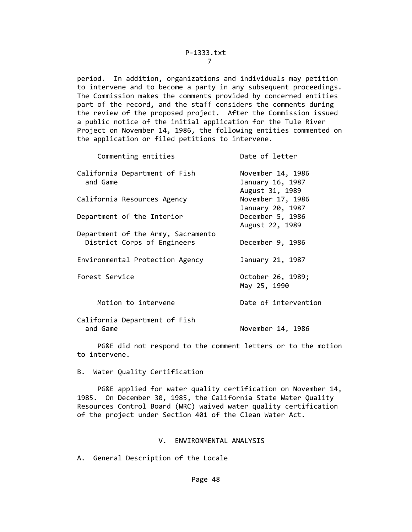period. In addition, organizations and individuals may petition to intervene and to become a party in any subsequent proceedings. The Commission makes the comments provided by concerned entities part of the record, and the staff considers the comments during the review of the proposed project. After the Commission issued a public notice of the initial application for the Tule River Project on November 14, 1986, the following entities commented on the application or filed petitions to intervene.

| Commenting entities                                               | Date of letter                                           |
|-------------------------------------------------------------------|----------------------------------------------------------|
| California Department of Fish<br>and Game                         | November 14, 1986<br>January 16, 1987<br>August 31, 1989 |
| California Resources Agency                                       | November 17, 1986<br>January 20, 1987                    |
| Department of the Interior                                        | December 5, 1986<br>August 22, 1989                      |
| Department of the Army, Sacramento<br>District Corps of Engineers | December 9, 1986                                         |
| Environmental Protection Agency                                   | January 21, 1987                                         |
| Forest Service                                                    | October 26, 1989;<br>May 25, 1990                        |
| Motion to intervene                                               | Date of intervention                                     |
| California Department of Fish<br>and Game                         | November 14, 1986                                        |

 PG&E did not respond to the comment letters or to the motion to intervene.

B. Water Quality Certification

 PG&E applied for water quality certification on November 14, 1985. On December 30, 1985, the California State Water Quality Resources Control Board (WRC) waived water quality certification of the project under Section 401 of the Clean Water Act.

# V. ENVIRONMENTAL ANALYSIS

A. General Description of the Locale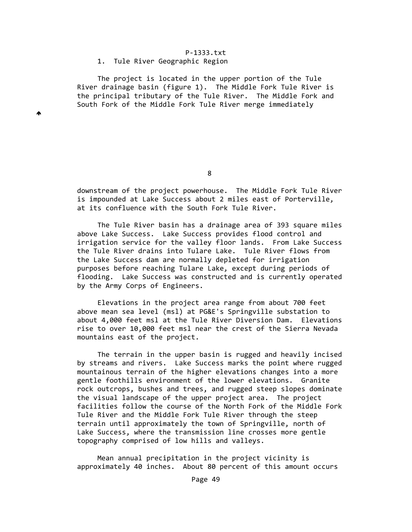#### 1. Tule River Geographic Region

₳

 The project is located in the upper portion of the Tule River drainage basin (figure 1). The Middle Fork Tule River is the principal tributary of the Tule River. The Middle Fork and South Fork of the Middle Fork Tule River merge immediately

<u>8 and 2008 and 2008 and 2008 and 2008 and 2008 and 2008 and 2008 and 2008 and 2008 and 2008 and 2008 and 2008 </u>

 downstream of the project powerhouse. The Middle Fork Tule River is impounded at Lake Success about 2 miles east of Porterville, at its confluence with the South Fork Tule River.

 The Tule River basin has a drainage area of 393 square miles above Lake Success. Lake Success provides flood control and irrigation service for the valley floor lands. From Lake Success the Tule River drains into Tulare Lake. Tule River flows from the Lake Success dam are normally depleted for irrigation purposes before reaching Tulare Lake, except during periods of flooding. Lake Success was constructed and is currently operated by the Army Corps of Engineers.

 Elevations in the project area range from about 700 feet above mean sea level (msl) at PG&E's Springville substation to about 4,000 feet msl at the Tule River Diversion Dam. Elevations rise to over 10,000 feet msl near the crest of the Sierra Nevada mountains east of the project.

 The terrain in the upper basin is rugged and heavily incised by streams and rivers. Lake Success marks the point where rugged mountainous terrain of the higher elevations changes into a more gentle foothills environment of the lower elevations. Granite rock outcrops, bushes and trees, and rugged steep slopes dominate the visual landscape of the upper project area. The project facilities follow the course of the North Fork of the Middle Fork Tule River and the Middle Fork Tule River through the steep terrain until approximately the town of Springville, north of Lake Success, where the transmission line crosses more gentle topography comprised of low hills and valleys.

 Mean annual precipitation in the project vicinity is approximately 40 inches. About 80 percent of this amount occurs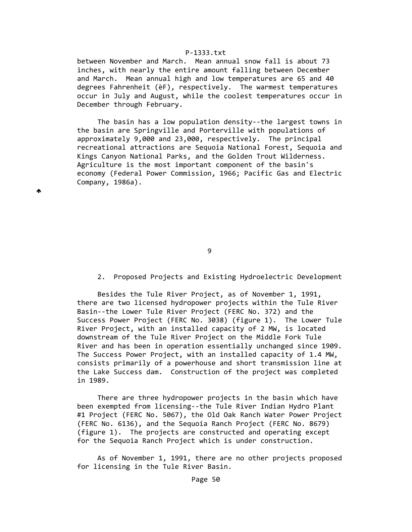between November and March. Mean annual snow fall is about 73 inches, with nearly the entire amount falling between December and March. Mean annual high and low temperatures are 65 and 40 degrees Fahrenheit (èF), respectively. The warmest temperatures occur in July and August, while the coolest temperatures occur in December through February.

 The basin has a low population density‐‐the largest towns in the basin are Springville and Porterville with populations of approximately 9,000 and 23,000, respectively. The principal recreational attractions are Sequoia National Forest, Sequoia and Kings Canyon National Parks, and the Golden Trout Wilderness. Agriculture is the most important component of the basin's economy (Federal Power Commission, 1966; Pacific Gas and Electric Company, 1986a).

₳

e de la construcción de la construcción de la construcción de la construcción de la construcción de la constru

2. Proposed Projects and Existing Hydroelectric Development

 Besides the Tule River Project, as of November 1, 1991, there are two licensed hydropower projects within the Tule River Basin‐‐the Lower Tule River Project (FERC No. 372) and the Success Power Project (FERC No. 3038) (figure 1). The Lower Tule River Project, with an installed capacity of 2 MW, is located downstream of the Tule River Project on the Middle Fork Tule River and has been in operation essentially unchanged since 1909. The Success Power Project, with an installed capacity of 1.4 MW, consists primarily of a powerhouse and short transmission line at the Lake Success dam. Construction of the project was completed in 1989.

 There are three hydropower projects in the basin which have been exempted from licensing‐‐the Tule River Indian Hydro Plant #1 Project (FERC No. 5067), the Old Oak Ranch Water Power Project (FERC No. 6136), and the Sequoia Ranch Project (FERC No. 8679) (figure 1). The projects are constructed and operating except for the Sequoia Ranch Project which is under construction.

 As of November 1, 1991, there are no other projects proposed for licensing in the Tule River Basin.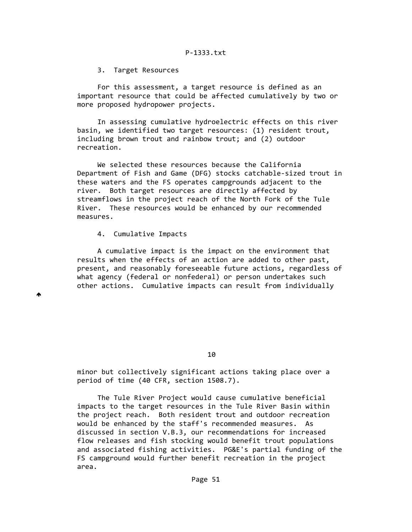3. Target Resources

 For this assessment, a target resource is defined as an important resource that could be affected cumulatively by two or more proposed hydropower projects.

 In assessing cumulative hydroelectric effects on this river basin, we identified two target resources: (1) resident trout, including brown trout and rainbow trout; and (2) outdoor recreation.

 We selected these resources because the California Department of Fish and Game (DFG) stocks catchable‐sized trout in these waters and the FS operates campgrounds adjacent to the river. Both target resources are directly affected by streamflows in the project reach of the North Fork of the Tule River. These resources would be enhanced by our recommended measures.

#### 4. Cumulative Impacts

 A cumulative impact is the impact on the environment that results when the effects of an action are added to other past, present, and reasonably foreseeable future actions, regardless of what agency (federal or nonfederal) or person undertakes such other actions. Cumulative impacts can result from individually

W

10

 minor but collectively significant actions taking place over a period of time (40 CFR, section 1508.7).

 The Tule River Project would cause cumulative beneficial impacts to the target resources in the Tule River Basin within the project reach. Both resident trout and outdoor recreation would be enhanced by the staff's recommended measures. As discussed in section V.B.3, our recommendations for increased flow releases and fish stocking would benefit trout populations and associated fishing activities. PG&E's partial funding of the FS campground would further benefit recreation in the project area.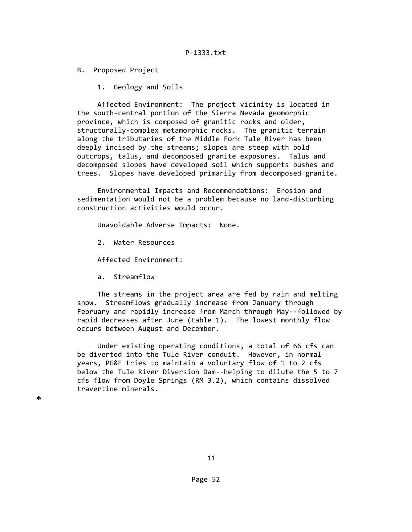B. Proposed Project

1. Geology and Soils

 Affected Environment: The project vicinity is located in the south‐central portion of the Sierra Nevada geomorphic province, which is composed of granitic rocks and older, structurally-complex metamorphic rocks. The granitic terrain along the tributaries of the Middle Fork Tule River has been deeply incised by the streams; slopes are steep with bold outcrops, talus, and decomposed granite exposures. Talus and decomposed slopes have developed soil which supports bushes and trees. Slopes have developed primarily from decomposed granite.

 Environmental Impacts and Recommendations: Erosion and sedimentation would not be a problem because no land‐disturbing construction activities would occur.

Unavoidable Adverse Impacts: None.

2. Water Resources

Affected Environment:

a. Streamflow

 The streams in the project area are fed by rain and melting snow. Streamflows gradually increase from January through February and rapidly increase from March through May‐‐followed by rapid decreases after June (table 1). The lowest monthly flow occurs between August and December.

 Under existing operating conditions, a total of 66 cfs can be diverted into the Tule River conduit. However, in normal years, PG&E tries to maintain a voluntary flow of 1 to 2 cfs below the Tule River Diversion Dam‐‐helping to dilute the 5 to 7 cfs flow from Doyle Springs (RM 3.2), which contains dissolved travertine minerals.

▲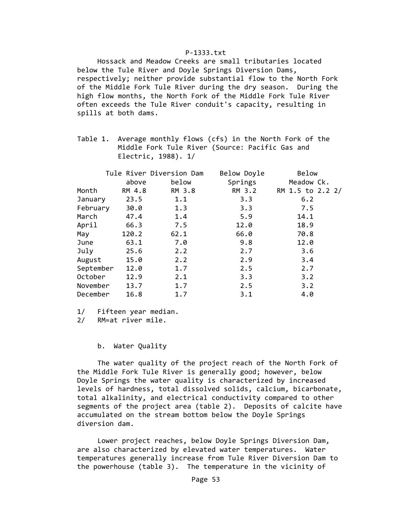Hossack and Meadow Creeks are small tributaries located below the Tule River and Doyle Springs Diversion Dams, respectively; neither provide substantial flow to the North Fork of the Middle Fork Tule River during the dry season. During the high flow months, the North Fork of the Middle Fork Tule River often exceeds the Tule River conduit's capacity, resulting in spills at both dams.

 Table 1. Average monthly flows (cfs) in the North Fork of the Middle Fork Tule River (Source: Pacific Gas and Electric, 1988). 1/

|           |        | Tule River Diversion Dam | Below Doyle | Below            |
|-----------|--------|--------------------------|-------------|------------------|
|           | above  | below                    | Springs     | Meadow Ck.       |
| Month     | RM 4.8 | RM 3.8                   | RM 3.2      | RM 1.5 to 2.2 2/ |
| January   | 23.5   | 1.1                      | 3.3         | 6.2              |
| February  | 30.0   | 1.3                      | 3.3         | 7.5              |
| March     | 47.4   | 1.4                      | 5.9         | 14.1             |
| April     | 66.3   | 7.5                      | 12.0        | 18.9             |
| May       | 120.2  | 62.1                     | 66.0        | 70.8             |
| June      | 63.1   | 7.0                      | 9.8         | 12.0             |
| July      | 25.6   | 2.2                      | 2.7         | 3.6              |
| August    | 15.0   | 2.2                      | 2.9         | 3.4              |
| September | 12.0   | 1.7                      | 2.5         | 2.7              |
| October   | 12.9   | 2.1                      | 3.3         | 3.2              |
| November  | 13.7   | 1.7                      | 2.5         | 3.2              |
| December  | 16.8   | 1.7                      | 3.1         | 4.0              |

1/ Fifteen year median.

2/ RM=at river mile.

b. Water Quality

 The water quality of the project reach of the North Fork of the Middle Fork Tule River is generally good; however, below Doyle Springs the water quality is characterized by increased levels of hardness, total dissolved solids, calcium, bicarbonate, total alkalinity, and electrical conductivity compared to other segments of the project area (table 2). Deposits of calcite have accumulated on the stream bottom below the Doyle Springs diversion dam.

 Lower project reaches, below Doyle Springs Diversion Dam, are also characterized by elevated water temperatures. Water temperatures generally increase from Tule River Diversion Dam to the powerhouse (table 3). The temperature in the vicinity of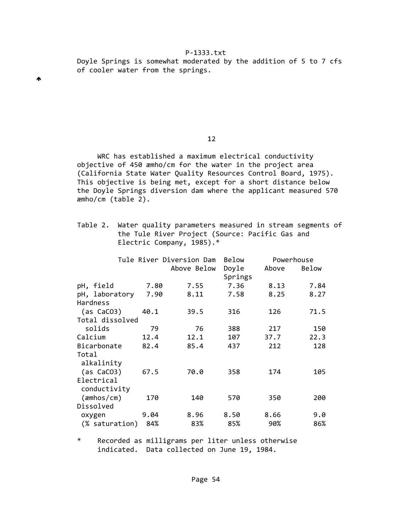W

 Doyle Springs is somewhat moderated by the addition of 5 to 7 cfs of cooler water from the springs.

12

 WRC has established a maximum electrical conductivity objective of 450 æmho/cm for the water in the project area (California State Water Quality Resources Control Board, 1975). This objective is being met, except for a short distance below the Doyle Springs diversion dam where the applicant measured 570 æmho/cm (table 2).

 Table 2. Water quality parameters measured in stream segments of the Tule River Project (Source: Pacific Gas and Electric Company, 1985).\*

|                     |      | Tule River Diversion Dam | Below   | Powerhouse |       |
|---------------------|------|--------------------------|---------|------------|-------|
|                     |      | Above Below              | Doyle   | Above      | Below |
|                     |      |                          | Springs |            |       |
| pH, field           | 7.80 | 7.55                     | 7.36    | 8.13       | 7.84  |
| pH, laboratory      | 7.90 | 8.11                     | 7.58    | 8.25       | 8.27  |
| Hardness            |      |                          |         |            |       |
| (as CaCO3)          | 40.1 | 39.5                     | 316     | 126        | 71.5  |
| Total dissolved     |      |                          |         |            |       |
| solids              | 79   | 76                       | 388     | 217        | 150   |
| Calcium             | 12.4 | 12.1                     | 107     | 37.7       | 22.3  |
| Bicarbonate         | 82.4 | 85.4                     | 437     | 212        | 128   |
| Total               |      |                          |         |            |       |
| alkalinity          |      |                          |         |            |       |
| (as CaCO3)          | 67.5 | 70.0                     | 358     | 174        | 105   |
| Electrical          |      |                          |         |            |       |
| conductivity        |      |                          |         |            |       |
| $(\text{amhos/cm})$ | 170  | 140                      | 570     | 350        | 200   |
| Dissolved           |      |                          |         |            |       |
| oxygen              | 9.04 | 8.96                     | 8.50    | 8.66       | 9.0   |
| (% saturation)      | 84%  | 83%                      | 85%     | 90%        | 86%   |
|                     |      |                          |         |            |       |

 \* Recorded as milligrams per liter unless otherwise indicated. Data collected on June 19, 1984.

Page 54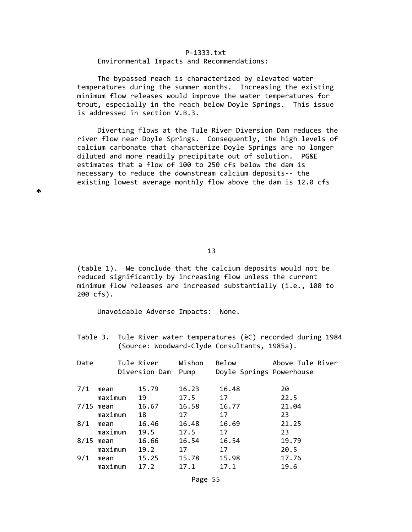#### Environmental Impacts and Recommendations:

 The bypassed reach is characterized by elevated water temperatures during the summer months. Increasing the existing minimum flow releases would improve the water temperatures for trout, especially in the reach below Doyle Springs. This issue is addressed in section V.B.3.

 Diverting flows at the Tule River Diversion Dam reduces the river flow near Doyle Springs. Consequently, the high levels of calcium carbonate that characterize Doyle Springs are no longer diluted and more readily precipitate out of solution. PG&E estimates that a flow of 100 to 250 cfs below the dam is necessary to reduce the downstream calcium deposits‐‐ the existing lowest average monthly flow above the dam is 12.0 cfs

13 and 13 and 13 and 13 and 13 and 13 and 13 and 13 and 13 and 13 and 13 and 13 and 13 and 13 and 13 and 13 an

 (table 1). We conclude that the calcium deposits would not be reduced significantly by increasing flow unless the current minimum flow releases are increased substantially (i.e., 100 to 200 cfs).

Unavoidable Adverse Impacts: None.

A

 Table 3. Tule River water temperatures (èC) recorded during 1984 (Source: Woodward‐Clyde Consultants, 1985a).

| Date |             | Tule River    | Wishon | Below                    | Above Tule River |
|------|-------------|---------------|--------|--------------------------|------------------|
|      |             | Diversion Dam | Pump   | Doyle Springs Powerhouse |                  |
| 7/1  | mean        | 15.79         | 16.23  | 16.48                    | 20               |
|      | maximum     | 19            | 17.5   | 17                       | 22.5             |
|      | 7/15 mean   | 16.67         | 16.58  | 16.77                    | 21.04            |
|      | maximum     | 18            | 17     | 17                       | 23               |
| 8/1  | mean        | 16.46         | 16.48  | 16.69                    | 21.25            |
|      | maximum     | 19.5          | 17.5   | 17                       | 23               |
|      | $8/15$ mean | 16.66         | 16.54  | 16.54                    | 19.79            |
|      | maximum     | 19.2          | 17     | 17                       | 20.5             |
| 9/1  | mean        | 15.25         | 15.78  | 15.98                    | 17.76            |
|      | maximum     | 17.2          | 17.1   | 17.1                     | 19.6             |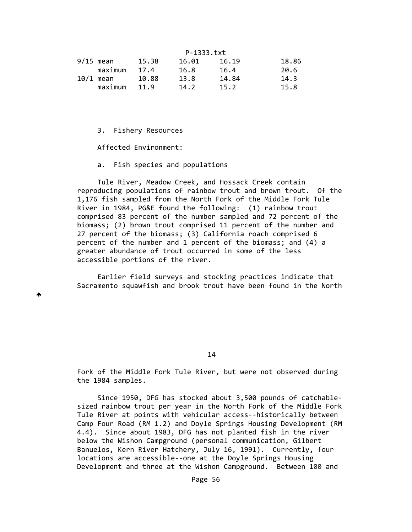| P-1333.txt |       |       |       |       |  |  |
|------------|-------|-------|-------|-------|--|--|
| 9/15 mean  | 15.38 | 16.01 | 16.19 | 18.86 |  |  |
| maximum    | 17.4  | 16.8  | 16.4  | 20.6  |  |  |
| 10/1 mean  | 10.88 | 13.8  | 14.84 | 14.3  |  |  |
| maximum    | 11.9  | 14.2  | 15.2  | 15.8  |  |  |

3. Fishery Resources

Affected Environment:

a. Fish species and populations

 Tule River, Meadow Creek, and Hossack Creek contain reproducing populations of rainbow trout and brown trout. Of the 1,176 fish sampled from the North Fork of the Middle Fork Tule River in 1984, PG&E found the following: (1) rainbow trout comprised 83 percent of the number sampled and 72 percent of the biomass; (2) brown trout comprised 11 percent of the number and 27 percent of the biomass; (3) California roach comprised 6 percent of the number and 1 percent of the biomass; and (4) a greater abundance of trout occurred in some of the less accessible portions of the river.

 Earlier field surveys and stocking practices indicate that Sacramento squawfish and brook trout have been found in the North

♠

# 14

 Fork of the Middle Fork Tule River, but were not observed during the 1984 samples.

 Since 1950, DFG has stocked about 3,500 pounds of catchable‐ sized rainbow trout per year in the North Fork of the Middle Fork Tule River at points with vehicular access--historically between Camp Four Road (RM 1.2) and Doyle Springs Housing Development (RM 4.4). Since about 1983, DFG has not planted fish in the river below the Wishon Campground (personal communication, Gilbert Banuelos, Kern River Hatchery, July 16, 1991). Currently, four locations are accessible‐‐one at the Doyle Springs Housing Development and three at the Wishon Campground. Between 100 and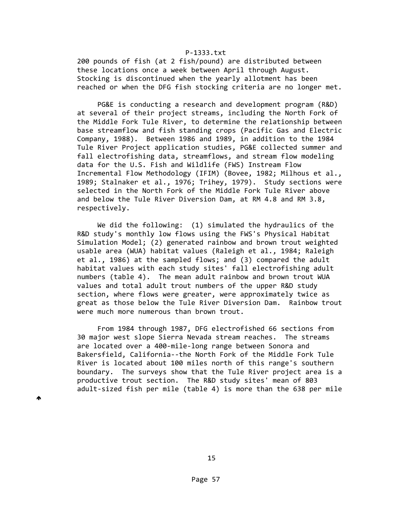200 pounds of fish (at 2 fish/pound) are distributed between these locations once a week between April through August. Stocking is discontinued when the yearly allotment has been reached or when the DFG fish stocking criteria are no longer met.

 PG&E is conducting a research and development program (R&D) at several of their project streams, including the North Fork of the Middle Fork Tule River, to determine the relationship between base streamflow and fish standing crops (Pacific Gas and Electric Company, 1988). Between 1986 and 1989, in addition to the 1984 Tule River Project application studies, PG&E collected summer and fall electrofishing data, streamflows, and stream flow modeling data for the U.S. Fish and Wildlife (FWS) Instream Flow Incremental Flow Methodology (IFIM) (Bovee, 1982; Milhous et al., 1989; Stalnaker et al., 1976; Trihey, 1979). Study sections were selected in the North Fork of the Middle Fork Tule River above and below the Tule River Diversion Dam, at RM 4.8 and RM 3.8, respectively.

 We did the following: (1) simulated the hydraulics of the R&D study's monthly low flows using the FWS's Physical Habitat Simulation Model; (2) generated rainbow and brown trout weighted usable area (WUA) habitat values (Raleigh et al., 1984; Raleigh et al., 1986) at the sampled flows; and (3) compared the adult habitat values with each study sites' fall electrofishing adult numbers (table 4). The mean adult rainbow and brown trout WUA values and total adult trout numbers of the upper R&D study section, where flows were greater, were approximately twice as great as those below the Tule River Diversion Dam. Rainbow trout were much more numerous than brown trout.

 From 1984 through 1987, DFG electrofished 66 sections from 30 major west slope Sierra Nevada stream reaches. The streams are located over a 400‐mile‐long range between Sonora and Bakersfield, California‐‐the North Fork of the Middle Fork Tule River is located about 100 miles north of this range's southern boundary. The surveys show that the Tule River project area is a productive trout section. The R&D study sites' mean of 803 adult-sized fish per mile (table 4) is more than the 638 per mile

▲

15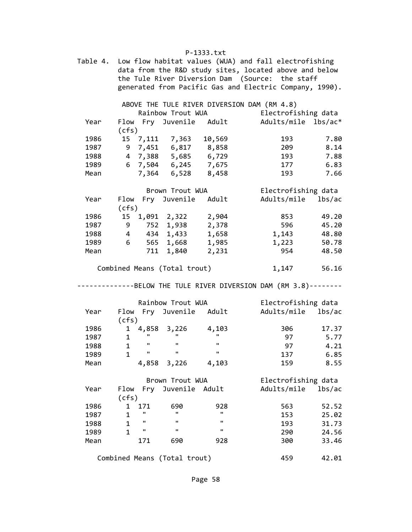|             |                                |                   |                         | Table 4. Low flow habitat values (WUA) and fall electrofishing   |        |
|-------------|--------------------------------|-------------------|-------------------------|------------------------------------------------------------------|--------|
|             |                                |                   |                         | data from the R&D study sites, located above and below           |        |
|             |                                |                   |                         | the Tule River Diversion Dam (Source: the staff                  |        |
|             |                                |                   |                         | generated from Pacific Gas and Electric Company, 1990).          |        |
|             |                                |                   |                         | ABOVE THE TULE RIVER DIVERSION DAM (RM 4.8)                      |        |
|             |                                | Rainbow Trout WUA |                         | Electrofishing data                                              |        |
| Year        |                                |                   | Flow Fry Juvenile Adult | Adults/mile lbs/ac*                                              |        |
|             | (cfs)                          |                   |                         |                                                                  |        |
| 1986        |                                | 15 7,111 7,363    | 10,569                  | 193                                                              | 7.80   |
| 1987        | 9                              | 7,451 6,817 8,858 |                         | 209                                                              | 8.14   |
| 1988        | $\overline{4}$                 | 7,388 5,685 6,729 |                         | 193                                                              | 7.88   |
| 1989        | 6                              | 7,504 6,245 7,675 |                         | 177                                                              | 6.83   |
| Mean        |                                | 7,364 6,528       | 8,458                   | 193                                                              | 7.66   |
|             |                                | Brown Trout WUA   |                         | Electrofishing data                                              |        |
| Year        | Flow                           |                   | Fry Juvenile Adult      | Adults/mile lbs/ac                                               |        |
|             | (cfs)                          |                   |                         |                                                                  |        |
| 1986        | 15                             | 1,091 2,322 2,904 |                         | 853                                                              | 49.20  |
| 1987 — 1987 | 9                              | 752 1,938 2,378   |                         | 596                                                              | 45.20  |
| 1988        | $\overline{4}$                 | 434 1,433         | 1,658                   | 1,143                                                            | 48.80  |
| 1989        | 6                              | 565 1,668         | 1,985                   | 1,223                                                            | 50.78  |
| Mean        | 711                            | 1,840             | 2,231                   | 954                                                              | 48.50  |
|             | Combined Means (Total trout)   |                   |                         | 1,147                                                            | 56.16  |
|             |                                |                   |                         | -------------BELOW THE TULE RIVER DIVERSION DAM (RM 3.8)-------- |        |
|             |                                | Rainbow Trout WUA |                         | Electrofishing data                                              |        |
| Year        | Flow                           |                   | Fry Juvenile Adult      | Adults/mile lbs/ac                                               |        |
|             | (cfs)                          |                   |                         |                                                                  |        |
| 1986        | 4,858<br>$\mathbf{1}$          | 3,226             | 4,103                   | 306                                                              | 17.37  |
| 1987        | $\mathbf{H}$<br>$\mathbf{1}$   | $\mathbf{H}$      | $\mathbf{u}$            | 97                                                               | 5.77   |
| 1988        | $\mathbf{H}$ .<br>$\mathbf{1}$ | $\mathbf{H}$      | $\mathbf{H}$            | 97                                                               | 4.21   |
| 1989        | $\mathbf{H}$<br>$\mathbf{1}$   | $\mathbf{H}$      | $\mathbf{H}$            | 137                                                              | 6.85   |
| Mean        | 4,858                          | 3,226             | 4,103                   | 159                                                              | 8.55   |
|             |                                | Brown Trout WUA   |                         | Electrofishing data                                              |        |
| Year        | Flow<br>Fry                    | Juvenile Adult    |                         | Adults/mile                                                      | lbs/ac |
|             | (cfs)                          |                   |                         |                                                                  |        |
| 1986        | 171<br>1                       | 690               | 928                     | 563                                                              | 52.52  |
| 1987        | П<br>1                         | H.                | п                       | 153                                                              | 25.02  |
| 1988        | п<br>1                         | п                 | п                       | 193                                                              | 31.73  |
| 1989        | $\mathbf{1}$<br>п              | п                 | п                       | 290                                                              | 24.56  |
| Mean        | 171                            | 690               | 928                     | 300                                                              | 33.46  |
|             | Combined Means (Total trout)   |                   |                         | 459                                                              | 42.01  |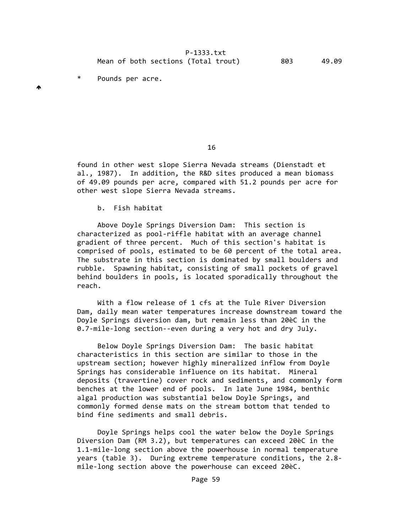P‐1333.txt Mean of both sections (Total trout) 803 49.09

\* Pounds per acre.

♠

16

 found in other west slope Sierra Nevada streams (Dienstadt et al., 1987). In addition, the R&D sites produced a mean biomass of 49.09 pounds per acre, compared with 51.2 pounds per acre for other west slope Sierra Nevada streams.

b. Fish habitat

 Above Doyle Springs Diversion Dam: This section is characterized as pool‐riffle habitat with an average channel gradient of three percent. Much of this section's habitat is comprised of pools, estimated to be 60 percent of the total area. The substrate in this section is dominated by small boulders and rubble. Spawning habitat, consisting of small pockets of gravel behind boulders in pools, is located sporadically throughout the reach.

 With a flow release of 1 cfs at the Tule River Diversion Dam, daily mean water temperatures increase downstream toward the Doyle Springs diversion dam, but remain less than 20èC in the 0.7‐mile‐long section‐‐even during a very hot and dry July.

 Below Doyle Springs Diversion Dam: The basic habitat characteristics in this section are similar to those in the upstream section; however highly mineralized inflow from Doyle Springs has considerable influence on its habitat. Mineral deposits (travertine) cover rock and sediments, and commonly form benches at the lower end of pools. In late June 1984, benthic algal production was substantial below Doyle Springs, and commonly formed dense mats on the stream bottom that tended to bind fine sediments and small debris.

 Doyle Springs helps cool the water below the Doyle Springs Diversion Dam (RM 3.2), but temperatures can exceed 20èC in the 1.1‐mile‐long section above the powerhouse in normal temperature years (table 3). During extreme temperature conditions, the 2.8‐ mile‐long section above the powerhouse can exceed 20èC.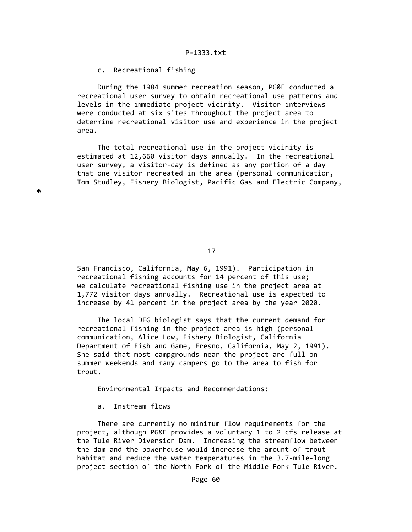#### c. Recreational fishing

♠

 During the 1984 summer recreation season, PG&E conducted a recreational user survey to obtain recreational use patterns and levels in the immediate project vicinity. Visitor interviews were conducted at six sites throughout the project area to determine recreational visitor use and experience in the project area.

 The total recreational use in the project vicinity is estimated at 12,660 visitor days annually. In the recreational user survey, a visitor-day is defined as any portion of a day that one visitor recreated in the area (personal communication, Tom Studley, Fishery Biologist, Pacific Gas and Electric Company,

17

 San Francisco, California, May 6, 1991). Participation in recreational fishing accounts for 14 percent of this use; we calculate recreational fishing use in the project area at 1,772 visitor days annually. Recreational use is expected to increase by 41 percent in the project area by the year 2020.

 The local DFG biologist says that the current demand for recreational fishing in the project area is high (personal communication, Alice Low, Fishery Biologist, California Department of Fish and Game, Fresno, California, May 2, 1991). She said that most campgrounds near the project are full on summer weekends and many campers go to the area to fish for trout.

Environmental Impacts and Recommendations:

a. Instream flows

 There are currently no minimum flow requirements for the project, although PG&E provides a voluntary 1 to 2 cfs release at the Tule River Diversion Dam. Increasing the streamflow between the dam and the powerhouse would increase the amount of trout habitat and reduce the water temperatures in the 3.7‐mile‐long project section of the North Fork of the Middle Fork Tule River.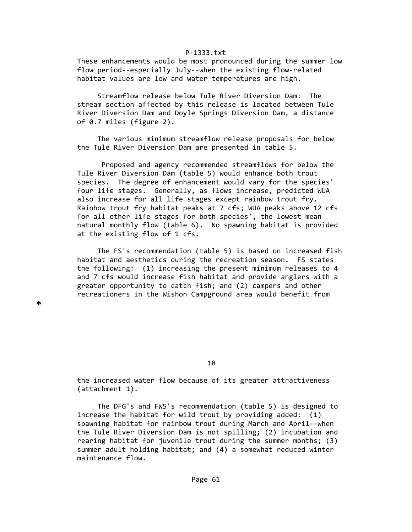These enhancements would be most pronounced during the summer low flow period‐‐especially July‐‐when the existing flow‐related habitat values are low and water temperatures are high.

 Streamflow release below Tule River Diversion Dam: The stream section affected by this release is located between Tule River Diversion Dam and Doyle Springs Diversion Dam, a distance of 0.7 miles (figure 2).

 The various minimum streamflow release proposals for below the Tule River Diversion Dam are presented in table 5.

 Proposed and agency recommended streamflows for below the Tule River Diversion Dam (table 5) would enhance both trout species. The degree of enhancement would vary for the species' four life stages. Generally, as flows increase, predicted WUA also increase for all life stages except rainbow trout fry. Rainbow trout fry habitat peaks at 7 cfs; WUA peaks above 12 cfs for all other life stages for both species', the lowest mean natural monthly flow (table 6). No spawning habitat is provided at the existing flow of 1 cfs.

 The FS's recommendation (table 5) is based on increased fish habitat and aesthetics during the recreation season. FS states the following: (1) increasing the present minimum releases to 4 and 7 cfs would increase fish habitat and provide anglers with a greater opportunity to catch fish; and (2) campers and other recreationers in the Wishon Campground area would benefit from

♠

18

 the increased water flow because of its greater attractiveness (attachment 1).

 The DFG's and FWS's recommendation (table 5) is designed to increase the habitat for wild trout by providing added: (1) spawning habitat for rainbow trout during March and April‐‐when the Tule River Diversion Dam is not spilling; (2) incubation and rearing habitat for juvenile trout during the summer months; (3) summer adult holding habitat; and (4) a somewhat reduced winter maintenance flow.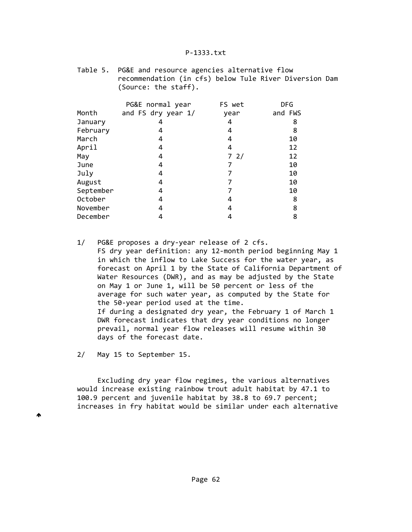Table 5. PG&E and resource agencies alternative flow recommendation (in cfs) below Tule River Diversion Dam (Source: the staff).

|           | PG&E normal year   | FS wet | <b>DFG</b> |  |
|-----------|--------------------|--------|------------|--|
| Month     | and FS dry year 1/ | year   | and FWS    |  |
| January   | 4                  | 4      | 8          |  |
| February  |                    | 4      | 8          |  |
| March     | 4                  | 4      | 10         |  |
| April     | 4                  | 4      | 12         |  |
| May       |                    | 72/    | 12         |  |
| June      |                    |        | 10         |  |
| July      | 4                  |        | 10         |  |
| August    | 4                  |        | 10         |  |
| September |                    |        | 10         |  |
| October   |                    |        | 8          |  |
| November  |                    | 4      | 8          |  |
| December  |                    |        | 8          |  |

- 1/ PG&E proposes a dry-year release of 2 cfs. FS dry year definition: any 12‐month period beginning May 1 in which the inflow to Lake Success for the water year, as forecast on April 1 by the State of California Department of Water Resources (DWR), and as may be adjusted by the State on May 1 or June 1, will be 50 percent or less of the average for such water year, as computed by the State for the 50‐year period used at the time. If during a designated dry year, the February 1 of March 1 DWR forecast indicates that dry year conditions no longer prevail, normal year flow releases will resume within 30 days of the forecast date.
- 2/ May 15 to September 15.

₳

 Excluding dry year flow regimes, the various alternatives would increase existing rainbow trout adult habitat by 47.1 to 100.9 percent and juvenile habitat by 38.8 to 69.7 percent; increases in fry habitat would be similar under each alternative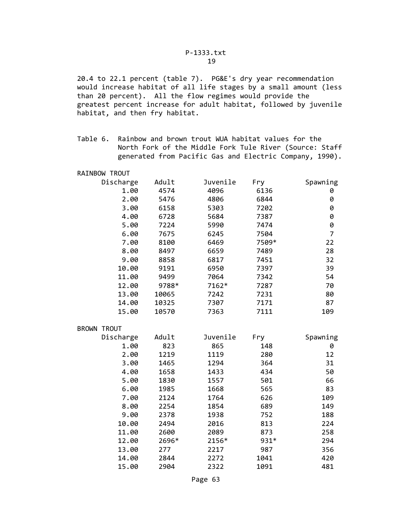20.4 to 22.1 percent (table 7). PG&E's dry year recommendation would increase habitat of all life stages by a small amount (less than 20 percent). All the flow regimes would provide the greatest percent increase for adult habitat, followed by juvenile habitat, and then fry habitat.

RAINBOW TROUT

| Discharge          | Adult | Juvenile | Fry   | Spawning       |
|--------------------|-------|----------|-------|----------------|
| 1.00               | 4574  | 4096     | 6136  | 0              |
| 2.00               | 5476  | 4806     | 6844  | 0              |
| 3.00               | 6158  | 5303     | 7202  | 0              |
| 4.00               | 6728  | 5684     | 7387  | 0              |
| 5.00               | 7224  | 5990     | 7474  | 0              |
| 6.00               | 7675  | 6245     | 7504  | $\overline{7}$ |
| 7.00               | 8100  | 6469     | 7509* | 22             |
| 8.00               | 8497  | 6659     | 7489  | 28             |
| 9.00               | 8858  | 6817     | 7451  | 32             |
| 10.00              | 9191  | 6950     | 7397  | 39             |
| 11.00              | 9499  | 7064     | 7342  | 54             |
| 12.00              | 9788* | 7162*    | 7287  | 70             |
| 13.00              | 10065 | 7242     | 7231  | 80             |
| 14.00              | 10325 | 7307     | 7171  | 87             |
| 15.00              | 10570 | 7363     | 7111  | 109            |
| <b>BROWN TROUT</b> |       |          |       |                |
| Discharge          | Adult | Juvenile | Fry   | Spawning       |
| 1.00               | 823   | 865      | 148   | 0              |
| 2.00               | 1219  | 1119     | 280   | 12             |
| 3.00               | 1465  | 1294     | 364   | 31             |
| 4.00               | 1658  | 1433     | 434   | 50             |
| 5.00               | 1830  | 1557     | 501   | 66             |
| 6.00               | 1985  | 1668     | 565   | 83             |
| 7.00               | 2124  | 1764     | 626   | 109            |
| 8.00               | 2254  | 1854     | 689   | 149            |
| 9.00               | 2378  | 1938     | 752   | 188            |
| 10.00              | 2494  | 2016     | 813   | 224            |
| 11.00              | 2600  | 2089     | 873   | 258            |
| 12.00              | 2696* | 2156*    | 931*  | 294            |
| 13.00              | 277   | 2217     | 987   | 356            |
| 14.00              | 2844  | 2272     | 1041  | 420            |
| 15.00              | 2904  | 2322     | 1091  | 481            |

Table 6. Rainbow and brown trout WUA habitat values for the North Fork of the Middle Fork Tule River (Source: Staff generated from Pacific Gas and Electric Company, 1990).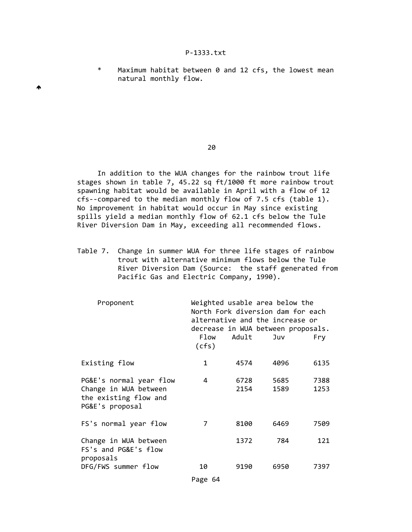W

 \* Maximum habitat between 0 and 12 cfs, the lowest mean natural monthly flow.

 $20$ 

 In addition to the WUA changes for the rainbow trout life stages shown in table 7, 45.22 sq ft/1000 ft more rainbow trout spawning habitat would be available in April with a flow of 12 cfs--compared to the median monthly flow of 7.5 cfs (table 1). No improvement in habitat would occur in May since existing spills yield a median monthly flow of 62.1 cfs below the Tule River Diversion Dam in May, exceeding all recommended flows.

 Table 7. Change in summer WUA for three life stages of rainbow trout with alternative minimum flows below the Tule River Diversion Dam (Source: the staff generated from Pacific Gas and Electric Company, 1990).

| Proponent                                                                                    | Flow<br>(cfs) | Adult        | Weighted usable area below the<br>North Fork diversion dam for each<br>alternative and the increase or<br>decrease in WUA between proposals.<br>Juv | Fry          |
|----------------------------------------------------------------------------------------------|---------------|--------------|-----------------------------------------------------------------------------------------------------------------------------------------------------|--------------|
| Existing flow                                                                                | $\mathbf 1$   | 4574         | 4096                                                                                                                                                | 6135         |
| PG&E's normal year flow<br>Change in WUA between<br>the existing flow and<br>PG&E's proposal | 4             | 6728<br>2154 | 5685<br>1589                                                                                                                                        | 7388<br>1253 |
| FS's normal year flow                                                                        | 7             | 8100         | 6469                                                                                                                                                | 7509         |
| Change in WUA between<br>FS's and PG&E's flow<br>proposals                                   |               | 1372         | 784                                                                                                                                                 | 121          |
| DFG/FWS summer flow                                                                          | 10            | 9190         | 6950                                                                                                                                                | 7397         |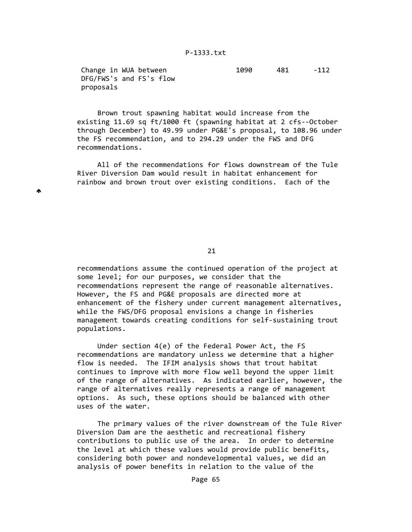Change in WUA between 1090 481 ‐112 DFG/FWS's and FS's flow proposals

A

 Brown trout spawning habitat would increase from the existing 11.69 sq ft/1000 ft (spawning habitat at 2 cfs‐‐October through December) to 49.99 under PG&E's proposal, to 108.96 under the FS recommendation, and to 294.29 under the FWS and DFG recommendations.

 All of the recommendations for flows downstream of the Tule River Diversion Dam would result in habitat enhancement for rainbow and brown trout over existing conditions. Each of the

21

 recommendations assume the continued operation of the project at some level; for our purposes, we consider that the recommendations represent the range of reasonable alternatives. However, the FS and PG&E proposals are directed more at enhancement of the fishery under current management alternatives, while the FWS/DFG proposal envisions a change in fisheries management towards creating conditions for self‐sustaining trout populations.

 Under section 4(e) of the Federal Power Act, the FS recommendations are mandatory unless we determine that a higher flow is needed. The IFIM analysis shows that trout habitat continues to improve with more flow well beyond the upper limit of the range of alternatives. As indicated earlier, however, the range of alternatives really represents a range of management options. As such, these options should be balanced with other uses of the water.

 The primary values of the river downstream of the Tule River Diversion Dam are the aesthetic and recreational fishery contributions to public use of the area. In order to determine the level at which these values would provide public benefits, considering both power and nondevelopmental values, we did an analysis of power benefits in relation to the value of the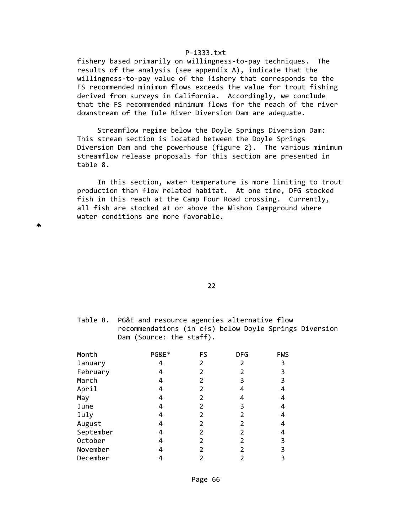fishery based primarily on willingness‐to‐pay techniques. The results of the analysis (see appendix A), indicate that the willingness‐to‐pay value of the fishery that corresponds to the FS recommended minimum flows exceeds the value for trout fishing derived from surveys in California. Accordingly, we conclude that the FS recommended minimum flows for the reach of the river downstream of the Tule River Diversion Dam are adequate.

 Streamflow regime below the Doyle Springs Diversion Dam: This stream section is located between the Doyle Springs Diversion Dam and the powerhouse (figure 2). The various minimum streamflow release proposals for this section are presented in table 8.

 In this section, water temperature is more limiting to trout production than flow related habitat. At one time, DFG stocked fish in this reach at the Camp Four Road crossing. Currently, all fish are stocked at or above the Wishon Campground where water conditions are more favorable.

W

<u>22</u>

 Table 8. PG&E and resource agencies alternative flow recommendations (in cfs) below Doyle Springs Diversion Dam (Source: the staff).

| Month     | PG&E* | FS | <b>DFG</b> | <b>FWS</b> |
|-----------|-------|----|------------|------------|
| January   |       | 2  |            |            |
| February  | 4     |    |            |            |
| March     |       |    |            |            |
| April     |       |    | 4          |            |
| May       | 4     |    | 4          |            |
| June      |       |    |            |            |
| July      |       |    |            |            |
| August    | 4     |    |            |            |
| September | 4     |    |            |            |
| October   | 4     |    |            |            |
| November  | 4     |    |            |            |
| December  |       |    |            |            |
|           |       |    |            |            |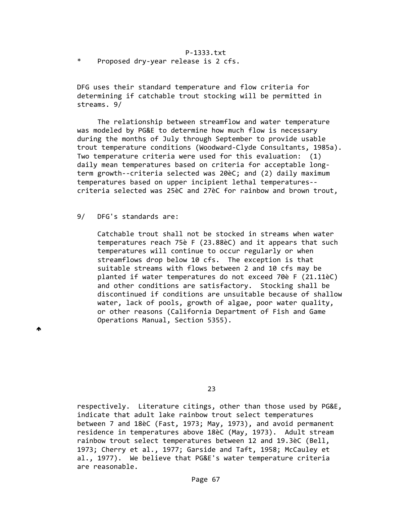P‐1333.txt \* Proposed dry‐year release is 2 cfs.

 DFG uses their standard temperature and flow criteria for determining if catchable trout stocking will be permitted in streams. 9/

 The relationship between streamflow and water temperature was modeled by PG&E to determine how much flow is necessary during the months of July through September to provide usable trout temperature conditions (Woodward‐Clyde Consultants, 1985a). Two temperature criteria were used for this evaluation: (1) daily mean temperatures based on criteria for acceptable long‐ term growth‐‐criteria selected was 20èC; and (2) daily maximum temperatures based on upper incipient lethal temperatures‐‐ criteria selected was 25èC and 27èC for rainbow and brown trout,

9/ DFG's standards are:

₳

 Catchable trout shall not be stocked in streams when water temperatures reach 75è F (23.88èC) and it appears that such temperatures will continue to occur regularly or when streamflows drop below 10 cfs. The exception is that suitable streams with flows between 2 and 10 cfs may be planted if water temperatures do not exceed 70è F (21.11èC) and other conditions are satisfactory. Stocking shall be discontinued if conditions are unsuitable because of shallow water, lack of pools, growth of algae, poor water quality, or other reasons (California Department of Fish and Game Operations Manual, Section 5355).

<u>23 and 23 and 23 and 23 and 23 and 23 and 23 and 23 and 23 and 23 and 23 and 23 and 23 and 23 and 23 and 23 and 23 and 23 and 23 and 23 and 23 and 23 and 23 and 23 and 23 and 23 and 23 and 23 and 23 and 23 and 23 and 23 a</u>

 respectively. Literature citings, other than those used by PG&E, indicate that adult lake rainbow trout select temperatures between 7 and 18èC (Fast, 1973; May, 1973), and avoid permanent residence in temperatures above 18èC (May, 1973). Adult stream rainbow trout select temperatures between 12 and 19.3èC (Bell, 1973; Cherry et al., 1977; Garside and Taft, 1958; McCauley et al., 1977). We believe that PG&E's water temperature criteria are reasonable.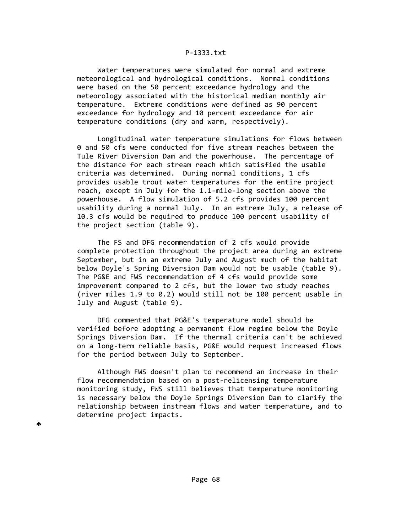Water temperatures were simulated for normal and extreme meteorological and hydrological conditions. Normal conditions were based on the 50 percent exceedance hydrology and the meteorology associated with the historical median monthly air temperature. Extreme conditions were defined as 90 percent exceedance for hydrology and 10 percent exceedance for air temperature conditions (dry and warm, respectively).

 Longitudinal water temperature simulations for flows between 0 and 50 cfs were conducted for five stream reaches between the Tule River Diversion Dam and the powerhouse. The percentage of the distance for each stream reach which satisfied the usable criteria was determined. During normal conditions, 1 cfs provides usable trout water temperatures for the entire project reach, except in July for the 1.1‐mile‐long section above the powerhouse. A flow simulation of 5.2 cfs provides 100 percent usability during a normal July. In an extreme July, a release of 10.3 cfs would be required to produce 100 percent usability of the project section (table 9).

 The FS and DFG recommendation of 2 cfs would provide complete protection throughout the project area during an extreme September, but in an extreme July and August much of the habitat below Doyle's Spring Diversion Dam would not be usable (table 9). The PG&E and FWS recommendation of 4 cfs would provide some improvement compared to 2 cfs, but the lower two study reaches (river miles 1.9 to 0.2) would still not be 100 percent usable in July and August (table 9).

 DFG commented that PG&E's temperature model should be verified before adopting a permanent flow regime below the Doyle Springs Diversion Dam. If the thermal criteria can't be achieved on a long‐term reliable basis, PG&E would request increased flows for the period between July to September.

 Although FWS doesn't plan to recommend an increase in their flow recommendation based on a post‐relicensing temperature monitoring study, FWS still believes that temperature monitoring is necessary below the Doyle Springs Diversion Dam to clarify the relationship between instream flows and water temperature, and to determine project impacts.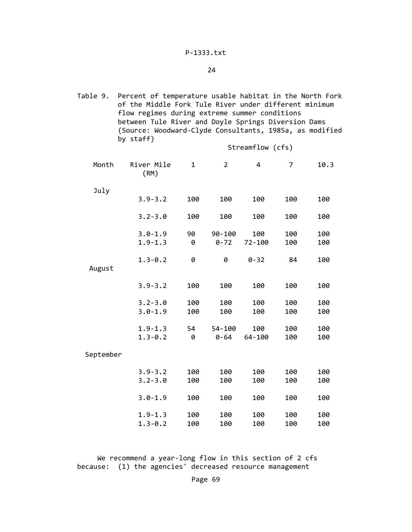Table 9. Percent of temperature usable habitat in the North Fork of the Middle Fork Tule River under different minimum flow regimes during extreme summer conditions between Tule River and Doyle Springs Diversion Dams (Source: Woodward‐Clyde Consultants, 1985a, as modified by staff)

Streamflow (cfs)

| Month     | River Mile<br>(RM) | $\mathbf{1}$ | $\overline{2}$ | $\overline{4}$ | $\overline{7}$ | 10.3 |
|-----------|--------------------|--------------|----------------|----------------|----------------|------|
| July      |                    |              |                |                |                |      |
|           | $3.9 - 3.2$        | 100          | 100            | 100            | 100            | 100  |
|           | $3.2 - 3.0$        | 100          | 100            | 100            | 100            | 100  |
|           | $3.0 - 1.9$        | 90           | $90 - 100$     | 100            | 100            | 100  |
|           | $1.9 - 1.3$        | 0            | $0 - 72$       | 72-100         | 100            | 100  |
|           | $1.3 - 0.2$        | 0            | 0              | $0 - 32$       | 84             | 100  |
| August    |                    |              |                |                |                |      |
|           | $3.9 - 3.2$        | 100          | 100            | 100            | 100            | 100  |
|           | $3.2 - 3.0$        | 100          | 100            | 100            | 100            | 100  |
|           | $3.0 - 1.9$        | 100          | 100            | 100            | 100            | 100  |
|           | $1.9 - 1.3$        | 54           | 54-100         | 100            | 100            | 100  |
|           | $1.3 - 0.2$        | 0            | $0 - 64$       | 64-100         | 100            | 100  |
| September |                    |              |                |                |                |      |
|           | $3.9 - 3.2$        | 100          | 100            | 100            | 100            | 100  |
|           | $3.2 - 3.0$        | 100          | 100            | 100            | 100            | 100  |
|           | $3.0 - 1.9$        | 100          | 100            | 100            | 100            | 100  |
|           | $1.9 - 1.3$        | 100          | 100            | 100            | 100            | 100  |
|           | $1.3 - 0.2$        | 100          | 100            | 100            | 100            | 100  |

We recommend a year-long flow in this section of 2 cfs because: (1) the agencies' decreased resource management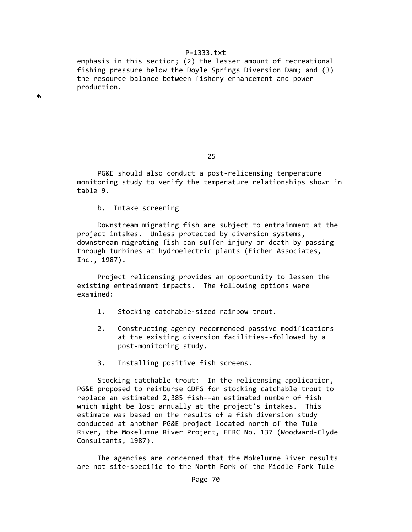emphasis in this section; (2) the lesser amount of recreational fishing pressure below the Doyle Springs Diversion Dam; and (3) the resource balance between fishery enhancement and power production.

<u>25 and 25</u>

 PG&E should also conduct a post‐relicensing temperature monitoring study to verify the temperature relationships shown in table 9.

b. Intake screening

 $\blacktriangle$ 

 Downstream migrating fish are subject to entrainment at the project intakes. Unless protected by diversion systems, downstream migrating fish can suffer injury or death by passing through turbines at hydroelectric plants (Eicher Associates, Inc., 1987).

 Project relicensing provides an opportunity to lessen the existing entrainment impacts. The following options were examined:

- 1. Stocking catchable-sized rainbow trout.
- 2. Constructing agency recommended passive modifications at the existing diversion facilities‐‐followed by a post‐monitoring study.
- 3. Installing positive fish screens.

 Stocking catchable trout: In the relicensing application, PG&E proposed to reimburse CDFG for stocking catchable trout to replace an estimated 2,385 fish‐‐an estimated number of fish which might be lost annually at the project's intakes. This estimate was based on the results of a fish diversion study conducted at another PG&E project located north of the Tule River, the Mokelumne River Project, FERC No. 137 (Woodward‐Clyde Consultants, 1987).

 The agencies are concerned that the Mokelumne River results are not site‐specific to the North Fork of the Middle Fork Tule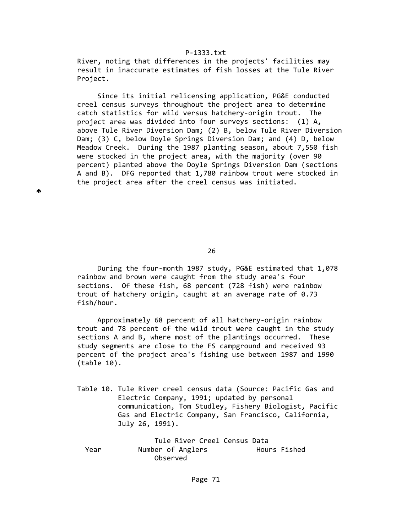River, noting that differences in the projects' facilities may result in inaccurate estimates of fish losses at the Tule River Project.

 Since its initial relicensing application, PG&E conducted creel census surveys throughout the project area to determine catch statistics for wild versus hatchery‐origin trout. The project area was divided into four surveys sections: (1) A, above Tule River Diversion Dam; (2) B, below Tule River Diversion Dam; (3) C, below Doyle Springs Diversion Dam; and (4) D, below Meadow Creek. During the 1987 planting season, about 7,550 fish were stocked in the project area, with the majority (over 90 percent) planted above the Doyle Springs Diversion Dam (sections A and B). DFG reported that 1,780 rainbow trout were stocked in the project area after the creel census was initiated.

A

# $26$

 During the four‐month 1987 study, PG&E estimated that 1,078 rainbow and brown were caught from the study area's four sections. Of these fish, 68 percent (728 fish) were rainbow trout of hatchery origin, caught at an average rate of 0.73 fish/hour.

 Approximately 68 percent of all hatchery‐origin rainbow trout and 78 percent of the wild trout were caught in the study sections A and B, where most of the plantings occurred. These study segments are close to the FS campground and received 93 percent of the project area's fishing use between 1987 and 1990 (table 10).

 Table 10. Tule River creel census data (Source: Pacific Gas and Electric Company, 1991; updated by personal communication, Tom Studley, Fishery Biologist, Pacific Gas and Electric Company, San Francisco, California, July 26, 1991).

 Tule River Creel Census Data Year Number of Anglers Hours Fished Observed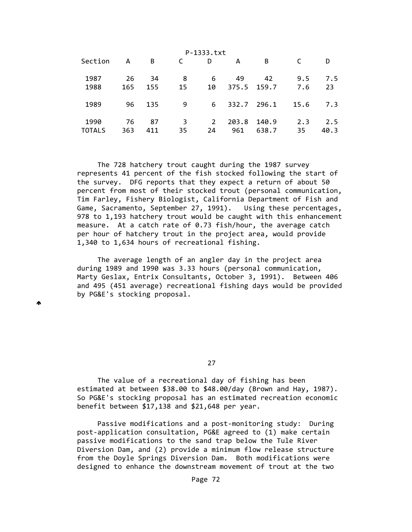| P-1333.txt            |           |           |         |                   |                   |                |            |             |
|-----------------------|-----------|-----------|---------|-------------------|-------------------|----------------|------------|-------------|
| Section               | A         | B         | C       | D                 | A                 | B              | C          | D           |
| 1987<br>1988          | 26<br>165 | 34<br>155 | 8<br>15 | 6<br>10           | 49<br>375.5 159.7 | 42             | 9.5<br>7.6 | 7.5<br>23   |
| 1989                  | 96        | 135       | 9       | 6                 | 332.7 296.1       |                | 15.6       | 7.3         |
| 1990<br><b>TOTALS</b> | 76<br>363 | 87<br>411 | 3<br>35 | $2^{\circ}$<br>24 | 203.8<br>961      | 140.9<br>638.7 | 2.3<br>35  | 2.5<br>40.3 |

 The 728 hatchery trout caught during the 1987 survey represents 41 percent of the fish stocked following the start of the survey. DFG reports that they expect a return of about 50 percent from most of their stocked trout (personal communication, Tim Farley, Fishery Biologist, California Department of Fish and Game, Sacramento, September 27, 1991). Using these percentages, 978 to 1,193 hatchery trout would be caught with this enhancement measure. At a catch rate of 0.73 fish/hour, the average catch per hour of hatchery trout in the project area, would provide 1,340 to 1,634 hours of recreational fishing.

 The average length of an angler day in the project area during 1989 and 1990 was 3.33 hours (personal communication, Marty Geslax, Entrix Consultants, October 3, 1991). Between 406 and 495 (451 average) recreational fishing days would be provided by PG&E's stocking proposal.

♠

<u>27 and 27</u>

 The value of a recreational day of fishing has been estimated at between \$38.00 to \$48.00/day (Brown and Hay, 1987). So PG&E's stocking proposal has an estimated recreation economic benefit between \$17,138 and \$21,648 per year.

 Passive modifications and a post‐monitoring study: During post-application consultation, PG&E agreed to (1) make certain passive modifications to the sand trap below the Tule River Diversion Dam, and (2) provide a minimum flow release structure from the Doyle Springs Diversion Dam. Both modifications were designed to enhance the downstream movement of trout at the two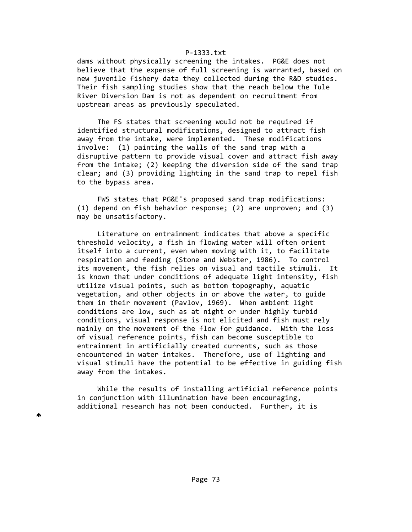dams without physically screening the intakes. PG&E does not believe that the expense of full screening is warranted, based on new juvenile fishery data they collected during the R&D studies. Their fish sampling studies show that the reach below the Tule River Diversion Dam is not as dependent on recruitment from upstream areas as previously speculated.

 The FS states that screening would not be required if identified structural modifications, designed to attract fish away from the intake, were implemented. These modifications involve: (1) painting the walls of the sand trap with a disruptive pattern to provide visual cover and attract fish away from the intake; (2) keeping the diversion side of the sand trap clear; and (3) providing lighting in the sand trap to repel fish to the bypass area.

 FWS states that PG&E's proposed sand trap modifications: (1) depend on fish behavior response; (2) are unproven; and (3) may be unsatisfactory.

 Literature on entrainment indicates that above a specific threshold velocity, a fish in flowing water will often orient itself into a current, even when moving with it, to facilitate respiration and feeding (Stone and Webster, 1986). To control its movement, the fish relies on visual and tactile stimuli. It is known that under conditions of adequate light intensity, fish utilize visual points, such as bottom topography, aquatic vegetation, and other objects in or above the water, to guide them in their movement (Pavlov, 1969). When ambient light conditions are low, such as at night or under highly turbid conditions, visual response is not elicited and fish must rely mainly on the movement of the flow for guidance. With the loss of visual reference points, fish can become susceptible to entrainment in artificially created currents, such as those encountered in water intakes. Therefore, use of lighting and visual stimuli have the potential to be effective in guiding fish away from the intakes.

 While the results of installing artificial reference points in conjunction with illumination have been encouraging, additional research has not been conducted. Further, it is

₳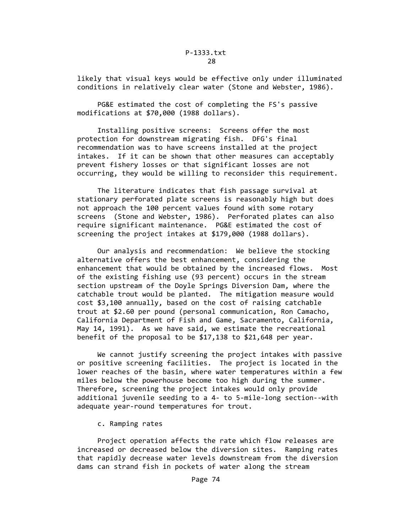likely that visual keys would be effective only under illuminated conditions in relatively clear water (Stone and Webster, 1986).

 PG&E estimated the cost of completing the FS's passive modifications at \$70,000 (1988 dollars).

 Installing positive screens: Screens offer the most protection for downstream migrating fish. DFG's final recommendation was to have screens installed at the project intakes. If it can be shown that other measures can acceptably prevent fishery losses or that significant losses are not occurring, they would be willing to reconsider this requirement.

 The literature indicates that fish passage survival at stationary perforated plate screens is reasonably high but does not approach the 100 percent values found with some rotary screens (Stone and Webster, 1986). Perforated plates can also require significant maintenance. PG&E estimated the cost of screening the project intakes at \$179,000 (1988 dollars).

 Our analysis and recommendation: We believe the stocking alternative offers the best enhancement, considering the enhancement that would be obtained by the increased flows. Most of the existing fishing use (93 percent) occurs in the stream section upstream of the Doyle Springs Diversion Dam, where the catchable trout would be planted. The mitigation measure would cost \$3,100 annually, based on the cost of raising catchable trout at \$2.60 per pound (personal communication, Ron Camacho, California Department of Fish and Game, Sacramento, California, May 14, 1991). As we have said, we estimate the recreational benefit of the proposal to be \$17,138 to \$21,648 per year.

 We cannot justify screening the project intakes with passive or positive screening facilities. The project is located in the lower reaches of the basin, where water temperatures within a few miles below the powerhouse become too high during the summer. Therefore, screening the project intakes would only provide additional juvenile seeding to a 4‐ to 5‐mile‐long section‐‐with adequate year‐round temperatures for trout.

c. Ramping rates

 Project operation affects the rate which flow releases are increased or decreased below the diversion sites. Ramping rates that rapidly decrease water levels downstream from the diversion dams can strand fish in pockets of water along the stream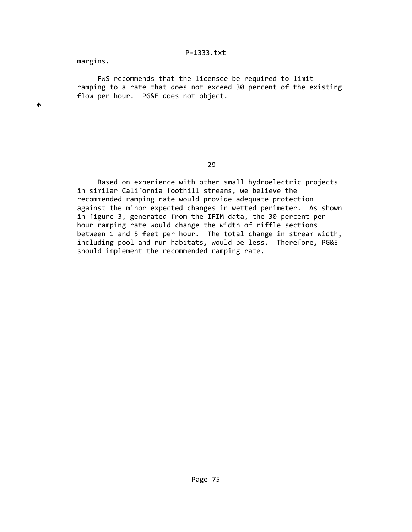margins.

 $\blacktriangle$ 

 FWS recommends that the licensee be required to limit ramping to a rate that does not exceed 30 percent of the existing flow per hour. PG&E does not object.

29 and 20 and 20 and 20 and 20 and 20 and 20 and 20 and 20 and 20 and 20 and 20 and 20 and 20 and 20 and 20 an

 Based on experience with other small hydroelectric projects in similar California foothill streams, we believe the recommended ramping rate would provide adequate protection against the minor expected changes in wetted perimeter. As shown in figure 3, generated from the IFIM data, the 30 percent per hour ramping rate would change the width of riffle sections between 1 and 5 feet per hour. The total change in stream width, including pool and run habitats, would be less. Therefore, PG&E should implement the recommended ramping rate.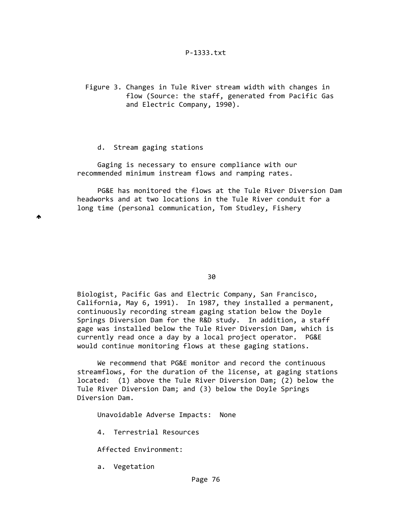# Figure 3. Changes in Tule River stream width with changes in flow (Source: the staff, generated from Pacific Gas and Electric Company, 1990).

### d. Stream gaging stations

 Gaging is necessary to ensure compliance with our recommended minimum instream flows and ramping rates.

 PG&E has monitored the flows at the Tule River Diversion Dam headworks and at two locations in the Tule River conduit for a long time (personal communication, Tom Studley, Fishery

▲

 $30$ 

 Biologist, Pacific Gas and Electric Company, San Francisco, California, May 6, 1991). In 1987, they installed a permanent, continuously recording stream gaging station below the Doyle Springs Diversion Dam for the R&D study. In addition, a staff gage was installed below the Tule River Diversion Dam, which is currently read once a day by a local project operator. PG&E would continue monitoring flows at these gaging stations.

 We recommend that PG&E monitor and record the continuous streamflows, for the duration of the license, at gaging stations located: (1) above the Tule River Diversion Dam; (2) below the Tule River Diversion Dam; and (3) below the Doyle Springs Diversion Dam.

Unavoidable Adverse Impacts: None

4. Terrestrial Resources

Affected Environment:

a. Vegetation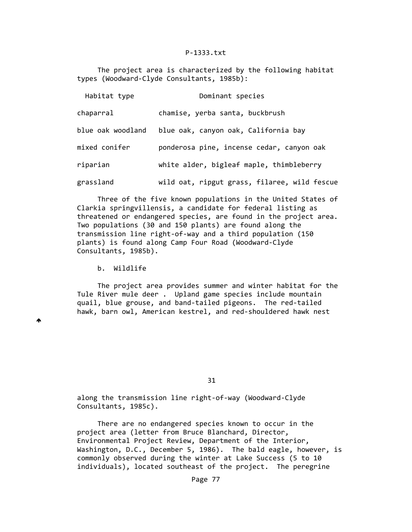The project area is characterized by the following habitat types (Woodward‐Clyde Consultants, 1985b):

| Habitat type      | Dominant species                             |
|-------------------|----------------------------------------------|
| chaparral         | chamise, yerba santa, buckbrush              |
| blue oak woodland | blue oak, canyon oak, California bay         |
| mixed conifer     | ponderosa pine, incense cedar, canyon oak    |
| riparian          | white alder, bigleaf maple, thimbleberry     |
| grassland         | wild oat, ripgut grass, filaree, wild fescue |

 Three of the five known populations in the United States of Clarkia springvillensis, a candidate for federal listing as threatened or endangered species, are found in the project area. Two populations (30 and 150 plants) are found along the transmission line right‐of‐way and a third population (150 plants) is found along Camp Four Road (Woodward‐Clyde Consultants, 1985b).

b. Wildlife

♠

 The project area provides summer and winter habitat for the Tule River mule deer . Upland game species include mountain quail, blue grouse, and band‐tailed pigeons. The red‐tailed hawk, barn owl, American kestrel, and red‐shouldered hawk nest

31

 along the transmission line right‐of‐way (Woodward‐Clyde Consultants, 1985c).

 There are no endangered species known to occur in the project area (letter from Bruce Blanchard, Director, Environmental Project Review, Department of the Interior, Washington, D.C., December 5, 1986). The bald eagle, however, is commonly observed during the winter at Lake Success (5 to 10 individuals), located southeast of the project. The peregrine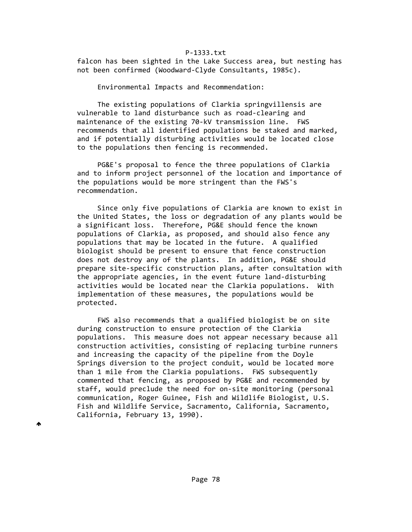falcon has been sighted in the Lake Success area, but nesting has not been confirmed (Woodward‐Clyde Consultants, 1985c).

Environmental Impacts and Recommendation:

 The existing populations of Clarkia springvillensis are vulnerable to land disturbance such as road‐clearing and maintenance of the existing 70‐kV transmission line. FWS recommends that all identified populations be staked and marked, and if potentially disturbing activities would be located close to the populations then fencing is recommended.

 PG&E's proposal to fence the three populations of Clarkia and to inform project personnel of the location and importance of the populations would be more stringent than the FWS's recommendation.

 Since only five populations of Clarkia are known to exist in the United States, the loss or degradation of any plants would be a significant loss. Therefore, PG&E should fence the known populations of Clarkia, as proposed, and should also fence any populations that may be located in the future. A qualified biologist should be present to ensure that fence construction does not destroy any of the plants. In addition, PG&E should prepare site‐specific construction plans, after consultation with the appropriate agencies, in the event future land‐disturbing activities would be located near the Clarkia populations. With implementation of these measures, the populations would be protected.

 FWS also recommends that a qualified biologist be on site during construction to ensure protection of the Clarkia populations. This measure does not appear necessary because all construction activities, consisting of replacing turbine runners and increasing the capacity of the pipeline from the Doyle Springs diversion to the project conduit, would be located more than 1 mile from the Clarkia populations. FWS subsequently commented that fencing, as proposed by PG&E and recommended by staff, would preclude the need for on‐site monitoring (personal communication, Roger Guinee, Fish and Wildlife Biologist, U.S. Fish and Wildlife Service, Sacramento, California, Sacramento, California, February 13, 1990).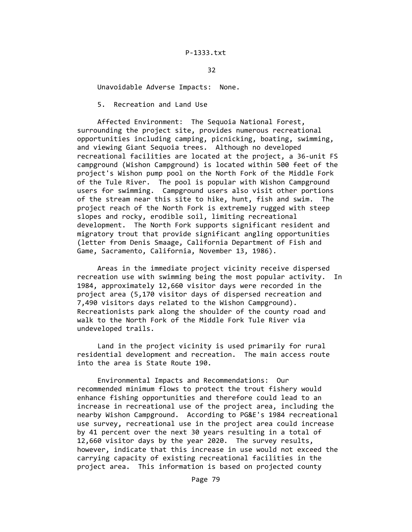Unavoidable Adverse Impacts: None.

5. Recreation and Land Use

 Affected Environment: The Sequoia National Forest, surrounding the project site, provides numerous recreational opportunities including camping, picnicking, boating, swimming, and viewing Giant Sequoia trees. Although no developed recreational facilities are located at the project, a 36‐unit FS campground (Wishon Campground) is located within 500 feet of the project's Wishon pump pool on the North Fork of the Middle Fork of the Tule River. The pool is popular with Wishon Campground users for swimming. Campground users also visit other portions of the stream near this site to hike, hunt, fish and swim. The project reach of the North Fork is extremely rugged with steep slopes and rocky, erodible soil, limiting recreational development. The North Fork supports significant resident and migratory trout that provide significant angling opportunities (letter from Denis Smaage, California Department of Fish and Game, Sacramento, California, November 13, 1986).

 Areas in the immediate project vicinity receive dispersed recreation use with swimming being the most popular activity. In 1984, approximately 12,660 visitor days were recorded in the project area (5,170 visitor days of dispersed recreation and 7,490 visitors days related to the Wishon Campground). Recreationists park along the shoulder of the county road and walk to the North Fork of the Middle Fork Tule River via undeveloped trails.

 Land in the project vicinity is used primarily for rural residential development and recreation. The main access route into the area is State Route 190.

 Environmental Impacts and Recommendations: Our recommended minimum flows to protect the trout fishery would enhance fishing opportunities and therefore could lead to an increase in recreational use of the project area, including the nearby Wishon Campground. According to PG&E's 1984 recreational use survey, recreational use in the project area could increase by 41 percent over the next 30 years resulting in a total of 12,660 visitor days by the year 2020. The survey results, however, indicate that this increase in use would not exceed the carrying capacity of existing recreational facilities in the project area. This information is based on projected county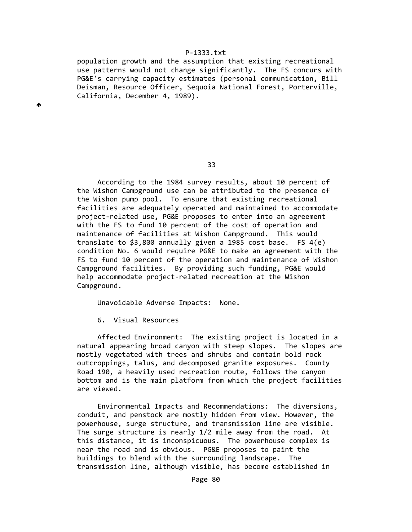population growth and the assumption that existing recreational use patterns would not change significantly. The FS concurs with PG&E's carrying capacity estimates (personal communication, Bill Deisman, Resource Officer, Sequoia National Forest, Porterville, California, December 4, 1989).

 According to the 1984 survey results, about 10 percent of the Wishon Campground use can be attributed to the presence of the Wishon pump pool. To ensure that existing recreational facilities are adequately operated and maintained to accommodate project‐related use, PG&E proposes to enter into an agreement with the FS to fund 10 percent of the cost of operation and maintenance of facilities at Wishon Campground. This would translate to \$3,800 annually given a 1985 cost base. FS 4(e) condition No. 6 would require PG&E to make an agreement with the FS to fund 10 percent of the operation and maintenance of Wishon Campground facilities. By providing such funding, PG&E would help accommodate project‐related recreation at the Wishon Campground.

Unavoidable Adverse Impacts: None.

6. Visual Resources

W

 Affected Environment: The existing project is located in a natural appearing broad canyon with steep slopes. The slopes are mostly vegetated with trees and shrubs and contain bold rock outcroppings, talus, and decomposed granite exposures. County Road 190, a heavily used recreation route, follows the canyon bottom and is the main platform from which the project facilities are viewed.

 Environmental Impacts and Recommendations: The diversions, conduit, and penstock are mostly hidden from view. However, the powerhouse, surge structure, and transmission line are visible. The surge structure is nearly 1/2 mile away from the road. At this distance, it is inconspicuous. The powerhouse complex is near the road and is obvious. PG&E proposes to paint the buildings to blend with the surrounding landscape. The transmission line, although visible, has become established in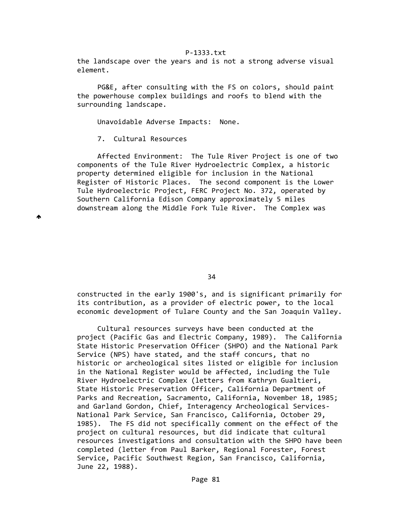the landscape over the years and is not a strong adverse visual element.

 PG&E, after consulting with the FS on colors, should paint the powerhouse complex buildings and roofs to blend with the surrounding landscape.

Unavoidable Adverse Impacts: None.

7. Cultural Resources

 Affected Environment: The Tule River Project is one of two components of the Tule River Hydroelectric Complex, a historic property determined eligible for inclusion in the National Register of Historic Places. The second component is the Lower Tule Hydroelectric Project, FERC Project No. 372, operated by Southern California Edison Company approximately 5 miles downstream along the Middle Fork Tule River. The Complex was

₳

 $34$ 

 constructed in the early 1900's, and is significant primarily for its contribution, as a provider of electric power, to the local economic development of Tulare County and the San Joaquin Valley.

 Cultural resources surveys have been conducted at the project (Pacific Gas and Electric Company, 1989). The California State Historic Preservation Officer (SHPO) and the National Park Service (NPS) have stated, and the staff concurs, that no historic or archeological sites listed or eligible for inclusion in the National Register would be affected, including the Tule River Hydroelectric Complex (letters from Kathryn Gualtieri, State Historic Preservation Officer, California Department of Parks and Recreation, Sacramento, California, November 18, 1985; and Garland Gordon, Chief, Interagency Archeological Services‐ National Park Service, San Francisco, California, October 29, 1985). The FS did not specifically comment on the effect of the project on cultural resources, but did indicate that cultural resources investigations and consultation with the SHPO have been completed (letter from Paul Barker, Regional Forester, Forest Service, Pacific Southwest Region, San Francisco, California, June 22, 1988).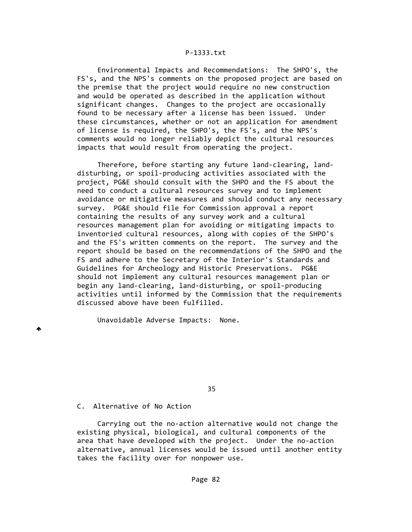Environmental Impacts and Recommendations: The SHPO's, the FS's, and the NPS's comments on the proposed project are based on the premise that the project would require no new construction and would be operated as described in the application without significant changes. Changes to the project are occasionally found to be necessary after a license has been issued. Under these circumstances, whether or not an application for amendment of license is required, the SHPO's, the FS's, and the NPS's comments would no longer reliably depict the cultural resources impacts that would result from operating the project.

 Therefore, before starting any future land‐clearing, land‐ disturbing, or spoil‐producing activities associated with the project, PG&E should consult with the SHPO and the FS about the need to conduct a cultural resources survey and to implement avoidance or mitigative measures and should conduct any necessary survey. PG&E should file for Commission approval a report containing the results of any survey work and a cultural resources management plan for avoiding or mitigating impacts to inventoried cultural resources, along with copies of the SHPO's and the FS's written comments on the report. The survey and the report should be based on the recommendations of the SHPO and the FS and adhere to the Secretary of the Interior's Standards and Guidelines for Archeology and Historic Preservations. PG&E should not implement any cultural resources management plan or begin any land‐clearing, land‐disturbing, or spoil‐producing activities until informed by the Commission that the requirements discussed above have been fulfilled.

Unavoidable Adverse Impacts: None.

<u>35 and 200 and 200 and 200 and 200 and 200 and 200 and 200 and 200 and 200 and 200 and 200 and 200 and 200 and 200 and 200 and 200 and 200 and 200 and 200 and 200 and 200 and 200 and 200 and 200 and 200 and 200 and 200 an</u>

## C. Alternative of No Action

₳

 Carrying out the no‐action alternative would not change the existing physical, biological, and cultural components of the area that have developed with the project. Under the no‐action alternative, annual licenses would be issued until another entity takes the facility over for nonpower use.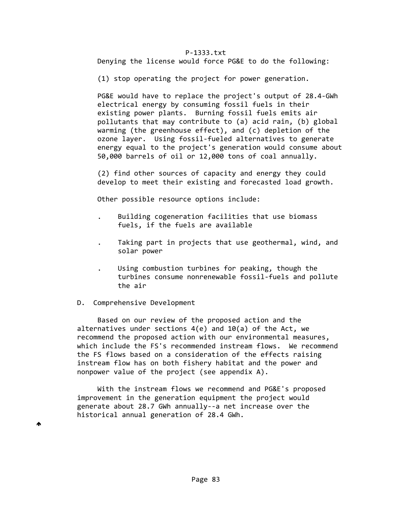Denying the license would force PG&E to do the following:

(1) stop operating the project for power generation.

 PG&E would have to replace the project's output of 28.4‐GWh electrical energy by consuming fossil fuels in their existing power plants. Burning fossil fuels emits air pollutants that may contribute to (a) acid rain, (b) global warming (the greenhouse effect), and (c) depletion of the ozone layer. Using fossil‐fueled alternatives to generate energy equal to the project's generation would consume about 50,000 barrels of oil or 12,000 tons of coal annually.

 (2) find other sources of capacity and energy they could develop to meet their existing and forecasted load growth.

Other possible resource options include:

- . Building cogeneration facilities that use biomass fuels, if the fuels are available
- Taking part in projects that use geothermal, wind, and solar power
- Using combustion turbines for peaking, though the turbines consume nonrenewable fossil‐fuels and pollute the air
- D. Comprehensive Development

 Based on our review of the proposed action and the alternatives under sections 4(e) and 10(a) of the Act, we recommend the proposed action with our environmental measures, which include the FS's recommended instream flows. We recommend the FS flows based on a consideration of the effects raising instream flow has on both fishery habitat and the power and nonpower value of the project (see appendix A).

 With the instream flows we recommend and PG&E's proposed improvement in the generation equipment the project would generate about 28.7 GWh annually‐‐a net increase over the historical annual generation of 28.4 GWh.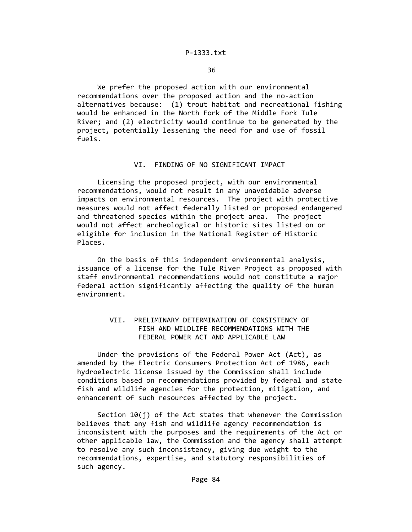We prefer the proposed action with our environmental recommendations over the proposed action and the no‐action alternatives because: (1) trout habitat and recreational fishing would be enhanced in the North Fork of the Middle Fork Tule River; and (2) electricity would continue to be generated by the project, potentially lessening the need for and use of fossil fuels.

#### VI. FINDING OF NO SIGNIFICANT IMPACT

 Licensing the proposed project, with our environmental recommendations, would not result in any unavoidable adverse impacts on environmental resources. The project with protective measures would not affect federally listed or proposed endangered and threatened species within the project area. The project would not affect archeological or historic sites listed on or eligible for inclusion in the National Register of Historic Places.

 On the basis of this independent environmental analysis, issuance of a license for the Tule River Project as proposed with staff environmental recommendations would not constitute a major federal action significantly affecting the quality of the human environment.

# VII. PRELIMINARY DETERMINATION OF CONSISTENCY OF FISH AND WILDLIFE RECOMMENDATIONS WITH THE FEDERAL POWER ACT AND APPLICABLE LAW

 Under the provisions of the Federal Power Act (Act), as amended by the Electric Consumers Protection Act of 1986, each hydroelectric license issued by the Commission shall include conditions based on recommendations provided by federal and state fish and wildlife agencies for the protection, mitigation, and enhancement of such resources affected by the project.

Section  $10(i)$  of the Act states that whenever the Commission believes that any fish and wildlife agency recommendation is inconsistent with the purposes and the requirements of the Act or other applicable law, the Commission and the agency shall attempt to resolve any such inconsistency, giving due weight to the recommendations, expertise, and statutory responsibilities of such agency.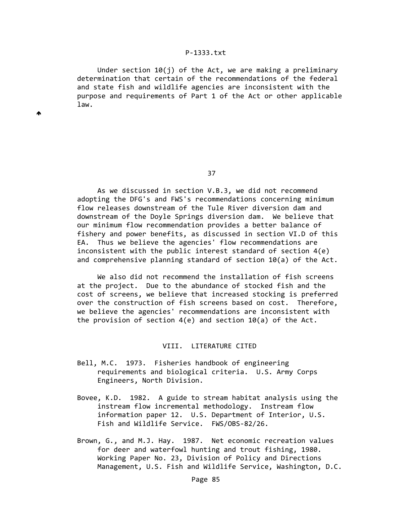Under section  $10(j)$  of the Act, we are making a preliminary determination that certain of the recommendations of the federal and state fish and wildlife agencies are inconsistent with the purpose and requirements of Part 1 of the Act or other applicable law.

₳

37

 As we discussed in section V.B.3, we did not recommend adopting the DFG's and FWS's recommendations concerning minimum flow releases downstream of the Tule River diversion dam and downstream of the Doyle Springs diversion dam. We believe that our minimum flow recommendation provides a better balance of fishery and power benefits, as discussed in section VI.D of this EA. Thus we believe the agencies' flow recommendations are inconsistent with the public interest standard of section 4(e) and comprehensive planning standard of section  $10(a)$  of the Act.

 We also did not recommend the installation of fish screens at the project. Due to the abundance of stocked fish and the cost of screens, we believe that increased stocking is preferred over the construction of fish screens based on cost. Therefore, we believe the agencies' recommendations are inconsistent with the provision of section 4(e) and section 10(a) of the Act.

### VIII. LITERATURE CITED

- Bell, M.C. 1973. Fisheries handbook of engineering requirements and biological criteria. U.S. Army Corps Engineers, North Division.
- Bovee, K.D. 1982. A guide to stream habitat analysis using the instream flow incremental methodology. Instream flow information paper 12. U.S. Department of Interior, U.S. Fish and Wildlife Service. FWS/OBS‐82/26.
- Brown, G., and M.J. Hay. 1987. Net economic recreation values for deer and waterfowl hunting and trout fishing, 1980. Working Paper No. 23, Division of Policy and Directions Management, U.S. Fish and Wildlife Service, Washington, D.C.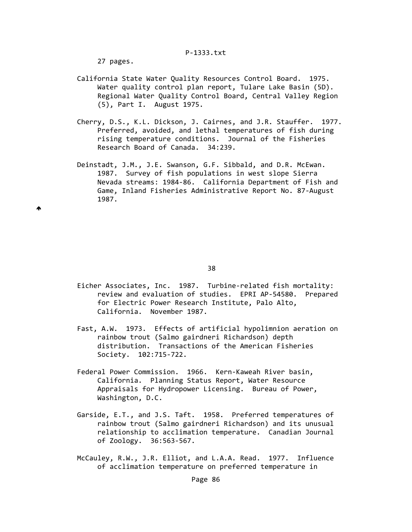27 pages.

₳

- California State Water Quality Resources Control Board. 1975. Water quality control plan report, Tulare Lake Basin (5D). Regional Water Quality Control Board, Central Valley Region (5), Part I. August 1975.
- Cherry, D.S., K.L. Dickson, J. Cairnes, and J.R. Stauffer. 1977. Preferred, avoided, and lethal temperatures of fish during rising temperature conditions. Journal of the Fisheries Research Board of Canada. 34:239.
- Deinstadt, J.M., J.E. Swanson, G.F. Sibbald, and D.R. McEwan. 1987. Survey of fish populations in west slope Sierra Nevada streams: 1984‐86. California Department of Fish and Game, Inland Fisheries Administrative Report No. 87‐August 1987.

<u>38 and 200 and 200 and 200 and 200 and 200 and 200 and 200 and 200 and 200 and 200 and 200 and 200 and 200 and 200 and 200 and 200 and 200 and 200 and 200 and 200 and 200 and 200 and 200 and 200 and 200 and 200 and 200 an</u>

- Eicher Associates, Inc. 1987. Turbine‐related fish mortality: review and evaluation of studies. EPRI AP‐54580. Prepared for Electric Power Research Institute, Palo Alto, California. November 1987.
- Fast, A.W. 1973. Effects of artificial hypolimnion aeration on rainbow trout (Salmo gairdneri Richardson) depth distribution. Transactions of the American Fisheries Society. 102:715‐722.
- Federal Power Commission. 1966. Kern‐Kaweah River basin, California. Planning Status Report, Water Resource Appraisals for Hydropower Licensing. Bureau of Power, Washington, D.C.
- Garside, E.T., and J.S. Taft. 1958. Preferred temperatures of rainbow trout (Salmo gairdneri Richardson) and its unusual relationship to acclimation temperature. Canadian Journal of Zoology. 36:563‐567.
- McCauley, R.W., J.R. Elliot, and L.A.A. Read. 1977. Influence of acclimation temperature on preferred temperature in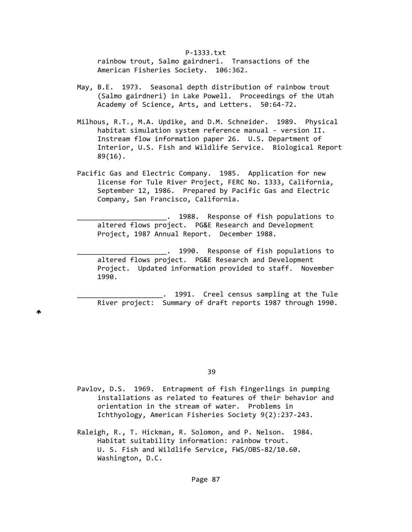rainbow trout, Salmo gairdneri. Transactions of the American Fisheries Society. 106:362.

- May, B.E. 1973. Seasonal depth distribution of rainbow trout (Salmo gairdneri) in Lake Powell. Proceedings of the Utah Academy of Science, Arts, and Letters. 50:64‐72.
- Milhous, R.T., M.A. Updike, and D.M. Schneider. 1989. Physical habitat simulation system reference manual ‐ version II. Instream flow information paper 26. U.S. Department of Interior, U.S. Fish and Wildlife Service. Biological Report 89(16).
- Pacific Gas and Electric Company. 1985. Application for new license for Tule River Project, FERC No. 1333, California, September 12, 1986. Prepared by Pacific Gas and Electric Company, San Francisco, California.

 \_\_\_\_\_\_\_\_\_\_\_\_\_\_\_\_\_\_\_\_\_\_. 1988. Response of fish populations to altered flows project. PG&E Research and Development Project, 1987 Annual Report. December 1988.

 \_\_\_\_\_\_\_\_\_\_\_\_\_\_\_\_\_\_\_\_\_\_. 1990. Response of fish populations to altered flows project. PG&E Research and Development Project. Updated information provided to staff. November 1990.

 \_\_\_\_\_\_\_\_\_\_\_\_\_\_\_\_\_\_\_\_\_. 1991. Creel census sampling at the Tule River project: Summary of draft reports 1987 through 1990.

♠

39 - Santa Carlos Carlos (m. 1939).<br>1990 - Carlos Carlos (m. 1956).<br>1990 - Carlos Carlos (m. 1956).

 Pavlov, D.S. 1969. Entrapment of fish fingerlings in pumping installations as related to features of their behavior and orientation in the stream of water. Problems in Ichthyology, American Fisheries Society 9(2):237‐243.

 Raleigh, R., T. Hickman, R. Solomon, and P. Nelson. 1984. Habitat suitability information: rainbow trout. U. S. Fish and Wildlife Service, FWS/OBS‐82/10.60. Washington, D.C.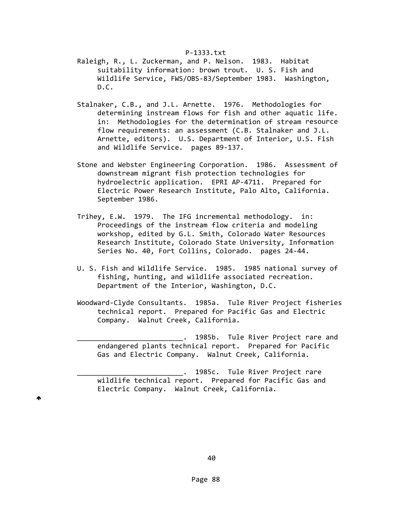- Raleigh, R., L. Zuckerman, and P. Nelson. 1983. Habitat suitability information: brown trout. U. S. Fish and Wildlife Service, FWS/OBS‐83/September 1983. Washington, D.C.
- Stalnaker, C.B., and J.L. Arnette. 1976. Methodologies for determining instream flows for fish and other aquatic life. in: Methodologies for the determination of stream resource flow requirements: an assessment (C.B. Stalnaker and J.L. Arnette, editors). U.S. Department of Interior, U.S. Fish and Wildlife Service. pages 89‐137.
- Stone and Webster Engineering Corporation. 1986. Assessment of downstream migrant fish protection technologies for hydroelectric application. EPRI AP‐4711. Prepared for Electric Power Research Institute, Palo Alto, California. September 1986.
- Trihey, E.W. 1979. The IFG incremental methodology. in: Proceedings of the instream flow criteria and modeling workshop, edited by G.L. Smith, Colorado Water Resources Research Institute, Colorado State University, Information Series No. 40, Fort Collins, Colorado. pages 24‐44.
- U. S. Fish and Wildlife Service. 1985. 1985 national survey of fishing, hunting, and wildlife associated recreation. Department of the Interior, Washington, D.C.
- Woodward‐Clyde Consultants. 1985a. Tule River Project fisheries technical report. Prepared for Pacific Gas and Electric Company. Walnut Creek, California.
	- 1985b. Tule River Project rare and endangered plants technical report. Prepared for Pacific Gas and Electric Company. Walnut Creek, California.

 \_\_\_\_\_\_\_\_\_\_\_\_\_\_\_\_\_\_\_\_\_\_\_\_\_\_. 1985c. Tule River Project rare wildlife technical report. Prepared for Pacific Gas and Electric Company. Walnut Creek, California.

A

 $40$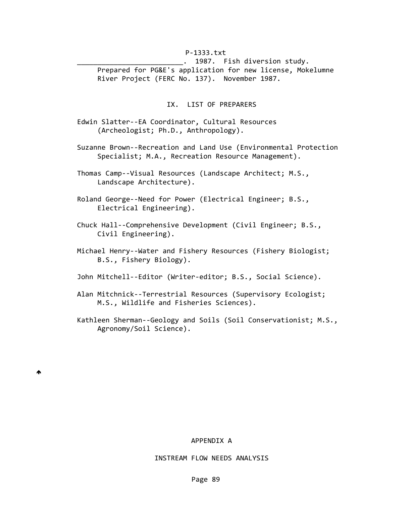1987. Fish diversion study. Prepared for PG&E's application for new license, Mokelumne River Project (FERC No. 137). November 1987.

## IX. LIST OF PREPARERS

- Edwin Slatter‐‐EA Coordinator, Cultural Resources (Archeologist; Ph.D., Anthropology).
- Suzanne Brown‐‐Recreation and Land Use (Environmental Protection Specialist; M.A., Recreation Resource Management).
- Thomas Camp‐‐Visual Resources (Landscape Architect; M.S., Landscape Architecture).
- Roland George‐‐Need for Power (Electrical Engineer; B.S., Electrical Engineering).
- Chuck Hall‐‐Comprehensive Development (Civil Engineer; B.S., Civil Engineering).
- Michael Henry--Water and Fishery Resources (Fishery Biologist; B.S., Fishery Biology).
- John Mitchell--Editor (Writer-editor; B.S., Social Science).
- Alan Mitchnick--Terrestrial Resources (Supervisory Ecologist; M.S., Wildlife and Fisheries Sciences).
- Kathleen Sherman‐‐Geology and Soils (Soil Conservationist; M.S., Agronomy/Soil Science).

## APPENDIX A

# INSTREAM FLOW NEEDS ANALYSIS

Page 89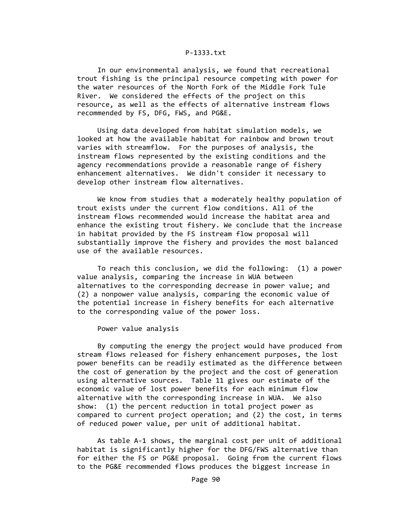In our environmental analysis, we found that recreational trout fishing is the principal resource competing with power for the water resources of the North Fork of the Middle Fork Tule River. We considered the effects of the project on this resource, as well as the effects of alternative instream flows recommended by FS, DFG, FWS, and PG&E.

 Using data developed from habitat simulation models, we looked at how the available habitat for rainbow and brown trout varies with streamflow. For the purposes of analysis, the instream flows represented by the existing conditions and the agency recommendations provide a reasonable range of fishery enhancement alternatives. We didn't consider it necessary to develop other instream flow alternatives.

 We know from studies that a moderately healthy population of trout exists under the current flow conditions. All of the instream flows recommended would increase the habitat area and enhance the existing trout fishery. We conclude that the increase in habitat provided by the FS instream flow proposal will substantially improve the fishery and provides the most balanced use of the available resources.

 To reach this conclusion, we did the following: (1) a power value analysis, comparing the increase in WUA between alternatives to the corresponding decrease in power value; and (2) a nonpower value analysis, comparing the economic value of the potential increase in fishery benefits for each alternative to the corresponding value of the power loss.

Power value analysis

 By computing the energy the project would have produced from stream flows released for fishery enhancement purposes, the lost power benefits can be readily estimated as the difference between the cost of generation by the project and the cost of generation using alternative sources. Table 11 gives our estimate of the economic value of lost power benefits for each minimum flow alternative with the corresponding increase in WUA. We also show: (1) the percent reduction in total project power as compared to current project operation; and (2) the cost, in terms of reduced power value, per unit of additional habitat.

 As table A‐1 shows, the marginal cost per unit of additional habitat is significantly higher for the DFG/FWS alternative than for either the FS or PG&E proposal. Going from the current flows to the PG&E recommended flows produces the biggest increase in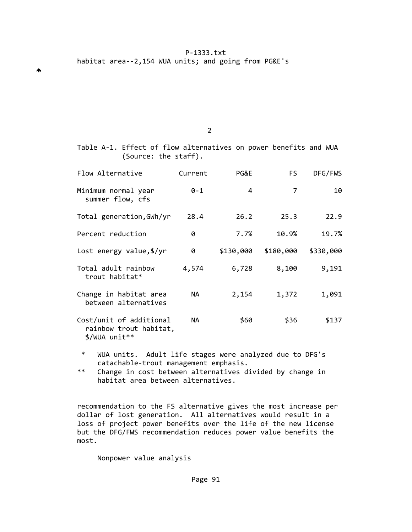P‐1333.txt habitat area‐‐2,154 WUA units; and going from PG&E's

₳

2

 Table A‐1. Effect of flow alternatives on power benefits and WUA (Source: the staff).

| Flow Alternative                                                   | Current | PG&E      | FS.       | DFG/FWS   |
|--------------------------------------------------------------------|---------|-----------|-----------|-----------|
| Minimum normal year<br>summer flow, cfs                            | $0 - 1$ | 4         | 7         | 10        |
| Total generation, GWh/yr                                           | 28.4    | 26.2      | 25.3      | 22.9      |
| Percent reduction                                                  | 0       | 7.7%      | 10.9%     | 19.7%     |
| Lost energy value, \$/yr                                           | 0       | \$130,000 | \$180,000 | \$330,000 |
| Total adult rainbow<br>trout habitat*                              | 4,574   | 6,728     | 8,100     | 9,191     |
| Change in habitat area<br>between alternatives                     | NА      | 2,154     | 1,372     | 1,091     |
| Cost/unit of additional<br>rainbow trout habitat,<br>\$/WUA unit** | NА      | \$60      | \$36      | \$137     |

- \* WUA units. Adult life stages were analyzed due to DFG's catachable‐trout management emphasis.<br>\*\* Change in cost between alternatives d
- Change in cost between alternatives divided by change in habitat area between alternatives.

 recommendation to the FS alternative gives the most increase per dollar of lost generation. All alternatives would result in a loss of project power benefits over the life of the new license but the DFG/FWS recommendation reduces power value benefits the most.

Nonpower value analysis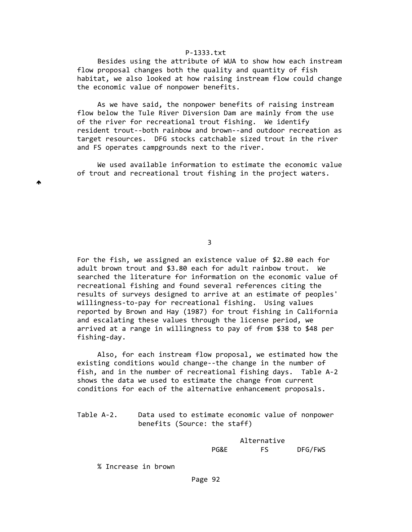Besides using the attribute of WUA to show how each instream flow proposal changes both the quality and quantity of fish habitat, we also looked at how raising instream flow could change the economic value of nonpower benefits.

 As we have said, the nonpower benefits of raising instream flow below the Tule River Diversion Dam are mainly from the use of the river for recreational trout fishing. We identify resident trout‐‐both rainbow and brown‐‐and outdoor recreation as target resources. DFG stocks catchable sized trout in the river and FS operates campgrounds next to the river.

 We used available information to estimate the economic value of trout and recreational trout fishing in the project waters.

 $\sim$  3

 For the fish, we assigned an existence value of \$2.80 each for adult brown trout and \$3.80 each for adult rainbow trout. We searched the literature for information on the economic value of recreational fishing and found several references citing the results of surveys designed to arrive at an estimate of peoples' willingness‐to‐pay for recreational fishing. Using values reported by Brown and Hay (1987) for trout fishing in California and escalating these values through the license period, we arrived at a range in willingness to pay of from \$38 to \$48 per fishing‐day.

 Also, for each instream flow proposal, we estimated how the existing conditions would change‐‐the change in the number of fish, and in the number of recreational fishing days. Table A‐2 shows the data we used to estimate the change from current conditions for each of the alternative enhancement proposals.

Table A-2. Data used to estimate economic value of nonpower benefits (Source: the staff)

 Alternative PG&E FS DFG/FWS

% Increase in brown

₳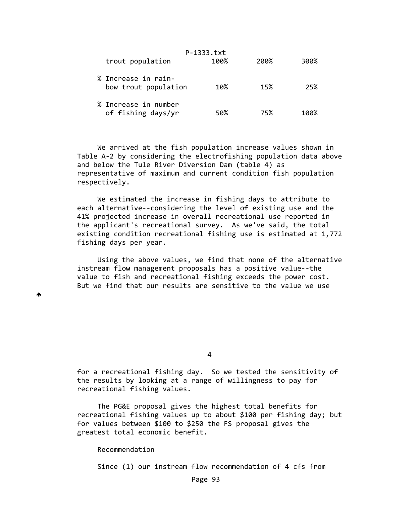|                                             | P-1333.txt |      |      |  |  |
|---------------------------------------------|------------|------|------|--|--|
| trout population                            | 100%       | 200% | 300% |  |  |
| % Increase in rain-<br>bow trout population | 10%        | 15%  | 25%  |  |  |
| % Increase in number<br>of fishing days/yr  | 50%        | 75%  | 100% |  |  |

 We arrived at the fish population increase values shown in Table A‐2 by considering the electrofishing population data above and below the Tule River Diversion Dam (table 4) as representative of maximum and current condition fish population respectively.

 We estimated the increase in fishing days to attribute to each alternative--considering the level of existing use and the 41% projected increase in overall recreational use reported in the applicant's recreational survey. As we've said, the total existing condition recreational fishing use is estimated at 1,772 fishing days per year.

 Using the above values, we find that none of the alternative instream flow management proposals has a positive value‐‐the value to fish and recreational fishing exceeds the power cost. But we find that our results are sensitive to the value we use

4

 for a recreational fishing day. So we tested the sensitivity of the results by looking at a range of willingness to pay for recreational fishing values.

 The PG&E proposal gives the highest total benefits for recreational fishing values up to about \$100 per fishing day; but for values between \$100 to \$250 the FS proposal gives the greatest total economic benefit.

Recommendation

W

Since (1) our instream flow recommendation of 4 cfs from